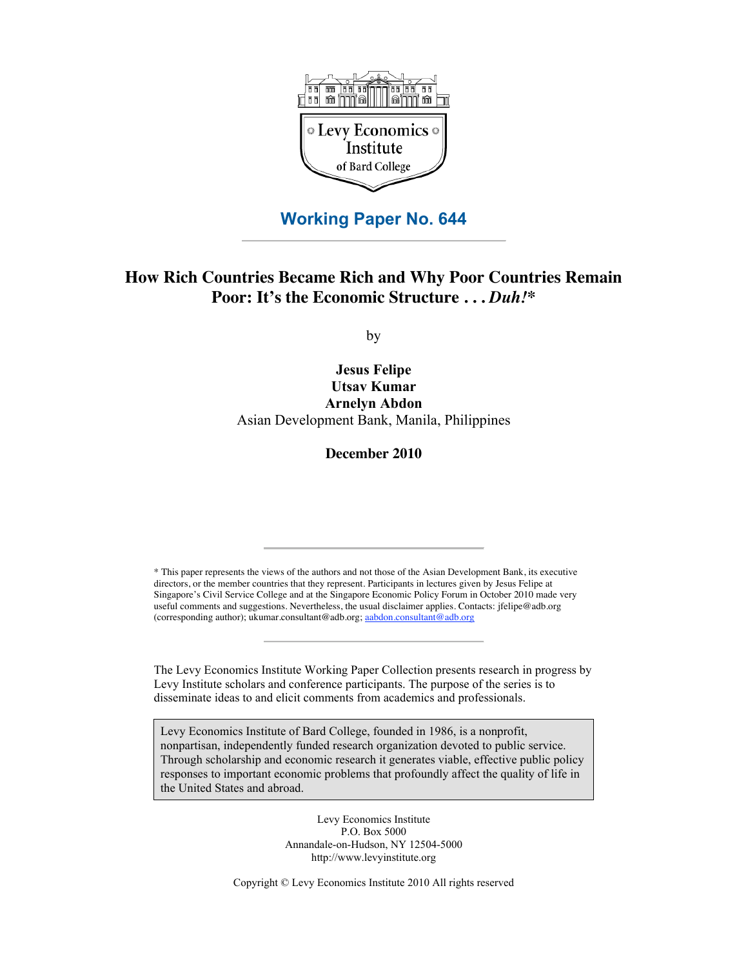

**Working Paper No. 644**

## **How Rich Countries Became Rich and Why Poor Countries Remain Poor: It's the Economic Structure . . .** *Duh!***\***

by

**Jesus Felipe Utsav Kumar Arnelyn Abdon** Asian Development Bank, Manila, Philippines

**December 2010**

\* This paper represents the views of the authors and not those of the Asian Development Bank, its executive directors, or the member countries that they represent. Participants in lectures given by Jesus Felipe at Singapore's Civil Service College and at the Singapore Economic Policy Forum in October 2010 made very useful comments and suggestions. Nevertheless, the usual disclaimer applies. Contacts: jfelipe@adb.org (corresponding author); ukumar.consultant@adb.org; aabdon.consultant@adb.org

The Levy Economics Institute Working Paper Collection presents research in progress by Levy Institute scholars and conference participants. The purpose of the series is to disseminate ideas to and elicit comments from academics and professionals.

Levy Economics Institute of Bard College, founded in 1986, is a nonprofit, nonpartisan, independently funded research organization devoted to public service. Through scholarship and economic research it generates viable, effective public policy responses to important economic problems that profoundly affect the quality of life in the United States and abroad.

> Levy Economics Institute P.O. Box 5000 Annandale-on-Hudson, NY 12504-5000 http://www.levyinstitute.org

Copyright © Levy Economics Institute 2010 All rights reserved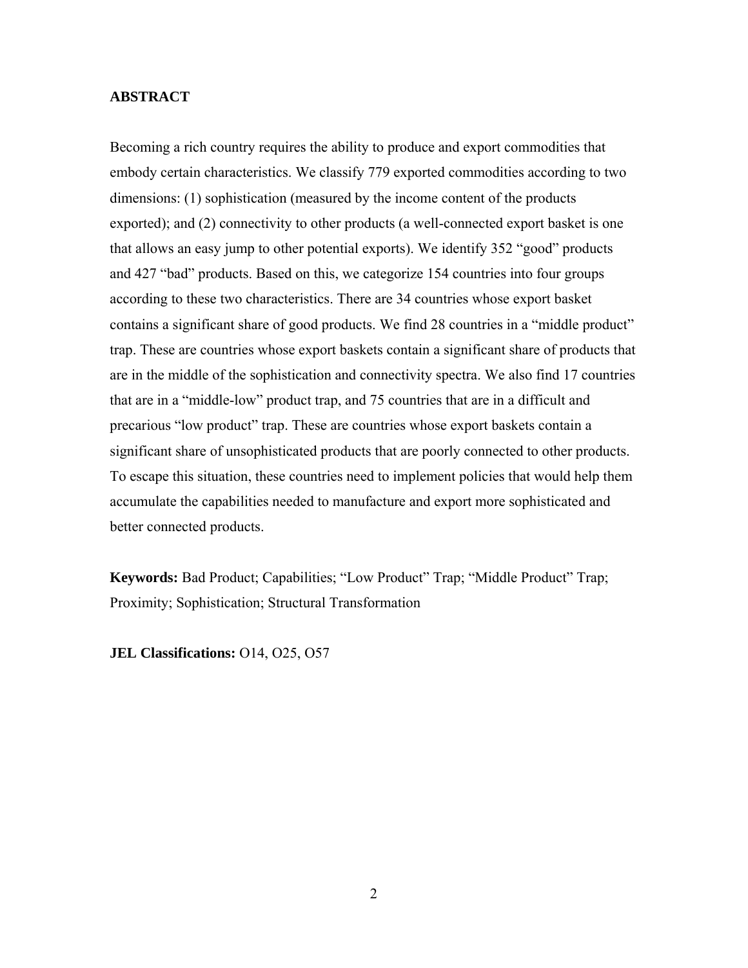## **ABSTRACT**

Becoming a rich country requires the ability to produce and export commodities that embody certain characteristics. We classify 779 exported commodities according to two dimensions: (1) sophistication (measured by the income content of the products exported); and (2) connectivity to other products (a well-connected export basket is one that allows an easy jump to other potential exports). We identify 352 "good" products and 427 "bad" products. Based on this, we categorize 154 countries into four groups according to these two characteristics. There are 34 countries whose export basket contains a significant share of good products. We find 28 countries in a "middle product" trap. These are countries whose export baskets contain a significant share of products that are in the middle of the sophistication and connectivity spectra. We also find 17 countries that are in a "middle-low" product trap, and 75 countries that are in a difficult and precarious "low product" trap. These are countries whose export baskets contain a significant share of unsophisticated products that are poorly connected to other products. To escape this situation, these countries need to implement policies that would help them accumulate the capabilities needed to manufacture and export more sophisticated and better connected products.

**Keywords:** Bad Product; Capabilities; "Low Product" Trap; "Middle Product" Trap; Proximity; Sophistication; Structural Transformation

**JEL Classifications:** O14, O25, O57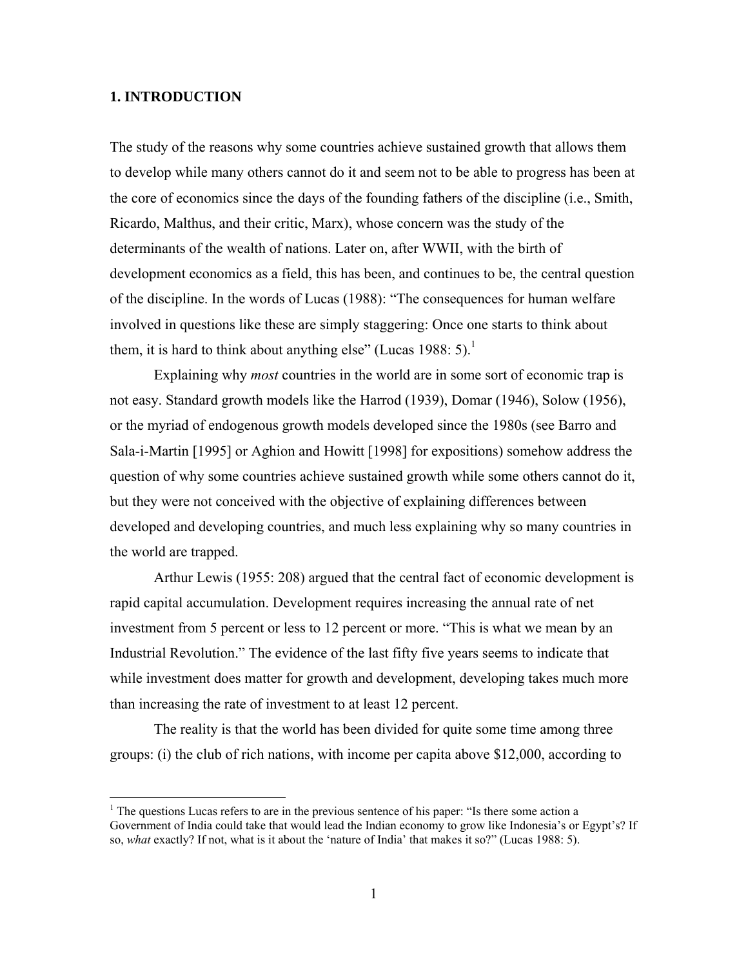## **1. INTRODUCTION**

 $\overline{a}$ 

The study of the reasons why some countries achieve sustained growth that allows them to develop while many others cannot do it and seem not to be able to progress has been at the core of economics since the days of the founding fathers of the discipline (i.e., Smith, Ricardo, Malthus, and their critic, Marx), whose concern was the study of the determinants of the wealth of nations. Later on, after WWII, with the birth of development economics as a field, this has been, and continues to be, the central question of the discipline. In the words of Lucas (1988): "The consequences for human welfare involved in questions like these are simply staggering: Once one starts to think about them, it is hard to think about anything else" (Lucas 1988: 5).<sup>1</sup>

Explaining why *most* countries in the world are in some sort of economic trap is not easy. Standard growth models like the Harrod (1939), Domar (1946), Solow (1956), or the myriad of endogenous growth models developed since the 1980s (see Barro and Sala-i-Martin [1995] or Aghion and Howitt [1998] for expositions) somehow address the question of why some countries achieve sustained growth while some others cannot do it, but they were not conceived with the objective of explaining differences between developed and developing countries, and much less explaining why so many countries in the world are trapped.

Arthur Lewis (1955: 208) argued that the central fact of economic development is rapid capital accumulation. Development requires increasing the annual rate of net investment from 5 percent or less to 12 percent or more. "This is what we mean by an Industrial Revolution." The evidence of the last fifty five years seems to indicate that while investment does matter for growth and development, developing takes much more than increasing the rate of investment to at least 12 percent.

The reality is that the world has been divided for quite some time among three groups: (i) the club of rich nations, with income per capita above \$12,000, according to

 $<sup>1</sup>$  The questions Lucas refers to are in the previous sentence of his paper: "Is there some action a</sup> Government of India could take that would lead the Indian economy to grow like Indonesia's or Egypt's? If so, *what* exactly? If not, what is it about the 'nature of India' that makes it so?" (Lucas 1988: 5).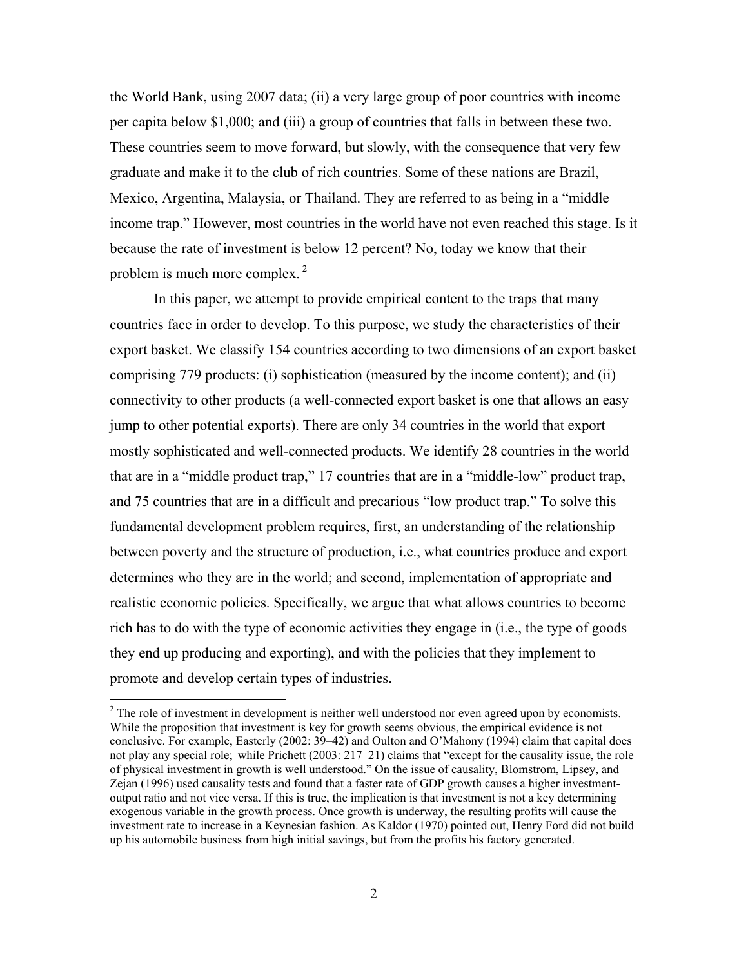the World Bank, using 2007 data; (ii) a very large group of poor countries with income per capita below \$1,000; and (iii) a group of countries that falls in between these two. These countries seem to move forward, but slowly, with the consequence that very few graduate and make it to the club of rich countries. Some of these nations are Brazil, Mexico, Argentina, Malaysia, or Thailand. They are referred to as being in a "middle income trap." However, most countries in the world have not even reached this stage. Is it because the rate of investment is below 12 percent? No, today we know that their problem is much more complex.<sup>2</sup>

In this paper, we attempt to provide empirical content to the traps that many countries face in order to develop. To this purpose, we study the characteristics of their export basket. We classify 154 countries according to two dimensions of an export basket comprising 779 products: (i) sophistication (measured by the income content); and (ii) connectivity to other products (a well-connected export basket is one that allows an easy jump to other potential exports). There are only 34 countries in the world that export mostly sophisticated and well-connected products. We identify 28 countries in the world that are in a "middle product trap," 17 countries that are in a "middle-low" product trap, and 75 countries that are in a difficult and precarious "low product trap." To solve this fundamental development problem requires, first, an understanding of the relationship between poverty and the structure of production, i.e., what countries produce and export determines who they are in the world; and second, implementation of appropriate and realistic economic policies. Specifically, we argue that what allows countries to become rich has to do with the type of economic activities they engage in (i.e., the type of goods they end up producing and exporting), and with the policies that they implement to promote and develop certain types of industries.

<sup>&</sup>lt;sup>2</sup> The role of investment in development is neither well understood nor even agreed upon by economists. While the proposition that investment is key for growth seems obvious, the empirical evidence is not conclusive. For example, Easterly (2002: 39–42) and Oulton and O'Mahony (1994) claim that capital does not play any special role; while Prichett (2003: 217–21) claims that "except for the causality issue, the role of physical investment in growth is well understood." On the issue of causality, Blomstrom, Lipsey, and Zejan (1996) used causality tests and found that a faster rate of GDP growth causes a higher investmentoutput ratio and not vice versa. If this is true, the implication is that investment is not a key determining exogenous variable in the growth process. Once growth is underway, the resulting profits will cause the investment rate to increase in a Keynesian fashion. As Kaldor (1970) pointed out, Henry Ford did not build up his automobile business from high initial savings, but from the profits his factory generated.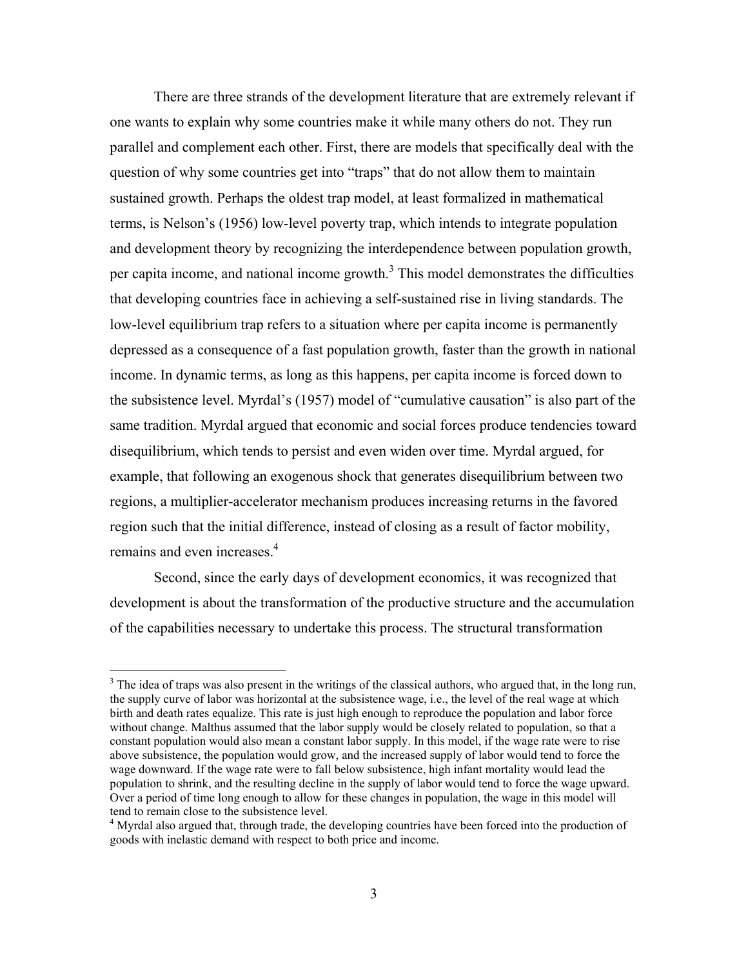There are three strands of the development literature that are extremely relevant if one wants to explain why some countries make it while many others do not. They run parallel and complement each other. First, there are models that specifically deal with the question of why some countries get into "traps" that do not allow them to maintain sustained growth. Perhaps the oldest trap model, at least formalized in mathematical terms, is Nelson's (1956) low-level poverty trap, which intends to integrate population and development theory by recognizing the interdependence between population growth, per capita income, and national income growth.<sup>3</sup> This model demonstrates the difficulties that developing countries face in achieving a self-sustained rise in living standards. The low-level equilibrium trap refers to a situation where per capita income is permanently depressed as a consequence of a fast population growth, faster than the growth in national income. In dynamic terms, as long as this happens, per capita income is forced down to the subsistence level. Myrdal's (1957) model of "cumulative causation" is also part of the same tradition. Myrdal argued that economic and social forces produce tendencies toward disequilibrium, which tends to persist and even widen over time. Myrdal argued, for example, that following an exogenous shock that generates disequilibrium between two regions, a multiplier-accelerator mechanism produces increasing returns in the favored region such that the initial difference, instead of closing as a result of factor mobility, remains and even increases.<sup>4</sup>

Second, since the early days of development economics, it was recognized that development is about the transformation of the productive structure and the accumulation of the capabilities necessary to undertake this process. The structural transformation

 $3$  The idea of traps was also present in the writings of the classical authors, who argued that, in the long run, the supply curve of labor was horizontal at the subsistence wage, i.e., the level of the real wage at which birth and death rates equalize. This rate is just high enough to reproduce the population and labor force without change. Malthus assumed that the labor supply would be closely related to population, so that a constant population would also mean a constant labor supply. In this model, if the wage rate were to rise above subsistence, the population would grow, and the increased supply of labor would tend to force the wage downward. If the wage rate were to fall below subsistence, high infant mortality would lead the population to shrink, and the resulting decline in the supply of labor would tend to force the wage upward. Over a period of time long enough to allow for these changes in population, the wage in this model will tend to remain close to the subsistence level.

<sup>&</sup>lt;sup>4</sup> Myrdal also argued that, through trade, the developing countries have been forced into the production of goods with inelastic demand with respect to both price and income.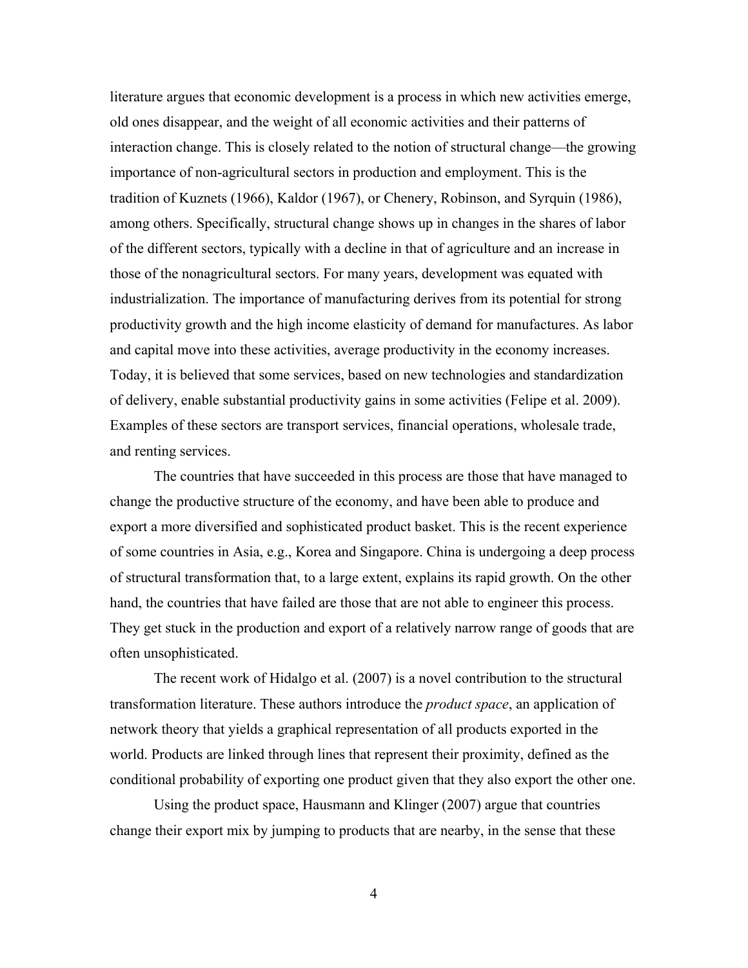literature argues that economic development is a process in which new activities emerge, old ones disappear, and the weight of all economic activities and their patterns of interaction change. This is closely related to the notion of structural change—the growing importance of non-agricultural sectors in production and employment. This is the tradition of Kuznets (1966), Kaldor (1967), or Chenery, Robinson, and Syrquin (1986), among others. Specifically, structural change shows up in changes in the shares of labor of the different sectors, typically with a decline in that of agriculture and an increase in those of the nonagricultural sectors. For many years, development was equated with industrialization. The importance of manufacturing derives from its potential for strong productivity growth and the high income elasticity of demand for manufactures. As labor and capital move into these activities, average productivity in the economy increases. Today, it is believed that some services, based on new technologies and standardization of delivery, enable substantial productivity gains in some activities (Felipe et al. 2009). Examples of these sectors are transport services, financial operations, wholesale trade, and renting services.

The countries that have succeeded in this process are those that have managed to change the productive structure of the economy, and have been able to produce and export a more diversified and sophisticated product basket. This is the recent experience of some countries in Asia, e.g., Korea and Singapore. China is undergoing a deep process of structural transformation that, to a large extent, explains its rapid growth. On the other hand, the countries that have failed are those that are not able to engineer this process. They get stuck in the production and export of a relatively narrow range of goods that are often unsophisticated.

The recent work of Hidalgo et al. (2007) is a novel contribution to the structural transformation literature. These authors introduce the *product space*, an application of network theory that yields a graphical representation of all products exported in the world. Products are linked through lines that represent their proximity, defined as the conditional probability of exporting one product given that they also export the other one.

Using the product space, Hausmann and Klinger (2007) argue that countries change their export mix by jumping to products that are nearby, in the sense that these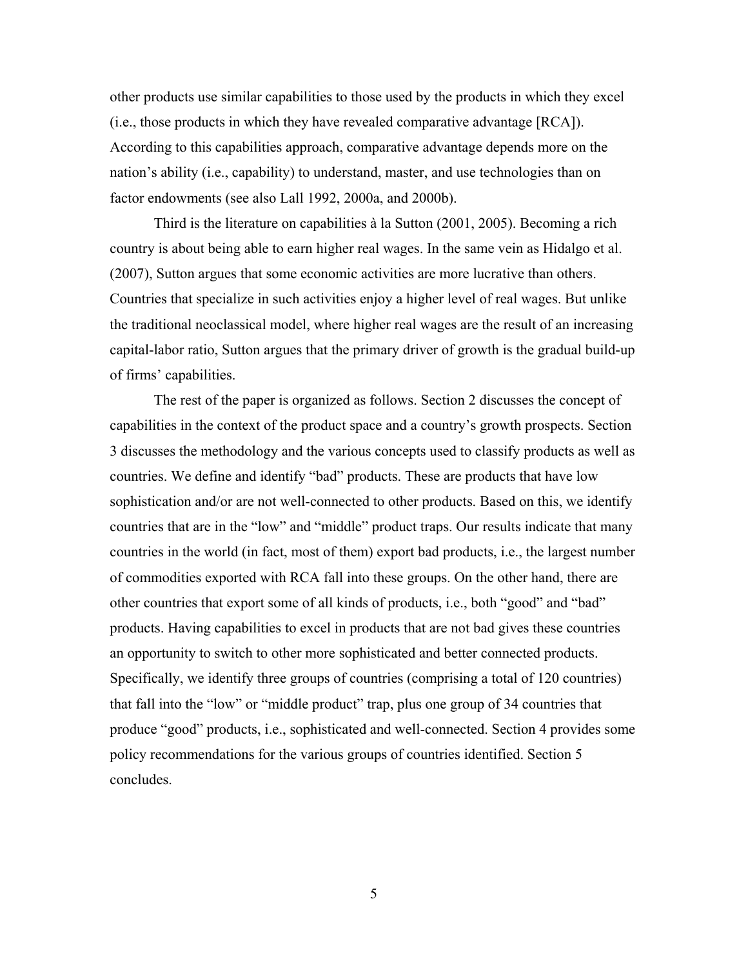other products use similar capabilities to those used by the products in which they excel (i.e., those products in which they have revealed comparative advantage [RCA]). According to this capabilities approach, comparative advantage depends more on the nation's ability (i.e., capability) to understand, master, and use technologies than on factor endowments (see also Lall 1992, 2000a, and 2000b).

Third is the literature on capabilities à la Sutton (2001, 2005). Becoming a rich country is about being able to earn higher real wages. In the same vein as Hidalgo et al. (2007), Sutton argues that some economic activities are more lucrative than others. Countries that specialize in such activities enjoy a higher level of real wages. But unlike the traditional neoclassical model, where higher real wages are the result of an increasing capital-labor ratio, Sutton argues that the primary driver of growth is the gradual build-up of firms' capabilities.

The rest of the paper is organized as follows. Section 2 discusses the concept of capabilities in the context of the product space and a country's growth prospects. Section 3 discusses the methodology and the various concepts used to classify products as well as countries. We define and identify "bad" products. These are products that have low sophistication and/or are not well-connected to other products. Based on this, we identify countries that are in the "low" and "middle" product traps. Our results indicate that many countries in the world (in fact, most of them) export bad products, i.e., the largest number of commodities exported with RCA fall into these groups. On the other hand, there are other countries that export some of all kinds of products, i.e., both "good" and "bad" products. Having capabilities to excel in products that are not bad gives these countries an opportunity to switch to other more sophisticated and better connected products. Specifically, we identify three groups of countries (comprising a total of 120 countries) that fall into the "low" or "middle product" trap, plus one group of 34 countries that produce "good" products, i.e., sophisticated and well-connected. Section 4 provides some policy recommendations for the various groups of countries identified. Section 5 concludes.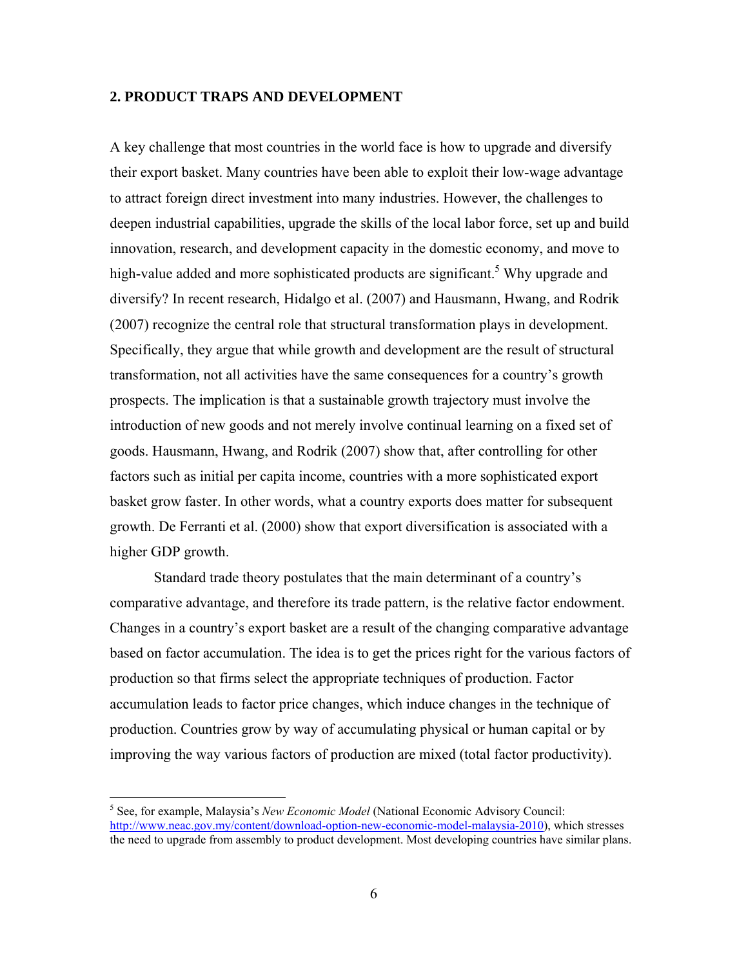## **2. PRODUCT TRAPS AND DEVELOPMENT**

A key challenge that most countries in the world face is how to upgrade and diversify their export basket. Many countries have been able to exploit their low-wage advantage to attract foreign direct investment into many industries. However, the challenges to deepen industrial capabilities, upgrade the skills of the local labor force, set up and build innovation, research, and development capacity in the domestic economy, and move to high-value added and more sophisticated products are significant.<sup>5</sup> Why upgrade and diversify? In recent research, Hidalgo et al. (2007) and Hausmann, Hwang, and Rodrik (2007) recognize the central role that structural transformation plays in development. Specifically, they argue that while growth and development are the result of structural transformation, not all activities have the same consequences for a country's growth prospects. The implication is that a sustainable growth trajectory must involve the introduction of new goods and not merely involve continual learning on a fixed set of goods. Hausmann, Hwang, and Rodrik (2007) show that, after controlling for other factors such as initial per capita income, countries with a more sophisticated export basket grow faster. In other words, what a country exports does matter for subsequent growth. De Ferranti et al. (2000) show that export diversification is associated with a higher GDP growth.

Standard trade theory postulates that the main determinant of a country's comparative advantage, and therefore its trade pattern, is the relative factor endowment. Changes in a country's export basket are a result of the changing comparative advantage based on factor accumulation. The idea is to get the prices right for the various factors of production so that firms select the appropriate techniques of production. Factor accumulation leads to factor price changes, which induce changes in the technique of production. Countries grow by way of accumulating physical or human capital or by improving the way various factors of production are mixed (total factor productivity).

 $\overline{a}$ 

<sup>&</sup>lt;sup>5</sup> See, for example, Malaysia's *New Economic Model* (National Economic Advisory Council: http://www.neac.gov.my/content/download-option-new-economic-model-malaysia-2010), which stresses the need to upgrade from assembly to product development. Most developing countries have similar plans.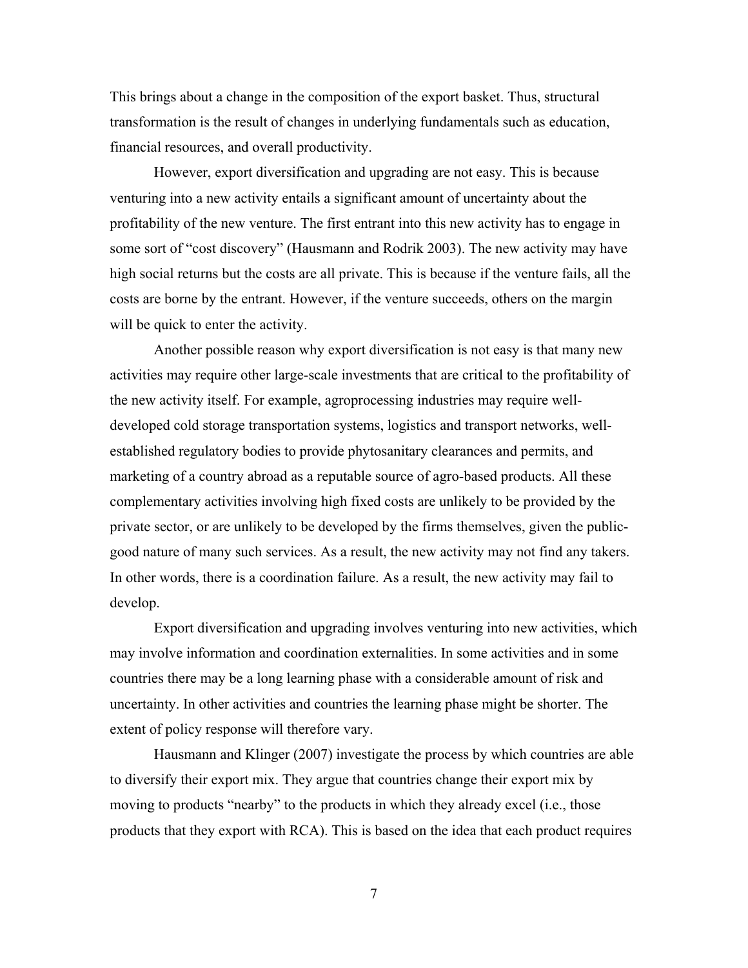This brings about a change in the composition of the export basket. Thus, structural transformation is the result of changes in underlying fundamentals such as education, financial resources, and overall productivity.

However, export diversification and upgrading are not easy. This is because venturing into a new activity entails a significant amount of uncertainty about the profitability of the new venture. The first entrant into this new activity has to engage in some sort of "cost discovery" (Hausmann and Rodrik 2003). The new activity may have high social returns but the costs are all private. This is because if the venture fails, all the costs are borne by the entrant. However, if the venture succeeds, others on the margin will be quick to enter the activity.

Another possible reason why export diversification is not easy is that many new activities may require other large-scale investments that are critical to the profitability of the new activity itself. For example, agroprocessing industries may require welldeveloped cold storage transportation systems, logistics and transport networks, wellestablished regulatory bodies to provide phytosanitary clearances and permits, and marketing of a country abroad as a reputable source of agro-based products. All these complementary activities involving high fixed costs are unlikely to be provided by the private sector, or are unlikely to be developed by the firms themselves, given the publicgood nature of many such services. As a result, the new activity may not find any takers. In other words, there is a coordination failure. As a result, the new activity may fail to develop.

Export diversification and upgrading involves venturing into new activities, which may involve information and coordination externalities. In some activities and in some countries there may be a long learning phase with a considerable amount of risk and uncertainty. In other activities and countries the learning phase might be shorter. The extent of policy response will therefore vary.

Hausmann and Klinger (2007) investigate the process by which countries are able to diversify their export mix. They argue that countries change their export mix by moving to products "nearby" to the products in which they already excel (i.e., those products that they export with RCA). This is based on the idea that each product requires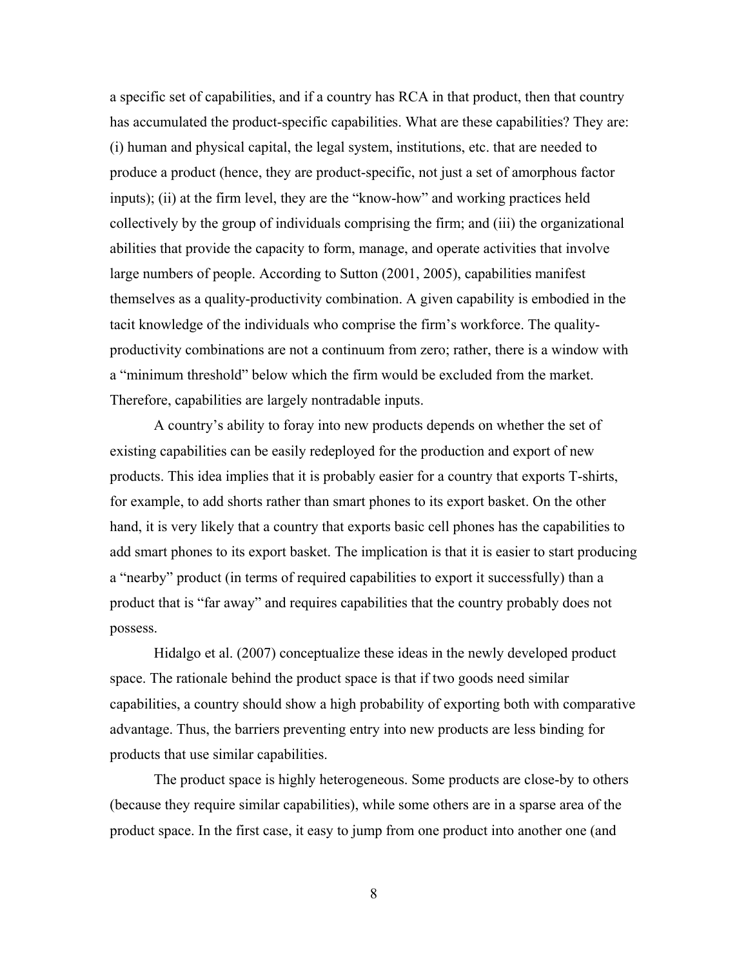a specific set of capabilities, and if a country has RCA in that product, then that country has accumulated the product-specific capabilities. What are these capabilities? They are: (i) human and physical capital, the legal system, institutions, etc. that are needed to produce a product (hence, they are product-specific, not just a set of amorphous factor inputs); (ii) at the firm level, they are the "know-how" and working practices held collectively by the group of individuals comprising the firm; and (iii) the organizational abilities that provide the capacity to form, manage, and operate activities that involve large numbers of people. According to Sutton (2001, 2005), capabilities manifest themselves as a quality-productivity combination. A given capability is embodied in the tacit knowledge of the individuals who comprise the firm's workforce. The qualityproductivity combinations are not a continuum from zero; rather, there is a window with a "minimum threshold" below which the firm would be excluded from the market. Therefore, capabilities are largely nontradable inputs.

A country's ability to foray into new products depends on whether the set of existing capabilities can be easily redeployed for the production and export of new products. This idea implies that it is probably easier for a country that exports T-shirts, for example, to add shorts rather than smart phones to its export basket. On the other hand, it is very likely that a country that exports basic cell phones has the capabilities to add smart phones to its export basket. The implication is that it is easier to start producing a "nearby" product (in terms of required capabilities to export it successfully) than a product that is "far away" and requires capabilities that the country probably does not possess.

Hidalgo et al. (2007) conceptualize these ideas in the newly developed product space. The rationale behind the product space is that if two goods need similar capabilities, a country should show a high probability of exporting both with comparative advantage. Thus, the barriers preventing entry into new products are less binding for products that use similar capabilities.

The product space is highly heterogeneous. Some products are close-by to others (because they require similar capabilities), while some others are in a sparse area of the product space. In the first case, it easy to jump from one product into another one (and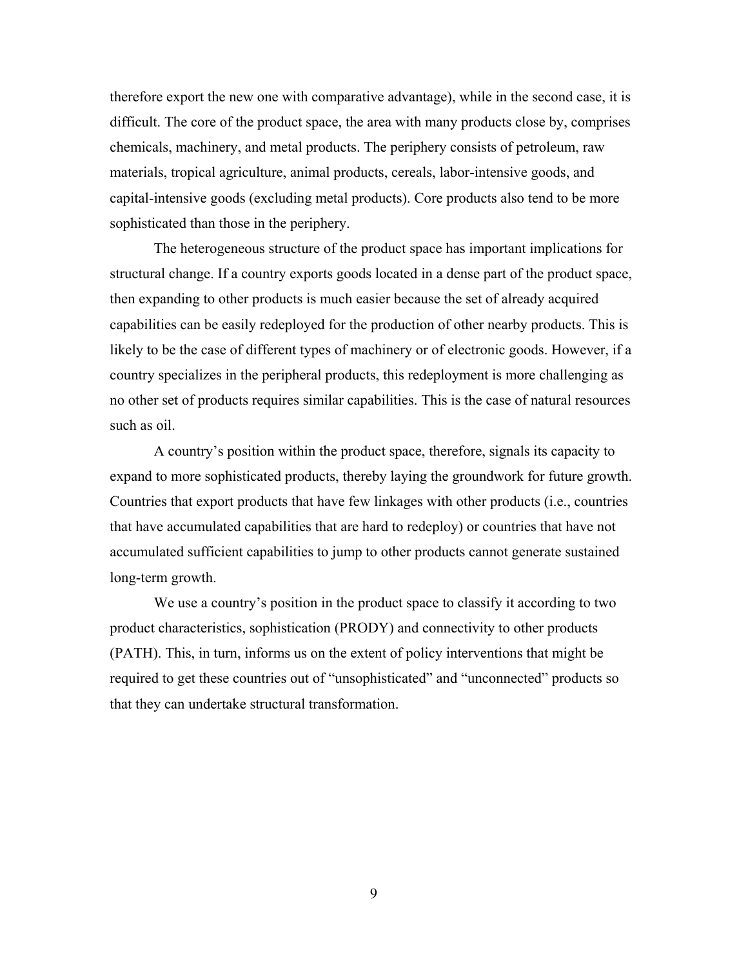therefore export the new one with comparative advantage), while in the second case, it is difficult. The core of the product space, the area with many products close by, comprises chemicals, machinery, and metal products. The periphery consists of petroleum, raw materials, tropical agriculture, animal products, cereals, labor-intensive goods, and capital-intensive goods (excluding metal products). Core products also tend to be more sophisticated than those in the periphery.

The heterogeneous structure of the product space has important implications for structural change. If a country exports goods located in a dense part of the product space, then expanding to other products is much easier because the set of already acquired capabilities can be easily redeployed for the production of other nearby products. This is likely to be the case of different types of machinery or of electronic goods. However, if a country specializes in the peripheral products, this redeployment is more challenging as no other set of products requires similar capabilities. This is the case of natural resources such as oil.

A country's position within the product space, therefore, signals its capacity to expand to more sophisticated products, thereby laying the groundwork for future growth. Countries that export products that have few linkages with other products (i.e., countries that have accumulated capabilities that are hard to redeploy) or countries that have not accumulated sufficient capabilities to jump to other products cannot generate sustained long-term growth.

We use a country's position in the product space to classify it according to two product characteristics, sophistication (PRODY) and connectivity to other products (PATH). This, in turn, informs us on the extent of policy interventions that might be required to get these countries out of "unsophisticated" and "unconnected" products so that they can undertake structural transformation.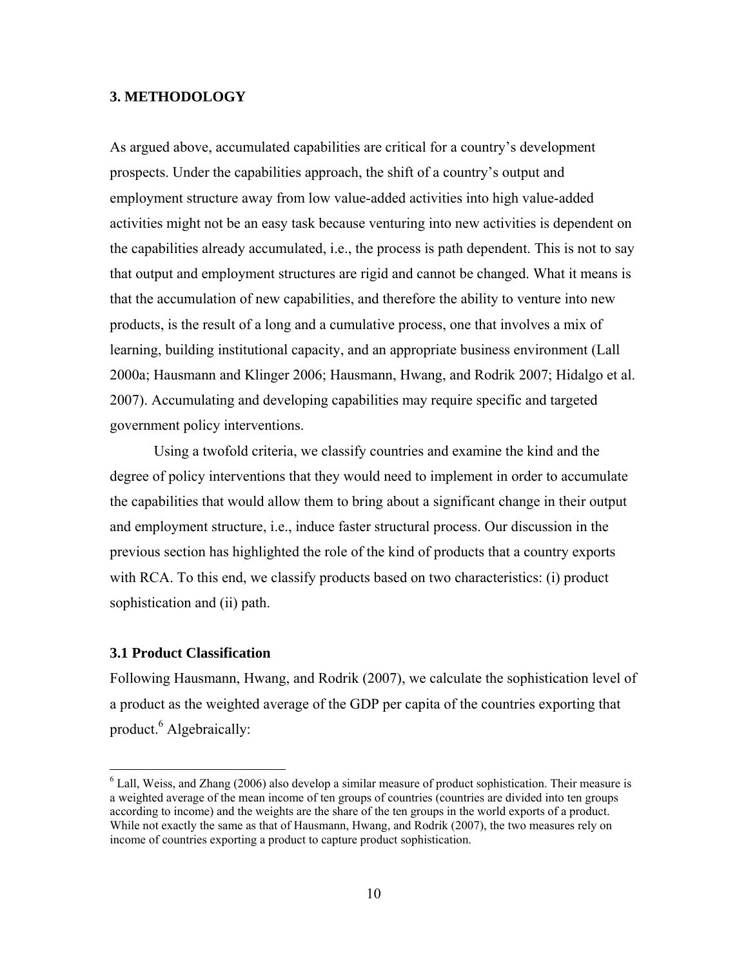## **3. METHODOLOGY**

As argued above, accumulated capabilities are critical for a country's development prospects. Under the capabilities approach, the shift of a country's output and employment structure away from low value-added activities into high value-added activities might not be an easy task because venturing into new activities is dependent on the capabilities already accumulated, i.e., the process is path dependent. This is not to say that output and employment structures are rigid and cannot be changed. What it means is that the accumulation of new capabilities, and therefore the ability to venture into new products, is the result of a long and a cumulative process, one that involves a mix of learning, building institutional capacity, and an appropriate business environment (Lall 2000a; Hausmann and Klinger 2006; Hausmann, Hwang, and Rodrik 2007; Hidalgo et al. 2007). Accumulating and developing capabilities may require specific and targeted government policy interventions.

Using a twofold criteria, we classify countries and examine the kind and the degree of policy interventions that they would need to implement in order to accumulate the capabilities that would allow them to bring about a significant change in their output and employment structure, i.e., induce faster structural process. Our discussion in the previous section has highlighted the role of the kind of products that a country exports with RCA. To this end, we classify products based on two characteristics: (i) product sophistication and (ii) path.

## **3.1 Product Classification**

 $\overline{a}$ 

Following Hausmann, Hwang, and Rodrik (2007), we calculate the sophistication level of a product as the weighted average of the GDP per capita of the countries exporting that product.<sup>6</sup> Algebraically:

<sup>&</sup>lt;sup>6</sup> Lall, Weiss, and Zhang (2006) also develop a similar measure of product sophistication. Their measure is a weighted average of the mean income of ten groups of countries (countries are divided into ten groups according to income) and the weights are the share of the ten groups in the world exports of a product. While not exactly the same as that of Hausmann, Hwang, and Rodrik (2007), the two measures rely on income of countries exporting a product to capture product sophistication.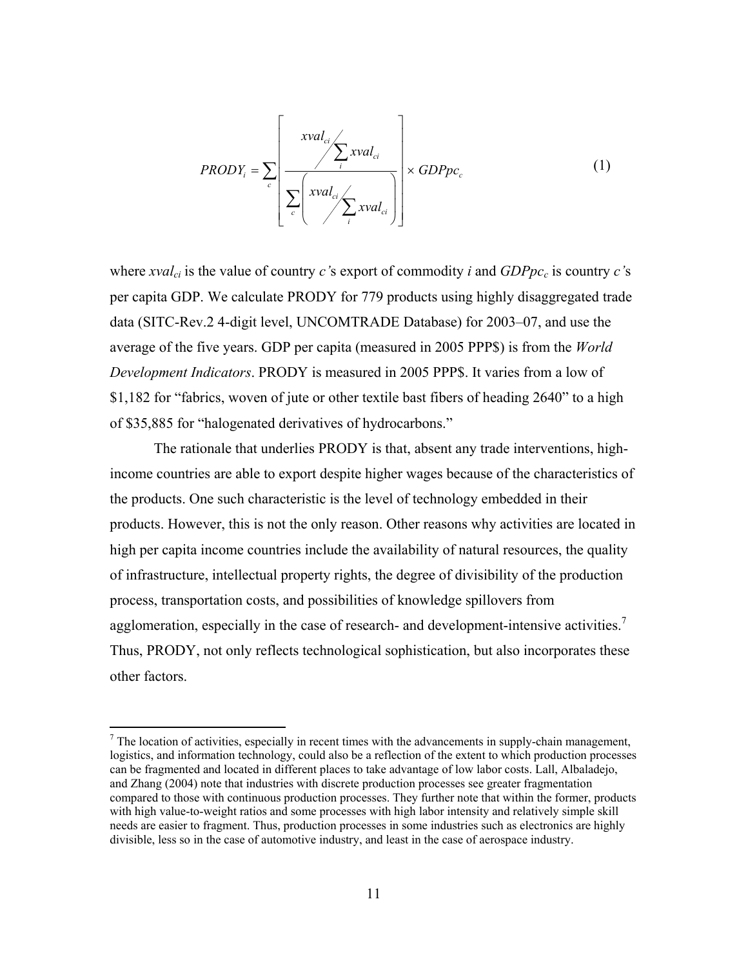$$
PRODY_i = \sum_{c} \left[ \frac{xval_{ci}}{\sum_{c} xval_{ci}} \right] \times GDPpc_c
$$
\n(1)

where  $xval_{ci}$  is the value of country *c*'s export of commodity *i* and  $GDPpc_c$  is country *c*'s per capita GDP. We calculate PRODY for 779 products using highly disaggregated trade data (SITC-Rev.2 4-digit level, UNCOMTRADE Database) for 2003–07, and use the average of the five years. GDP per capita (measured in 2005 PPP\$) is from the *World Development Indicators*. PRODY is measured in 2005 PPP\$. It varies from a low of \$1,182 for "fabrics, woven of jute or other textile bast fibers of heading 2640" to a high of \$35,885 for "halogenated derivatives of hydrocarbons."

 The rationale that underlies PRODY is that, absent any trade interventions, highincome countries are able to export despite higher wages because of the characteristics of the products. One such characteristic is the level of technology embedded in their products. However, this is not the only reason. Other reasons why activities are located in high per capita income countries include the availability of natural resources, the quality of infrastructure, intellectual property rights, the degree of divisibility of the production process, transportation costs, and possibilities of knowledge spillovers from agglomeration, especially in the case of research- and development-intensive activities.<sup>7</sup> Thus, PRODY, not only reflects technological sophistication, but also incorporates these other factors.

 $<sup>7</sup>$  The location of activities, especially in recent times with the advancements in supply-chain management,</sup> logistics, and information technology, could also be a reflection of the extent to which production processes can be fragmented and located in different places to take advantage of low labor costs. Lall, Albaladejo, and Zhang (2004) note that industries with discrete production processes see greater fragmentation compared to those with continuous production processes. They further note that within the former, products with high value-to-weight ratios and some processes with high labor intensity and relatively simple skill needs are easier to fragment. Thus, production processes in some industries such as electronics are highly divisible, less so in the case of automotive industry, and least in the case of aerospace industry.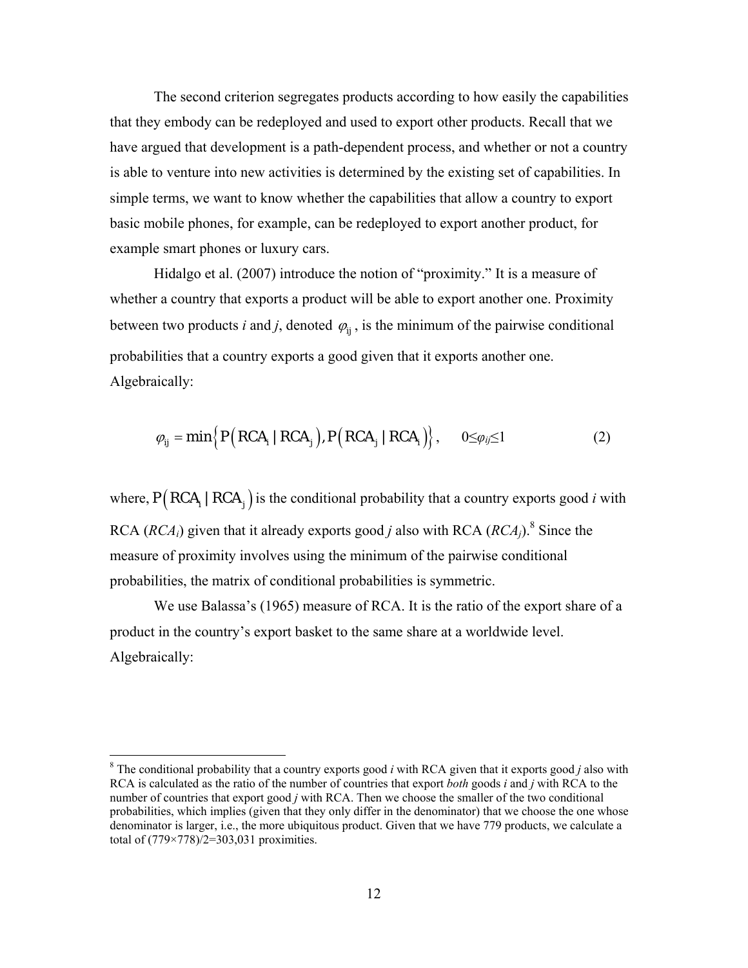The second criterion segregates products according to how easily the capabilities that they embody can be redeployed and used to export other products. Recall that we have argued that development is a path-dependent process, and whether or not a country is able to venture into new activities is determined by the existing set of capabilities. In simple terms, we want to know whether the capabilities that allow a country to export basic mobile phones, for example, can be redeployed to export another product, for example smart phones or luxury cars.

Hidalgo et al. (2007) introduce the notion of "proximity." It is a measure of whether a country that exports a product will be able to export another one. Proximity between two products *i* and *j*, denoted  $\varphi_{ii}$ , is the minimum of the pairwise conditional probabilities that a country exports a good given that it exports another one. Algebraically:

$$
\varphi_{ij} = \min \left\{ P\left(RCA_i \mid RCA_j\right), P\left(RCA_j \mid RCA_i\right) \right\}, \quad 0 \le \varphi_{ij} \le 1 \tag{2}
$$

where,  $P(RCA_i | RCA_j)$  is the conditional probability that a country exports good *i* with RCA ( $RCA_i$ ) given that it already exports good *j* also with RCA ( $RCA_j$ ).<sup>8</sup> Since the measure of proximity involves using the minimum of the pairwise conditional probabilities, the matrix of conditional probabilities is symmetric.

We use Balassa's (1965) measure of RCA. It is the ratio of the export share of a product in the country's export basket to the same share at a worldwide level. Algebraically:

 $\overline{a}$ 

<sup>8</sup> The conditional probability that a country exports good *i* with RCA given that it exports good *j* also with RCA is calculated as the ratio of the number of countries that export *both* goods *i* and *j* with RCA to the number of countries that export good *j* with RCA. Then we choose the smaller of the two conditional probabilities, which implies (given that they only differ in the denominator) that we choose the one whose denominator is larger, i.e., the more ubiquitous product. Given that we have 779 products, we calculate a total of (779×778)/2=303,031 proximities.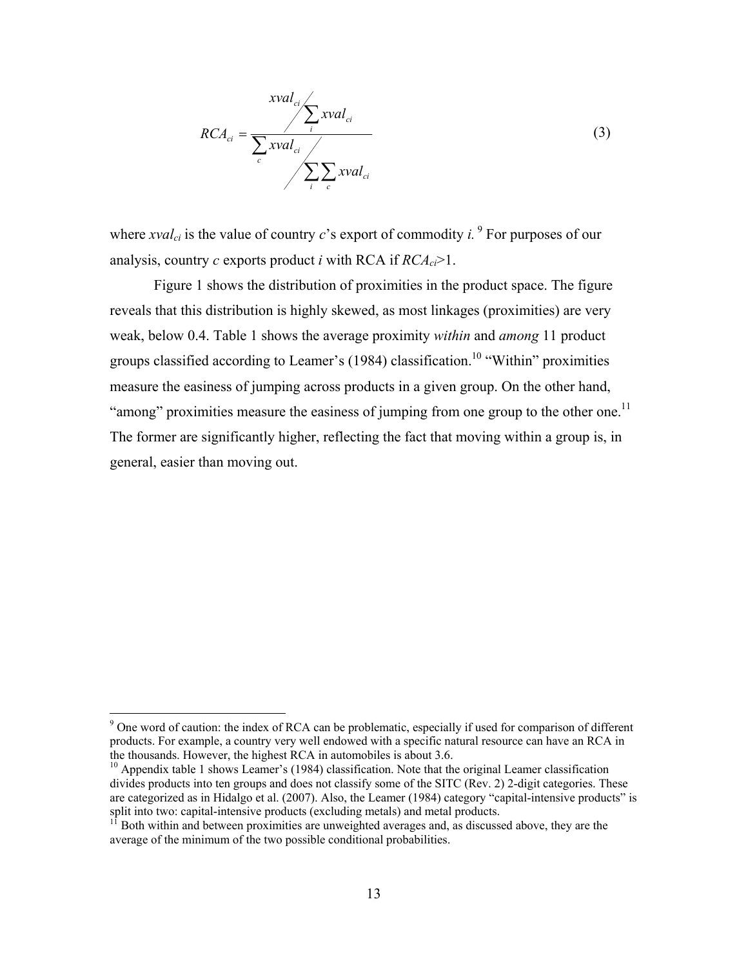$$
KCA_{ci} = \frac{\sum_{i} xval_{ci}}{\sum_{c} xval_{ci}}\n \tag{3}
$$

where  $xval_{ci}$  is the value of country *c*'s export of commodity *i*. <sup>9</sup> For purposes of our analysis, country *c* exports product *i* with RCA if  $RCA_{ci} > 1$ .

Figure 1 shows the distribution of proximities in the product space. The figure reveals that this distribution is highly skewed, as most linkages (proximities) are very weak, below 0.4. Table 1 shows the average proximity *within* and *among* 11 product groups classified according to Leamer's (1984) classification.<sup>10</sup> "Within" proximities measure the easiness of jumping across products in a given group. On the other hand, "among" proximities measure the easiness of jumping from one group to the other one.<sup>11</sup> The former are significantly higher, reflecting the fact that moving within a group is, in general, easier than moving out.

<sup>&</sup>lt;sup>9</sup> One word of caution: the index of RCA can be problematic, especially if used for comparison of different products. For example, a country very well endowed with a specific natural resource can have an RCA in the thousands. However, the highest RCA in automobiles is about 3.6.

 $10$  Appendix table 1 shows Leamer's (1984) classification. Note that the original Leamer classification divides products into ten groups and does not classify some of the SITC (Rev. 2) 2-digit categories. These are categorized as in Hidalgo et al. (2007). Also, the Leamer (1984) category "capital-intensive products" is split into two: capital-intensive products (excluding metals) and metal products.

<sup>11</sup> Both within and between proximities are unweighted averages and, as discussed above, they are the average of the minimum of the two possible conditional probabilities.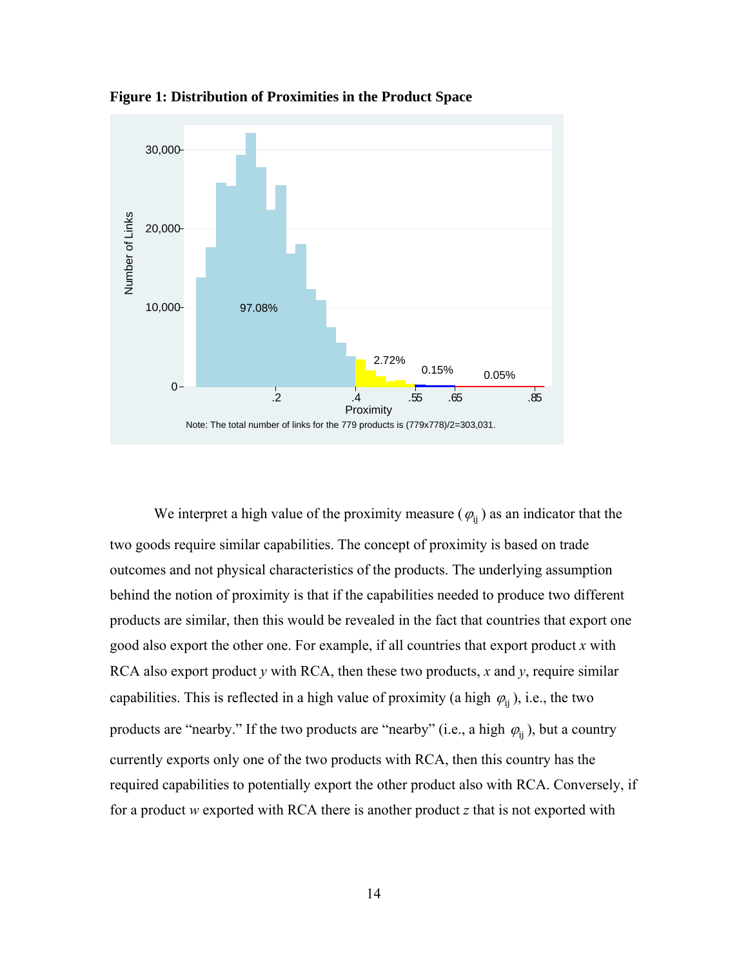

**Figure 1: Distribution of Proximities in the Product Space** 

We interpret a high value of the proximity measure ( $\varphi_{ij}$ ) as an indicator that the two goods require similar capabilities. The concept of proximity is based on trade outcomes and not physical characteristics of the products. The underlying assumption behind the notion of proximity is that if the capabilities needed to produce two different products are similar, then this would be revealed in the fact that countries that export one good also export the other one. For example, if all countries that export product *x* with RCA also export product *y* with RCA, then these two products, *x* and *y*, require similar capabilities. This is reflected in a high value of proximity (a high  $\varphi_{ii}$ ), i.e., the two products are "nearby." If the two products are "nearby" (i.e., a high  $\varphi_{ij}$ ), but a country currently exports only one of the two products with RCA, then this country has the required capabilities to potentially export the other product also with RCA. Conversely, if for a product *w* exported with RCA there is another product *z* that is not exported with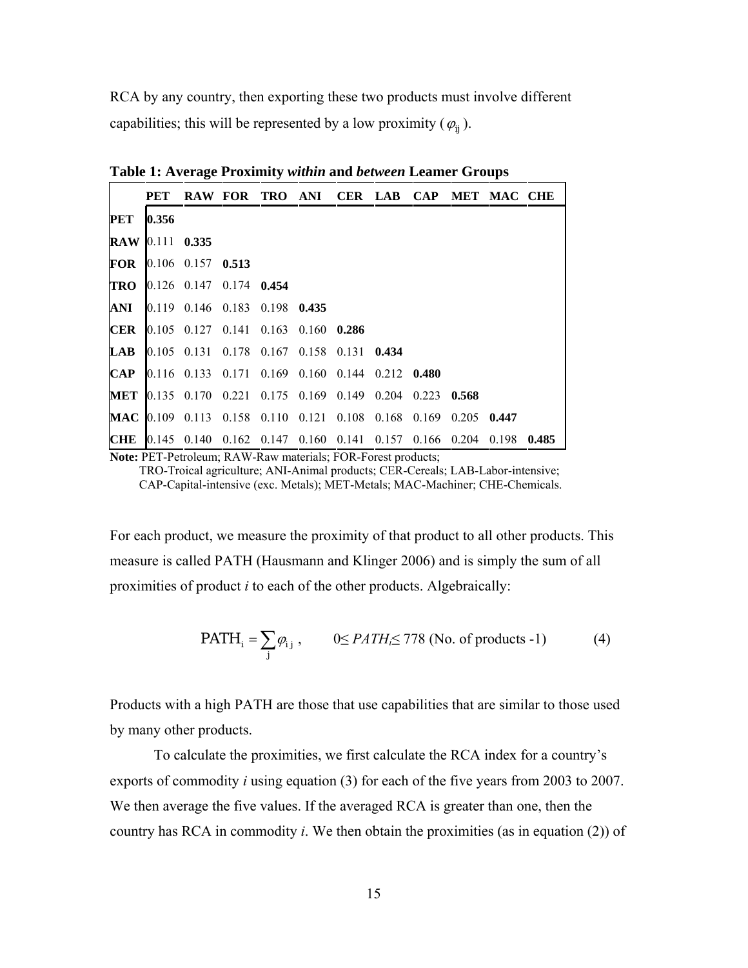RCA by any country, then exporting these two products must involve different capabilities; this will be represented by a low proximity  $(\varphi_{ii})$ .

|                        | PET   |                                                                                                                                      |  |  |  | RAW FOR TRO ANI CER LAB CAP MET MAC CHE |  |
|------------------------|-------|--------------------------------------------------------------------------------------------------------------------------------------|--|--|--|-----------------------------------------|--|
| PET                    | 0.356 |                                                                                                                                      |  |  |  |                                         |  |
| <b>RAW 0.111 0.335</b> |       |                                                                                                                                      |  |  |  |                                         |  |
|                        |       | <b>FOR</b> $\begin{bmatrix} 0.106 & 0.157 & 0.513 \end{bmatrix}$                                                                     |  |  |  |                                         |  |
|                        |       | <b>TRO</b> 0.126 0.147 0.174 0.454                                                                                                   |  |  |  |                                         |  |
|                        |       | <b>ANI</b> 0.119 0.146 0.183 0.198 0.435                                                                                             |  |  |  |                                         |  |
|                        |       | CER $\vert 0.105 \vert 0.127 \vert 0.141 \vert 0.163 \vert 0.160 \vert 0.286$                                                        |  |  |  |                                         |  |
|                        |       | <b>LAB</b> $\begin{bmatrix} 0.105 & 0.131 & 0.178 & 0.167 & 0.158 & 0.131 & 0.434 \end{bmatrix}$                                     |  |  |  |                                         |  |
|                        |       | <b>CAP</b> $[0.116 \t0.133 \t0.171 \t0.169 \t0.160 \t0.144 \t0.212 \t0.480$                                                          |  |  |  |                                         |  |
|                        |       | <b>MET</b> 0.135 0.170 0.221 0.175 0.169 0.149 0.204 0.223 0.568                                                                     |  |  |  |                                         |  |
|                        |       | MAC 0.109 0.113 0.158 0.110 0.121 0.108 0.168 0.169 0.205 0.447                                                                      |  |  |  |                                         |  |
|                        |       | <b>CHE</b> $\begin{array}{cccccc} 0.145 & 0.140 & 0.162 & 0.147 & 0.160 & 0.141 & 0.157 & 0.166 & 0.204 & 0.198 & 0.485 \end{array}$ |  |  |  |                                         |  |

**Table 1: Average Proximity** *within* **and** *between* **Leamer Groups** 

**Note:** PET-Petroleum; RAW-Raw materials; FOR-Forest products;

TRO-Troical agriculture; ANI-Animal products; CER-Cereals; LAB-Labor-intensive; CAP-Capital-intensive (exc. Metals); MET-Metals; MAC-Machiner; CHE-Chemicals.

For each product, we measure the proximity of that product to all other products. This measure is called PATH (Hausmann and Klinger 2006) and is simply the sum of all proximities of product *i* to each of the other products. Algebraically:

$$
PATH_i = \sum_j \varphi_{ij}, \qquad 0 \leq PATH_i \leq 778 \text{ (No. of products -1)} \tag{4}
$$

Products with a high PATH are those that use capabilities that are similar to those used by many other products.

To calculate the proximities, we first calculate the RCA index for a country's exports of commodity *i* using equation (3) for each of the five years from 2003 to 2007. We then average the five values. If the averaged RCA is greater than one, then the country has RCA in commodity *i*. We then obtain the proximities (as in equation (2)) of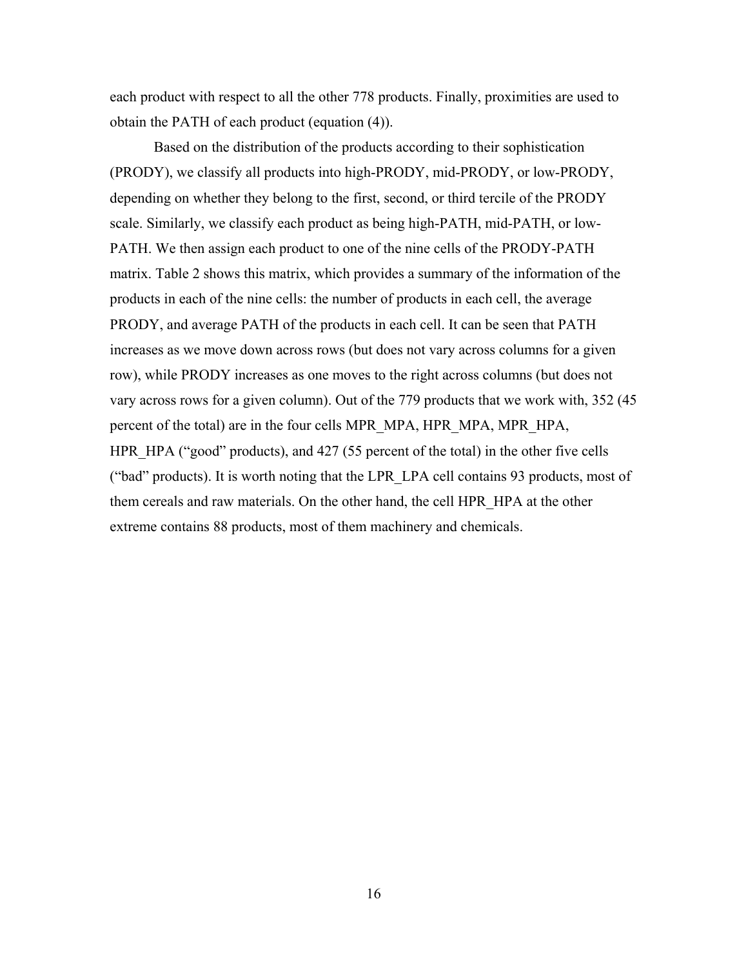each product with respect to all the other 778 products. Finally, proximities are used to obtain the PATH of each product (equation (4)).

Based on the distribution of the products according to their sophistication (PRODY), we classify all products into high-PRODY, mid-PRODY, or low-PRODY, depending on whether they belong to the first, second, or third tercile of the PRODY scale. Similarly, we classify each product as being high-PATH, mid-PATH, or low-PATH. We then assign each product to one of the nine cells of the PRODY-PATH matrix. Table 2 shows this matrix, which provides a summary of the information of the products in each of the nine cells: the number of products in each cell, the average PRODY, and average PATH of the products in each cell. It can be seen that PATH increases as we move down across rows (but does not vary across columns for a given row), while PRODY increases as one moves to the right across columns (but does not vary across rows for a given column). Out of the 779 products that we work with, 352 (45 percent of the total) are in the four cells MPR\_MPA, HPR\_MPA, MPR\_HPA, HPR HPA ("good" products), and 427 (55 percent of the total) in the other five cells ("bad" products). It is worth noting that the LPR\_LPA cell contains 93 products, most of them cereals and raw materials. On the other hand, the cell HPR\_HPA at the other extreme contains 88 products, most of them machinery and chemicals.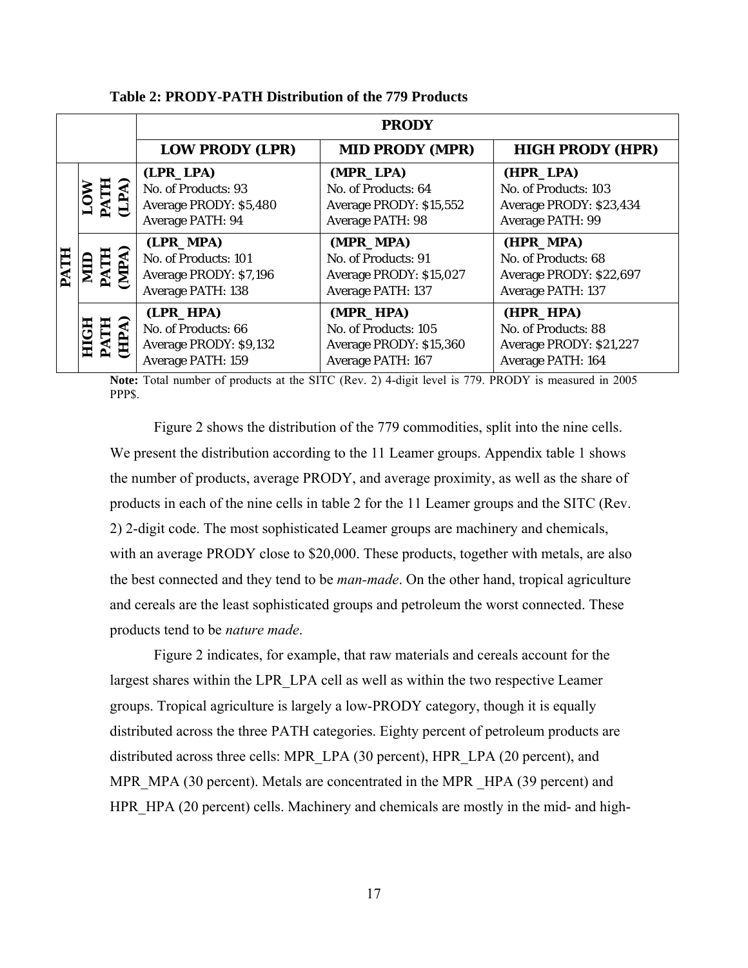|                       |                                                                                         | <b>PRODY</b>                                                                             |                                                                                         |
|-----------------------|-----------------------------------------------------------------------------------------|------------------------------------------------------------------------------------------|-----------------------------------------------------------------------------------------|
|                       | <b>LOW PRODY (LPR)</b>                                                                  | <b>MID PRODY (MPR)</b>                                                                   | <b>HIGH PRODY (HPR)</b>                                                                 |
| LOW<br>PATH<br>(LPA)  | (LPR_LPA)<br>No. of Products: 93<br>Average PRODY: \$5,480<br><b>Average PATH: 94</b>   | (MPR_LPA)<br>No. of Products: 64<br>Average PRODY: \$15,552<br><b>Average PATH: 98</b>   | (HPR_LPA)<br>No. of Products: 103<br>Average PRODY: \$23,434<br><b>Average PATH: 99</b> |
| MID<br>PATH<br>(MPA)  | (LPR_MPA)<br>No. of Products: 101<br>Average PRODY: \$7,196<br><b>Average PATH: 138</b> | (MPR_MPA)<br>No. of Products: 91<br>Average PRODY: \$15,027<br><b>Average PATH: 137</b>  | (HPR_MPA)<br>No. of Products: 68<br>Average PRODY: \$22,697<br><b>Average PATH: 137</b> |
| HIGH<br>PATH<br>(HPA) | (LPR_HPA)<br>No. of Products: 66<br>Average PRODY: \$9,132<br><b>Average PATH: 159</b>  | (MPR_HPA)<br>No. of Products: 105<br>Average PRODY: \$15,360<br><b>Average PATH: 167</b> | (HPR_HPA)<br>No. of Products: 88<br>Average PRODY: \$21,227<br><b>Average PATH: 164</b> |

**Table 2: PRODY-PATH Distribution of the 779 Products** 

**Note:** Total number of products at the SITC (Rev. 2) 4-digit level is 779. PRODY is measured in 2005 PPP\$.

Figure 2 shows the distribution of the 779 commodities, split into the nine cells. We present the distribution according to the 11 Leamer groups. Appendix table 1 shows the number of products, average PRODY, and average proximity, as well as the share of products in each of the nine cells in table 2 for the 11 Leamer groups and the SITC (Rev. 2) 2-digit code. The most sophisticated Leamer groups are machinery and chemicals, with an average PRODY close to \$20,000. These products, together with metals, are also the best connected and they tend to be *man-made*. On the other hand, tropical agriculture and cereals are the least sophisticated groups and petroleum the worst connected. These products tend to be *nature made*.

Figure 2 indicates, for example, that raw materials and cereals account for the largest shares within the LPR\_LPA cell as well as within the two respective Leamer groups. Tropical agriculture is largely a low-PRODY category, though it is equally distributed across the three PATH categories. Eighty percent of petroleum products are distributed across three cells: MPR\_LPA (30 percent), HPR\_LPA (20 percent), and MPR MPA (30 percent). Metals are concentrated in the MPR HPA (39 percent) and HPR HPA (20 percent) cells. Machinery and chemicals are mostly in the mid- and high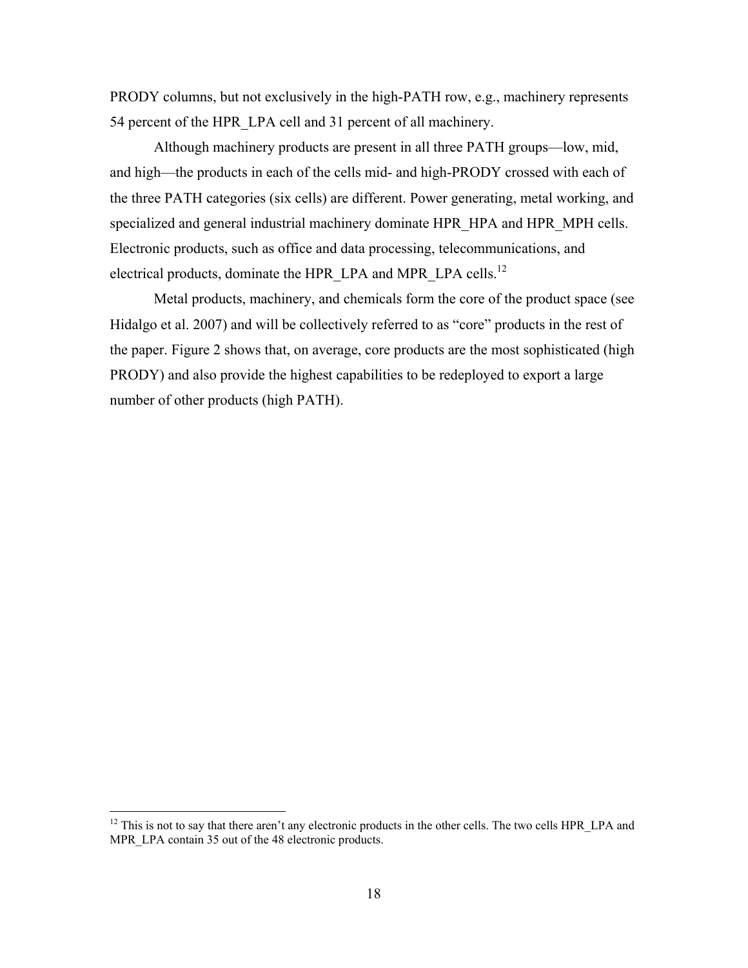PRODY columns, but not exclusively in the high-PATH row, e.g., machinery represents 54 percent of the HPR\_LPA cell and 31 percent of all machinery.

Although machinery products are present in all three PATH groups—low, mid, and high—the products in each of the cells mid- and high-PRODY crossed with each of the three PATH categories (six cells) are different. Power generating, metal working, and specialized and general industrial machinery dominate HPR\_HPA and HPR\_MPH cells. Electronic products, such as office and data processing, telecommunications, and electrical products, dominate the HPR\_LPA and MPR\_LPA cells.<sup>12</sup>

Metal products, machinery, and chemicals form the core of the product space (see Hidalgo et al. 2007) and will be collectively referred to as "core" products in the rest of the paper. Figure 2 shows that, on average, core products are the most sophisticated (high PRODY) and also provide the highest capabilities to be redeployed to export a large number of other products (high PATH).

 $\overline{a}$ 

 $12$  This is not to say that there aren't any electronic products in the other cells. The two cells HPR LPA and MPR\_LPA contain 35 out of the 48 electronic products.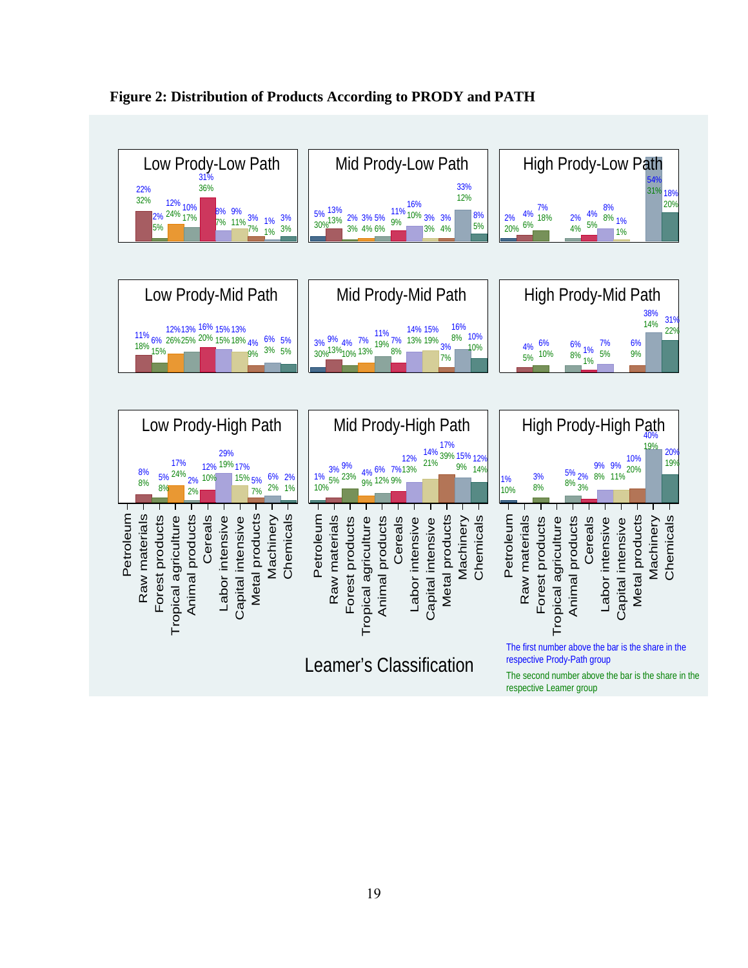

**Figure 2: Distribution of Products According to PRODY and PATH**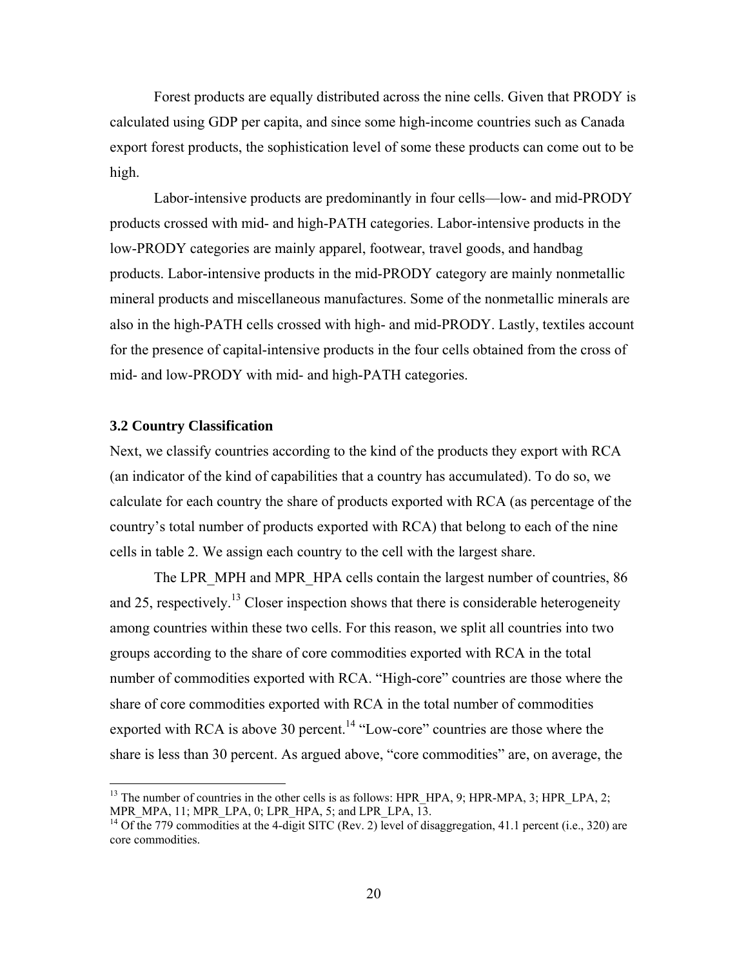Forest products are equally distributed across the nine cells. Given that PRODY is calculated using GDP per capita, and since some high-income countries such as Canada export forest products, the sophistication level of some these products can come out to be high.

Labor-intensive products are predominantly in four cells—low- and mid-PRODY products crossed with mid- and high-PATH categories. Labor-intensive products in the low-PRODY categories are mainly apparel, footwear, travel goods, and handbag products. Labor-intensive products in the mid-PRODY category are mainly nonmetallic mineral products and miscellaneous manufactures. Some of the nonmetallic minerals are also in the high-PATH cells crossed with high- and mid-PRODY. Lastly, textiles account for the presence of capital-intensive products in the four cells obtained from the cross of mid- and low-PRODY with mid- and high-PATH categories.

### **3.2 Country Classification**

 $\overline{a}$ 

Next, we classify countries according to the kind of the products they export with RCA (an indicator of the kind of capabilities that a country has accumulated). To do so, we calculate for each country the share of products exported with RCA (as percentage of the country's total number of products exported with RCA) that belong to each of the nine cells in table 2. We assign each country to the cell with the largest share.

The LPR\_MPH and MPR\_HPA cells contain the largest number of countries, 86 and 25, respectively.<sup>13</sup> Closer inspection shows that there is considerable heterogeneity among countries within these two cells. For this reason, we split all countries into two groups according to the share of core commodities exported with RCA in the total number of commodities exported with RCA. "High-core" countries are those where the share of core commodities exported with RCA in the total number of commodities exported with RCA is above 30 percent.<sup>14</sup> "Low-core" countries are those where the share is less than 30 percent. As argued above, "core commodities" are, on average, the

<sup>&</sup>lt;sup>13</sup> The number of countries in the other cells is as follows: HPR\_HPA, 9; HPR-MPA, 3; HPR\_LPA, 2; MPR\_MPA, 11; MPR\_LPA, 0; LPR\_HPA, 5; and LPR\_LPA,  $\overline{13}$ .<br><sup>14</sup> Of the 779 commodities at the 4-digit SITC (Rev. 2) level of disaggregation, 41.1 percent (i.e., 320) are

core commodities.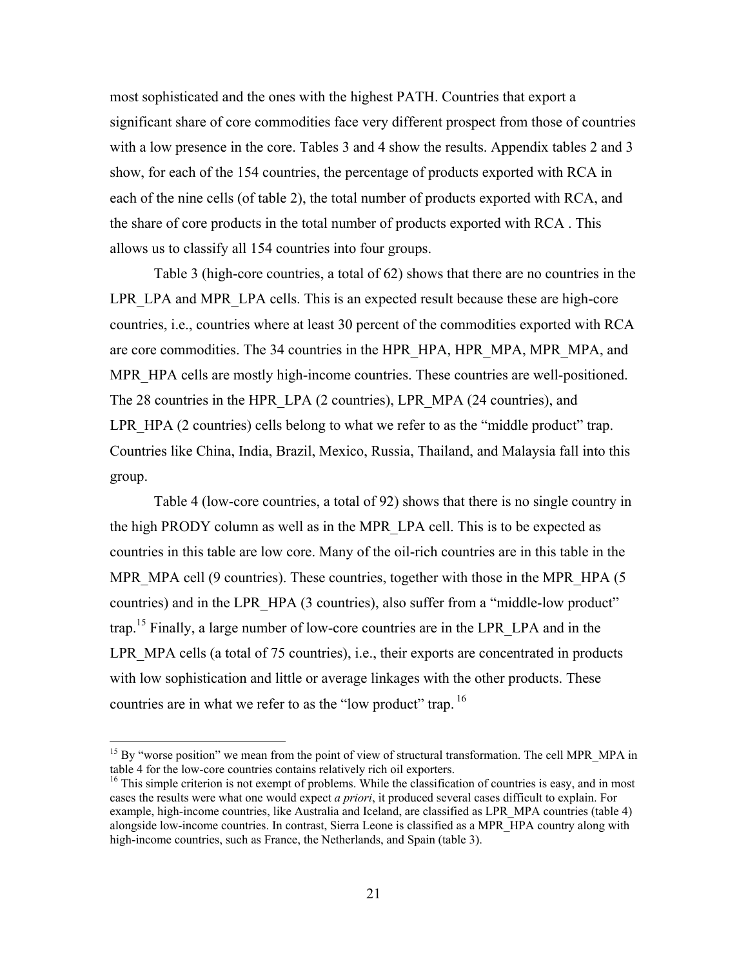most sophisticated and the ones with the highest PATH. Countries that export a significant share of core commodities face very different prospect from those of countries with a low presence in the core. Tables 3 and 4 show the results. Appendix tables 2 and 3 show, for each of the 154 countries, the percentage of products exported with RCA in each of the nine cells (of table 2), the total number of products exported with RCA, and the share of core products in the total number of products exported with RCA . This allows us to classify all 154 countries into four groups.

Table 3 (high-core countries, a total of 62) shows that there are no countries in the LPR\_LPA and MPR\_LPA cells. This is an expected result because these are high-core countries, i.e., countries where at least 30 percent of the commodities exported with RCA are core commodities. The 34 countries in the HPR\_HPA, HPR\_MPA, MPR\_MPA, and MPR HPA cells are mostly high-income countries. These countries are well-positioned. The 28 countries in the HPR\_LPA (2 countries), LPR\_MPA (24 countries), and LPR HPA (2 countries) cells belong to what we refer to as the "middle product" trap. Countries like China, India, Brazil, Mexico, Russia, Thailand, and Malaysia fall into this group.

Table 4 (low-core countries, a total of 92) shows that there is no single country in the high PRODY column as well as in the MPR\_LPA cell. This is to be expected as countries in this table are low core. Many of the oil-rich countries are in this table in the MPR MPA cell (9 countries). These countries, together with those in the MPR HPA (5 countries) and in the LPR\_HPA (3 countries), also suffer from a "middle-low product" trap.<sup>15</sup> Finally, a large number of low-core countries are in the LPR LPA and in the LPR MPA cells (a total of 75 countries), i.e., their exports are concentrated in products with low sophistication and little or average linkages with the other products. These countries are in what we refer to as the "low product" trap. <sup>16</sup>

 $\overline{a}$ 

<sup>&</sup>lt;sup>15</sup> By "worse position" we mean from the point of view of structural transformation. The cell MPR\_MPA in table 4 for the low-core countries contains relatively rich oil exporters.<br><sup>16</sup> This simple criterion is not exempt of problems. While the classification of countries is easy, and in most

cases the results were what one would expect *a priori*, it produced several cases difficult to explain. For example, high-income countries, like Australia and Iceland, are classified as LPR\_MPA countries (table 4) alongside low-income countries. In contrast, Sierra Leone is classified as a MPR\_HPA country along with high-income countries, such as France, the Netherlands, and Spain (table 3).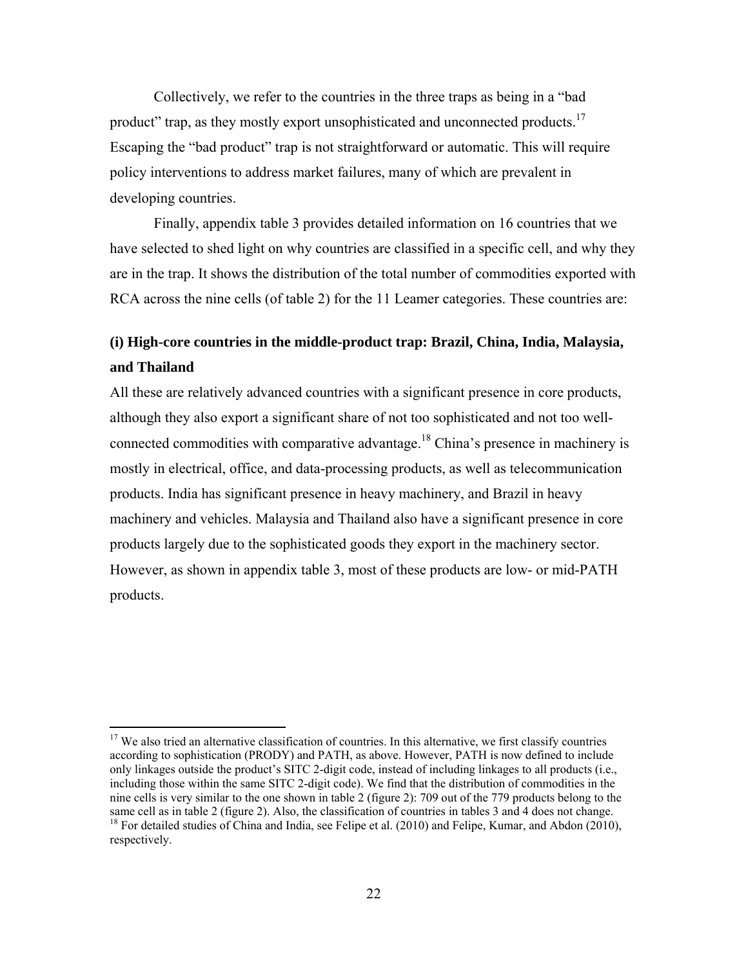Collectively, we refer to the countries in the three traps as being in a "bad product" trap, as they mostly export unsophisticated and unconnected products.<sup>17</sup> Escaping the "bad product" trap is not straightforward or automatic. This will require policy interventions to address market failures, many of which are prevalent in developing countries.

Finally, appendix table 3 provides detailed information on 16 countries that we have selected to shed light on why countries are classified in a specific cell, and why they are in the trap. It shows the distribution of the total number of commodities exported with RCA across the nine cells (of table 2) for the 11 Leamer categories. These countries are:

## **(i) High-core countries in the middle-product trap: Brazil, China, India, Malaysia, and Thailand**

All these are relatively advanced countries with a significant presence in core products, although they also export a significant share of not too sophisticated and not too wellconnected commodities with comparative advantage.18 China's presence in machinery is mostly in electrical, office, and data-processing products, as well as telecommunication products. India has significant presence in heavy machinery, and Brazil in heavy machinery and vehicles. Malaysia and Thailand also have a significant presence in core products largely due to the sophisticated goods they export in the machinery sector. However, as shown in appendix table 3, most of these products are low- or mid-PATH products.

 $\overline{a}$ 

<sup>&</sup>lt;sup>17</sup> We also tried an alternative classification of countries. In this alternative, we first classify countries according to sophistication (PRODY) and PATH, as above. However, PATH is now defined to include only linkages outside the product's SITC 2-digit code, instead of including linkages to all products (i.e., including those within the same SITC 2-digit code). We find that the distribution of commodities in the nine cells is very similar to the one shown in table 2 (figure 2): 709 out of the 779 products belong to the same cell as in table 2 (figure 2). Also, the classification of countries in tables 3 and 4 does not change. <sup>18</sup> For detailed studies of China and India, see Felipe et al. (2010) and Felipe, Kumar, and Abdon (2010), respectively.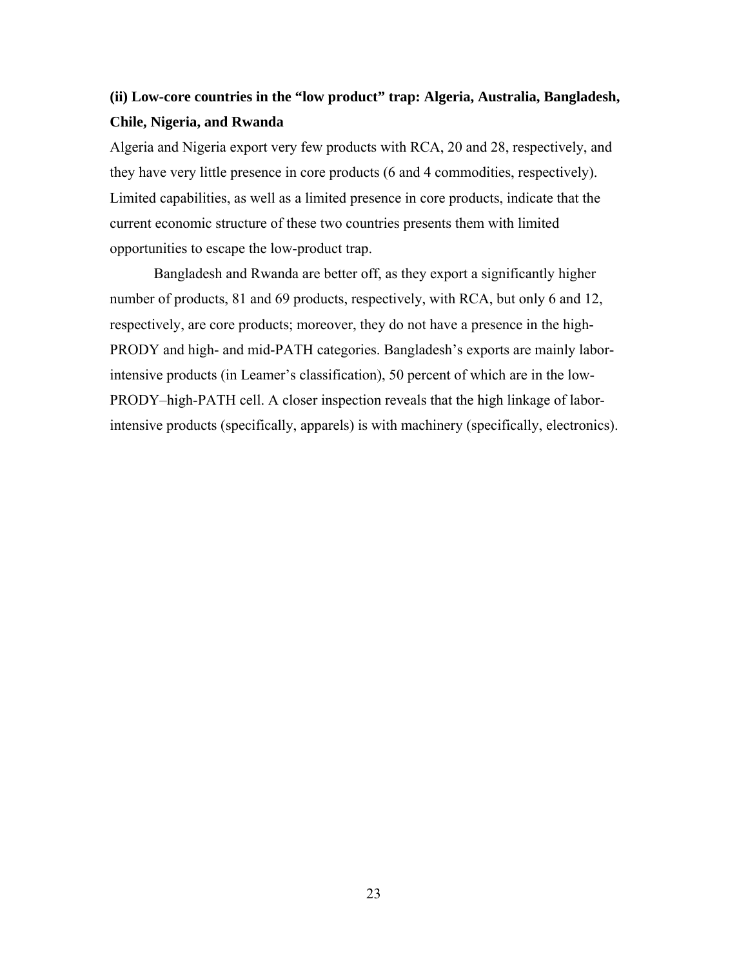# **(ii) Low-core countries in the "low product" trap: Algeria, Australia, Bangladesh, Chile, Nigeria, and Rwanda**

Algeria and Nigeria export very few products with RCA, 20 and 28, respectively, and they have very little presence in core products (6 and 4 commodities, respectively). Limited capabilities, as well as a limited presence in core products, indicate that the current economic structure of these two countries presents them with limited opportunities to escape the low-product trap.

Bangladesh and Rwanda are better off, as they export a significantly higher number of products, 81 and 69 products, respectively, with RCA, but only 6 and 12, respectively, are core products; moreover, they do not have a presence in the high-PRODY and high- and mid-PATH categories. Bangladesh's exports are mainly laborintensive products (in Leamer's classification), 50 percent of which are in the low-PRODY–high-PATH cell. A closer inspection reveals that the high linkage of laborintensive products (specifically, apparels) is with machinery (specifically, electronics).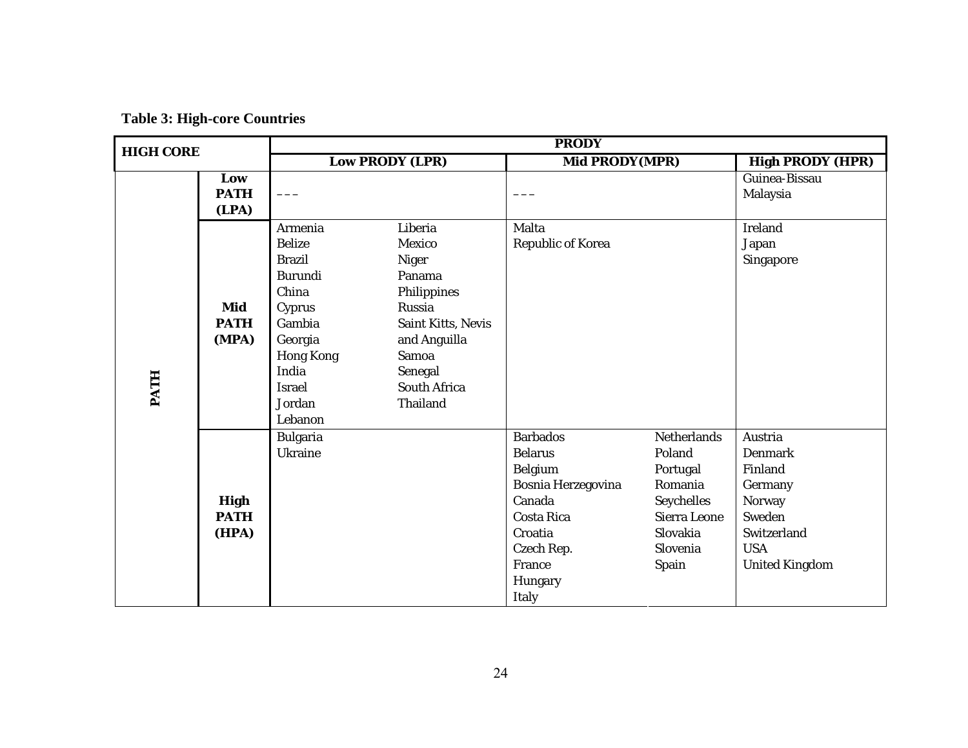| <b>Table 3: High-core Countries</b> |  |
|-------------------------------------|--|
|-------------------------------------|--|

| <b>HIGH CORE</b> |                                     |                                                                                                                                                                        |                                                                                                                                                                          | <b>PRODY</b>                                                                                                                                             |                                                                                                                                  |                                                                                                                           |
|------------------|-------------------------------------|------------------------------------------------------------------------------------------------------------------------------------------------------------------------|--------------------------------------------------------------------------------------------------------------------------------------------------------------------------|----------------------------------------------------------------------------------------------------------------------------------------------------------|----------------------------------------------------------------------------------------------------------------------------------|---------------------------------------------------------------------------------------------------------------------------|
|                  |                                     |                                                                                                                                                                        | <b>Low PRODY (LPR)</b>                                                                                                                                                   | Mid PRODY(MPR)                                                                                                                                           |                                                                                                                                  | <b>High PRODY (HPR)</b>                                                                                                   |
|                  | Low<br><b>PATH</b><br>(LPA)         |                                                                                                                                                                        |                                                                                                                                                                          |                                                                                                                                                          |                                                                                                                                  | Guinea-Bissau<br>Malaysia                                                                                                 |
| <b>PATH</b>      | Mid<br><b>PATH</b><br>(MPA)         | Armenia<br><b>Belize</b><br><b>Brazil</b><br><b>Burundi</b><br>China<br>Cyprus<br>Gambia<br>Georgia<br><b>Hong Kong</b><br>India<br><b>Israel</b><br>Jordan<br>Lebanon | Liberia<br>Mexico<br><b>Niger</b><br>Panama<br>Philippines<br>Russia<br>Saint Kitts, Nevis<br>and Anguilla<br><b>Samoa</b><br>Senegal<br><b>South Africa</b><br>Thailand | Malta<br><b>Republic of Korea</b>                                                                                                                        |                                                                                                                                  | <b>Ireland</b><br>Japan<br>Singapore                                                                                      |
|                  | <b>High</b><br><b>PATH</b><br>(HPA) | <b>Bulgaria</b><br>Ukraine                                                                                                                                             |                                                                                                                                                                          | <b>Barbados</b><br><b>Belarus</b><br>Belgium<br>Bosnia Herzegovina<br>Canada<br><b>Costa Rica</b><br>Croatia<br>Czech Rep.<br>France<br>Hungary<br>Italy | <b>Netherlands</b><br>Poland<br>Portugal<br>Romania<br><b>Seychelles</b><br><b>Sierra Leone</b><br>Slovakia<br>Slovenia<br>Spain | Austria<br><b>Denmark</b><br>Finland<br>Germany<br>Norway<br>Sweden<br>Switzerland<br><b>USA</b><br><b>United Kingdom</b> |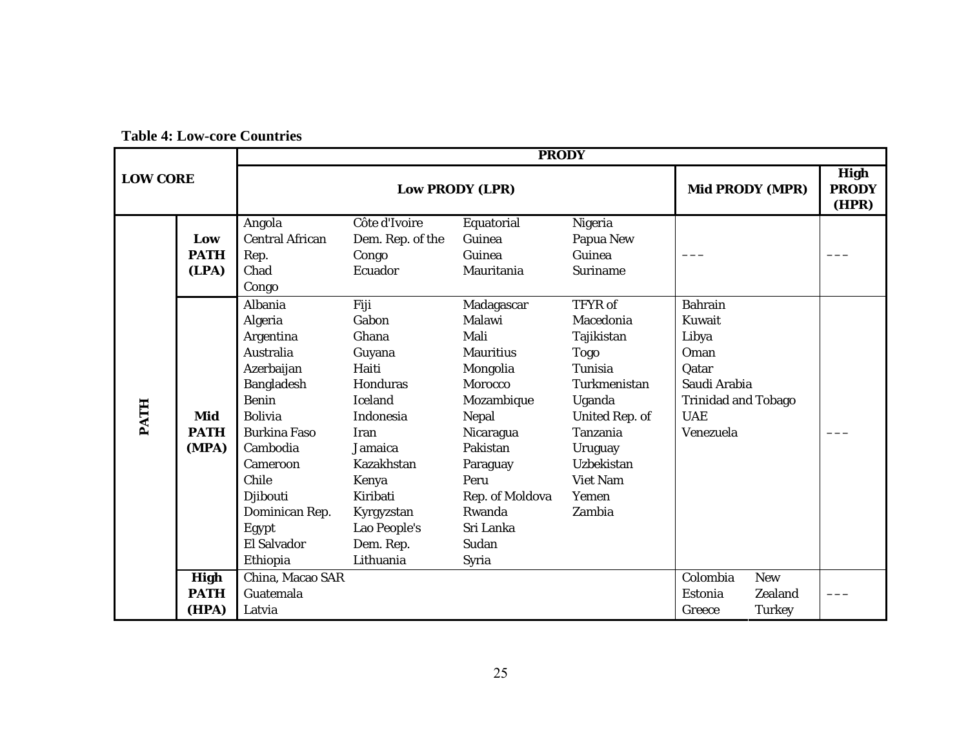| <b>Table 4: Low-core Countries</b> |
|------------------------------------|
|------------------------------------|

|                 |                                     |                                                                                                                                                                                                                                                                                                                                                                                                                                        |                                                       |                                                                                                                                                                                                                | <b>PRODY</b>                                                                                                                                                                        |                                                                                                                             |  |
|-----------------|-------------------------------------|----------------------------------------------------------------------------------------------------------------------------------------------------------------------------------------------------------------------------------------------------------------------------------------------------------------------------------------------------------------------------------------------------------------------------------------|-------------------------------------------------------|----------------------------------------------------------------------------------------------------------------------------------------------------------------------------------------------------------------|-------------------------------------------------------------------------------------------------------------------------------------------------------------------------------------|-----------------------------------------------------------------------------------------------------------------------------|--|
| <b>LOW CORE</b> |                                     |                                                                                                                                                                                                                                                                                                                                                                                                                                        | <b>Low PRODY (LPR)</b>                                | Mid PRODY (MPR)                                                                                                                                                                                                | <b>High</b><br><b>PRODY</b><br>(HPR)                                                                                                                                                |                                                                                                                             |  |
|                 | Low<br><b>PATH</b><br>(LPA)         | Angola<br><b>Central African</b><br>Rep.<br>Chad<br>Congo                                                                                                                                                                                                                                                                                                                                                                              | Côte d'Ivoire<br>Dem. Rep. of the<br>Congo<br>Ecuador | Equatorial<br>Guinea<br>Guinea<br>Mauritania                                                                                                                                                                   | Nigeria<br>Papua New<br>Guinea<br><b>Suriname</b>                                                                                                                                   |                                                                                                                             |  |
| <b>PATH</b>     | Mid<br><b>PATH</b><br>(MPA)         | Albania<br>Fiji<br>Algeria<br>Gabon<br>Ghana<br><b>Argentina</b><br><b>Australia</b><br>Guyana<br>Azerbaijan<br>Haiti<br><b>Bangladesh</b><br>Honduras<br><b>Benin</b><br>Iceland<br><b>Bolivia</b><br>Indonesia<br><b>Burkina Faso</b><br>Iran<br>Cambodia<br>Jamaica<br>Kazakhstan<br>Cameroon<br>Chile<br>Kenya<br>Djibouti<br>Kiribati<br>Dominican Rep.<br>Kyrgyzstan<br>Egypt<br>Lao People's<br><b>El Salvador</b><br>Dem. Rep. |                                                       | Madagascar<br>Malawi<br>Mali<br><b>Mauritius</b><br>Mongolia<br>Morocco<br>Mozambique<br><b>Nepal</b><br>Nicaragua<br>Pakistan<br>Paraguay<br>Peru<br>Rep. of Moldova<br>Rwanda<br>Sri Lanka<br>Sudan<br>Syria | TFYR of<br>Macedonia<br>Tajikistan<br><b>Togo</b><br>Tunisia<br>Turkmenistan<br>Uganda<br>United Rep. of<br>Tanzania<br>Uruguay<br><b>Uzbekistan</b><br>Viet Nam<br>Yemen<br>Zambia | <b>Bahrain</b><br>Kuwait<br>Libya<br>Oman<br>Qatar<br>Saudi Arabia<br><b>Trinidad and Tobago</b><br><b>UAE</b><br>Venezuela |  |
|                 | <b>High</b><br><b>PATH</b><br>(HPA) | China, Macao SAR<br>Guatemala<br>Latvia                                                                                                                                                                                                                                                                                                                                                                                                |                                                       |                                                                                                                                                                                                                |                                                                                                                                                                                     | Colombia<br><b>New</b><br><b>Zealand</b><br>Estonia<br><b>Turkey</b><br>Greece                                              |  |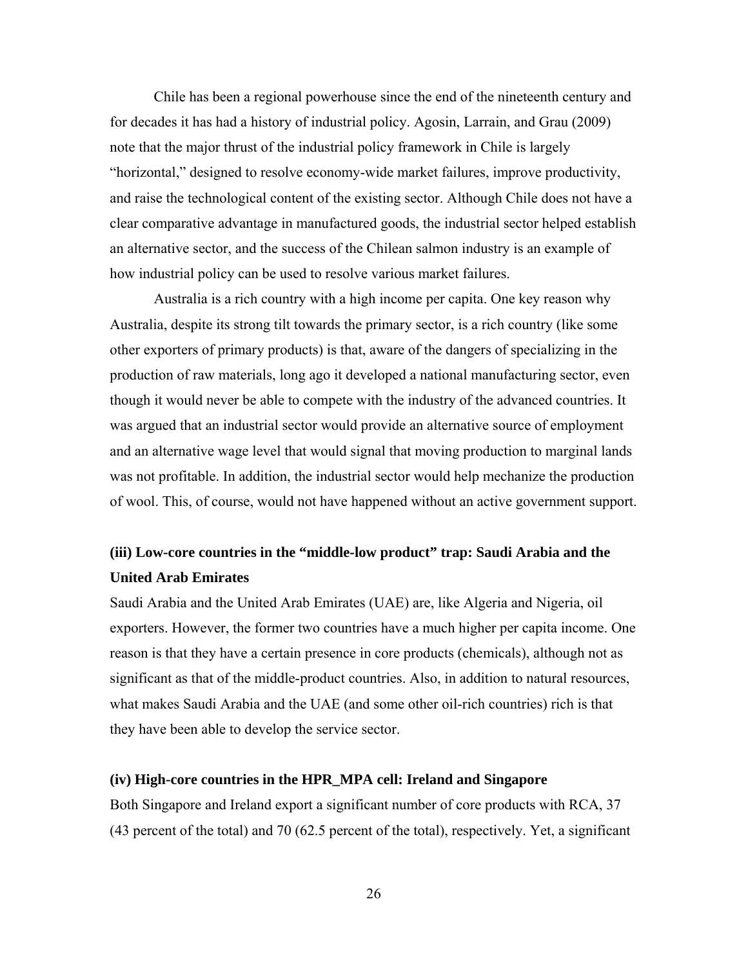Chile has been a regional powerhouse since the end of the nineteenth century and for decades it has had a history of industrial policy. Agosin, Larrain, and Grau (2009) note that the major thrust of the industrial policy framework in Chile is largely "horizontal," designed to resolve economy-wide market failures, improve productivity, and raise the technological content of the existing sector. Although Chile does not have a clear comparative advantage in manufactured goods, the industrial sector helped establish an alternative sector, and the success of the Chilean salmon industry is an example of how industrial policy can be used to resolve various market failures.

Australia is a rich country with a high income per capita. One key reason why Australia, despite its strong tilt towards the primary sector, is a rich country (like some other exporters of primary products) is that, aware of the dangers of specializing in the production of raw materials, long ago it developed a national manufacturing sector, even though it would never be able to compete with the industry of the advanced countries. It was argued that an industrial sector would provide an alternative source of employment and an alternative wage level that would signal that moving production to marginal lands was not profitable. In addition, the industrial sector would help mechanize the production of wool. This, of course, would not have happened without an active government support.

## **(iii) Low-core countries in the "middle-low product" trap: Saudi Arabia and the United Arab Emirates**

Saudi Arabia and the United Arab Emirates (UAE) are, like Algeria and Nigeria, oil exporters. However, the former two countries have a much higher per capita income. One reason is that they have a certain presence in core products (chemicals), although not as significant as that of the middle-product countries. Also, in addition to natural resources, what makes Saudi Arabia and the UAE (and some other oil-rich countries) rich is that they have been able to develop the service sector.

## **(iv) High-core countries in the HPR\_MPA cell: Ireland and Singapore**

Both Singapore and Ireland export a significant number of core products with RCA, 37 (43 percent of the total) and 70 (62.5 percent of the total), respectively. Yet, a significant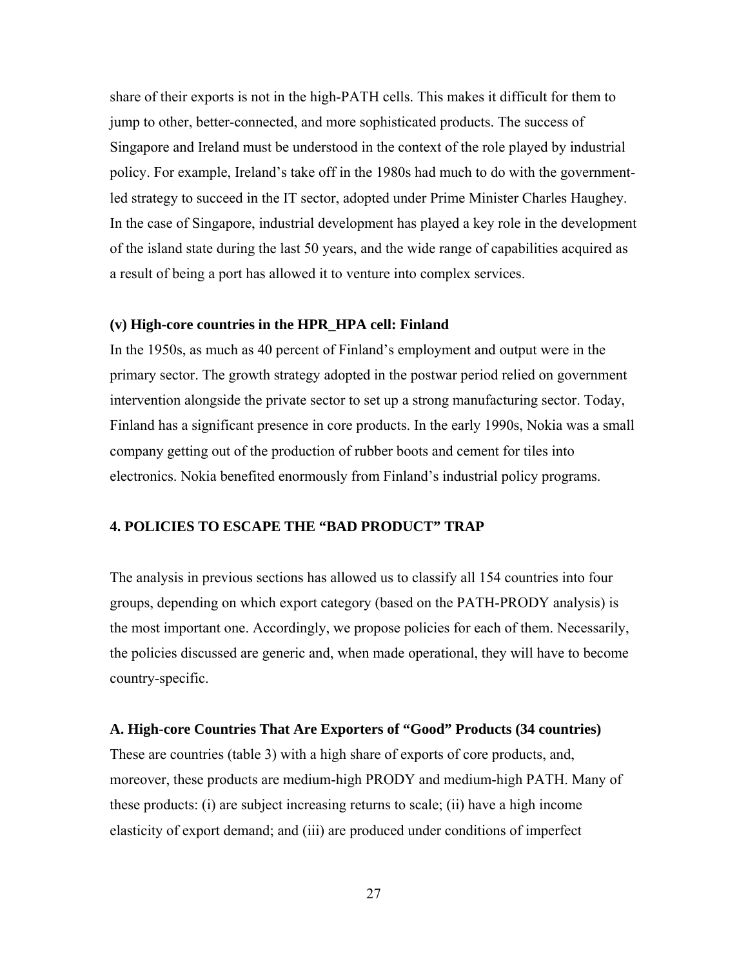share of their exports is not in the high-PATH cells. This makes it difficult for them to jump to other, better-connected, and more sophisticated products. The success of Singapore and Ireland must be understood in the context of the role played by industrial policy. For example, Ireland's take off in the 1980s had much to do with the governmentled strategy to succeed in the IT sector, adopted under Prime Minister Charles Haughey. In the case of Singapore, industrial development has played a key role in the development of the island state during the last 50 years, and the wide range of capabilities acquired as a result of being a port has allowed it to venture into complex services.

### **(v) High-core countries in the HPR\_HPA cell: Finland**

In the 1950s, as much as 40 percent of Finland's employment and output were in the primary sector. The growth strategy adopted in the postwar period relied on government intervention alongside the private sector to set up a strong manufacturing sector. Today, Finland has a significant presence in core products. In the early 1990s, Nokia was a small company getting out of the production of rubber boots and cement for tiles into electronics. Nokia benefited enormously from Finland's industrial policy programs.

## **4. POLICIES TO ESCAPE THE "BAD PRODUCT" TRAP**

The analysis in previous sections has allowed us to classify all 154 countries into four groups, depending on which export category (based on the PATH-PRODY analysis) is the most important one. Accordingly, we propose policies for each of them. Necessarily, the policies discussed are generic and, when made operational, they will have to become country-specific.

#### **A. High-core Countries That Are Exporters of "Good" Products (34 countries)**

These are countries (table 3) with a high share of exports of core products, and, moreover, these products are medium-high PRODY and medium-high PATH. Many of these products: (i) are subject increasing returns to scale; (ii) have a high income elasticity of export demand; and (iii) are produced under conditions of imperfect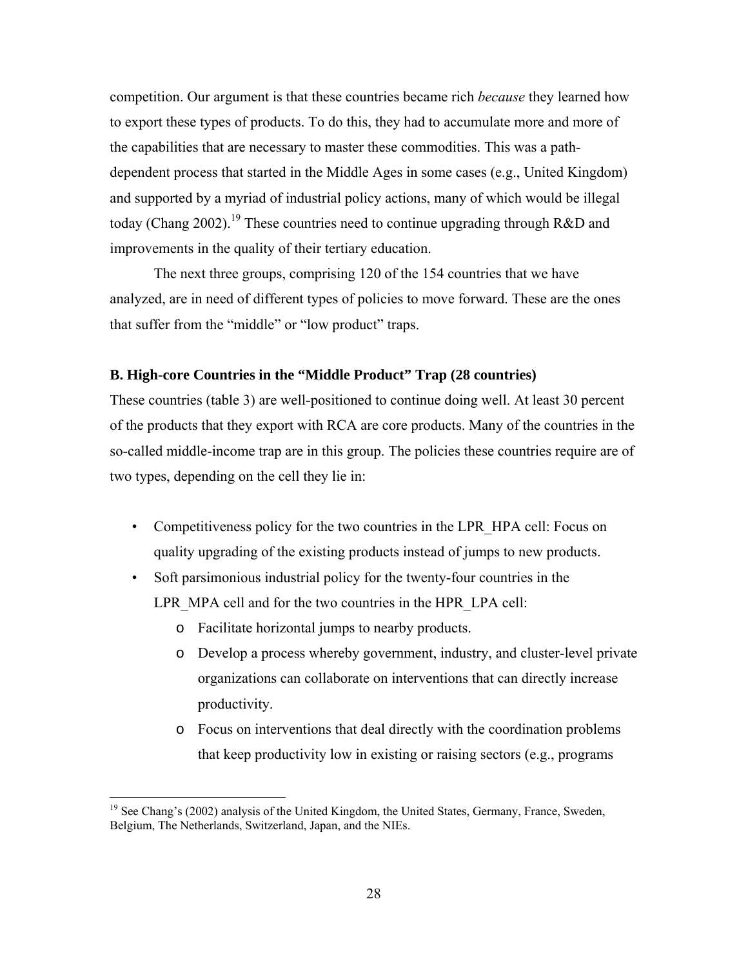competition. Our argument is that these countries became rich *because* they learned how to export these types of products. To do this, they had to accumulate more and more of the capabilities that are necessary to master these commodities. This was a pathdependent process that started in the Middle Ages in some cases (e.g., United Kingdom) and supported by a myriad of industrial policy actions, many of which would be illegal today (Chang 2002).<sup>19</sup> These countries need to continue upgrading through R&D and improvements in the quality of their tertiary education.

The next three groups, comprising 120 of the 154 countries that we have analyzed, are in need of different types of policies to move forward. These are the ones that suffer from the "middle" or "low product" traps.

#### **B. High-core Countries in the "Middle Product" Trap (28 countries)**

These countries (table 3) are well-positioned to continue doing well. At least 30 percent of the products that they export with RCA are core products. Many of the countries in the so-called middle-income trap are in this group. The policies these countries require are of two types, depending on the cell they lie in:

- Competitiveness policy for the two countries in the LPR HPA cell: Focus on quality upgrading of the existing products instead of jumps to new products.
- Soft parsimonious industrial policy for the twenty-four countries in the LPR MPA cell and for the two countries in the HPR LPA cell:
	- o Facilitate horizontal jumps to nearby products.

 $\overline{a}$ 

- o Develop a process whereby government, industry, and cluster-level private organizations can collaborate on interventions that can directly increase productivity.
- o Focus on interventions that deal directly with the coordination problems that keep productivity low in existing or raising sectors (e.g., programs

<sup>&</sup>lt;sup>19</sup> See Chang's (2002) analysis of the United Kingdom, the United States, Germany, France, Sweden, Belgium, The Netherlands, Switzerland, Japan, and the NIEs.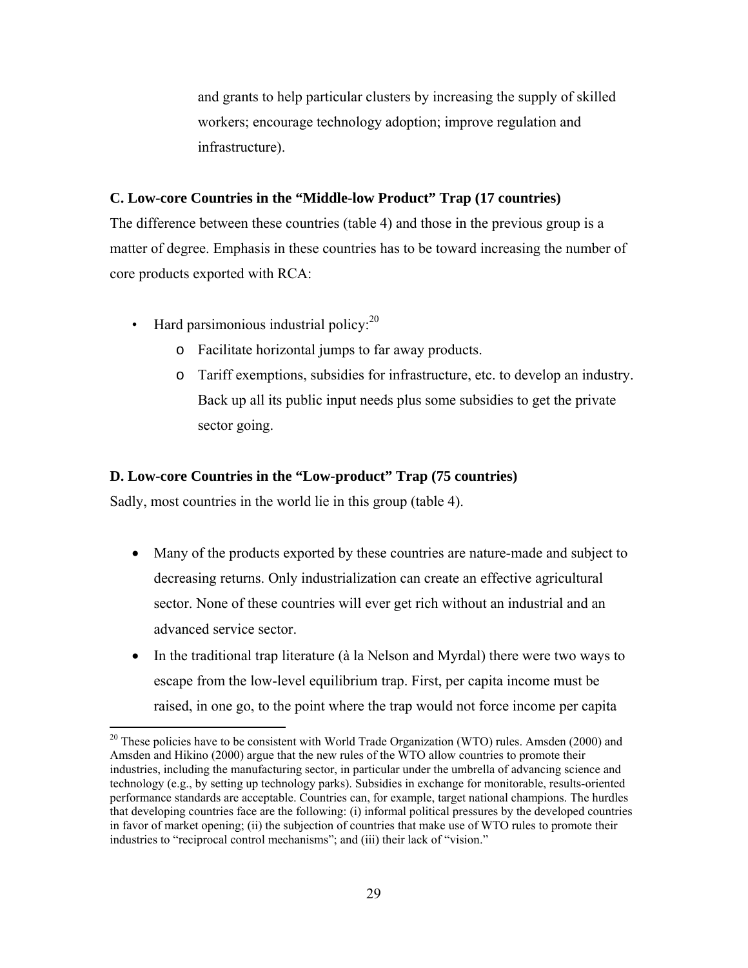and grants to help particular clusters by increasing the supply of skilled workers; encourage technology adoption; improve regulation and infrastructure).

## **C. Low-core Countries in the "Middle-low Product" Trap (17 countries)**

The difference between these countries (table 4) and those in the previous group is a matter of degree. Emphasis in these countries has to be toward increasing the number of core products exported with RCA:

- Hard parsimonious industrial policy: $^{20}$ 
	- o Facilitate horizontal jumps to far away products.
	- o Tariff exemptions, subsidies for infrastructure, etc. to develop an industry. Back up all its public input needs plus some subsidies to get the private sector going.

### **D. Low-core Countries in the "Low-product" Trap (75 countries)**

Sadly, most countries in the world lie in this group (table 4).

- Many of the products exported by these countries are nature-made and subject to decreasing returns. Only industrialization can create an effective agricultural sector. None of these countries will ever get rich without an industrial and an advanced service sector.
- In the traditional trap literature (à la Nelson and Myrdal) there were two ways to escape from the low-level equilibrium trap. First, per capita income must be raised, in one go, to the point where the trap would not force income per capita

 $20$  These policies have to be consistent with World Trade Organization (WTO) rules. Amsden (2000) and Amsden and Hikino (2000) argue that the new rules of the WTO allow countries to promote their industries, including the manufacturing sector, in particular under the umbrella of advancing science and technology (e.g., by setting up technology parks). Subsidies in exchange for monitorable, results-oriented performance standards are acceptable. Countries can, for example, target national champions. The hurdles that developing countries face are the following: (i) informal political pressures by the developed countries in favor of market opening; (ii) the subjection of countries that make use of WTO rules to promote their industries to "reciprocal control mechanisms"; and (iii) their lack of "vision."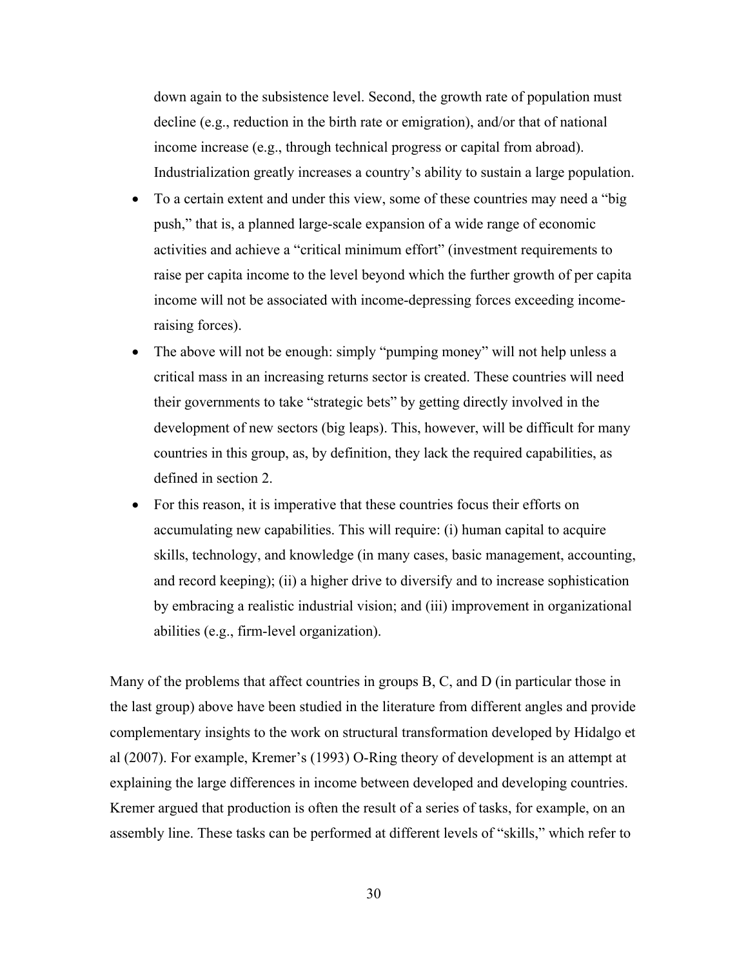down again to the subsistence level. Second, the growth rate of population must decline (e.g., reduction in the birth rate or emigration), and/or that of national income increase (e.g., through technical progress or capital from abroad). Industrialization greatly increases a country's ability to sustain a large population.

- To a certain extent and under this view, some of these countries may need a "big" push," that is, a planned large-scale expansion of a wide range of economic activities and achieve a "critical minimum effort" (investment requirements to raise per capita income to the level beyond which the further growth of per capita income will not be associated with income-depressing forces exceeding incomeraising forces).
- The above will not be enough: simply "pumping money" will not help unless a critical mass in an increasing returns sector is created. These countries will need their governments to take "strategic bets" by getting directly involved in the development of new sectors (big leaps). This, however, will be difficult for many countries in this group, as, by definition, they lack the required capabilities, as defined in section 2.
- For this reason, it is imperative that these countries focus their efforts on accumulating new capabilities. This will require: (i) human capital to acquire skills, technology, and knowledge (in many cases, basic management, accounting, and record keeping); (ii) a higher drive to diversify and to increase sophistication by embracing a realistic industrial vision; and (iii) improvement in organizational abilities (e.g., firm-level organization).

Many of the problems that affect countries in groups B, C, and D (in particular those in the last group) above have been studied in the literature from different angles and provide complementary insights to the work on structural transformation developed by Hidalgo et al (2007). For example, Kremer's (1993) O-Ring theory of development is an attempt at explaining the large differences in income between developed and developing countries. Kremer argued that production is often the result of a series of tasks, for example, on an assembly line. These tasks can be performed at different levels of "skills," which refer to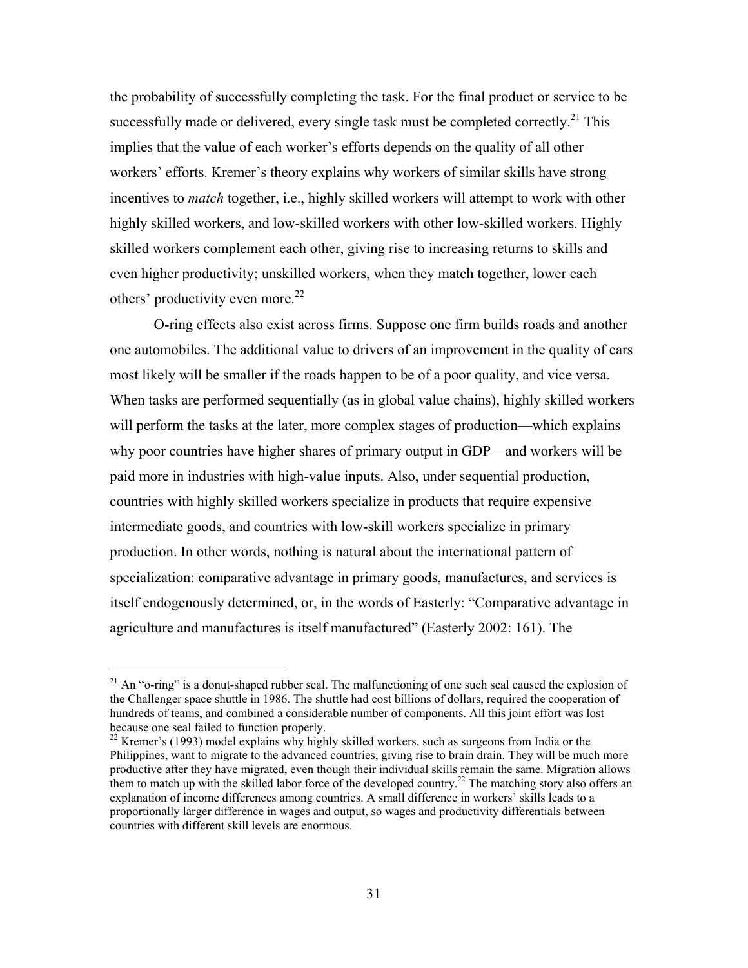the probability of successfully completing the task. For the final product or service to be successfully made or delivered, every single task must be completed correctly.<sup>21</sup> This implies that the value of each worker's efforts depends on the quality of all other workers' efforts. Kremer's theory explains why workers of similar skills have strong incentives to *match* together, i.e., highly skilled workers will attempt to work with other highly skilled workers, and low-skilled workers with other low-skilled workers. Highly skilled workers complement each other, giving rise to increasing returns to skills and even higher productivity; unskilled workers, when they match together, lower each others' productivity even more. $22$ 

O-ring effects also exist across firms. Suppose one firm builds roads and another one automobiles. The additional value to drivers of an improvement in the quality of cars most likely will be smaller if the roads happen to be of a poor quality, and vice versa. When tasks are performed sequentially (as in global value chains), highly skilled workers will perform the tasks at the later, more complex stages of production—which explains why poor countries have higher shares of primary output in GDP—and workers will be paid more in industries with high-value inputs. Also, under sequential production, countries with highly skilled workers specialize in products that require expensive intermediate goods, and countries with low-skill workers specialize in primary production. In other words, nothing is natural about the international pattern of specialization: comparative advantage in primary goods, manufactures, and services is itself endogenously determined, or, in the words of Easterly: "Comparative advantage in agriculture and manufactures is itself manufactured" (Easterly 2002: 161). The

 $\overline{a}$ 

 $21$  An "o-ring" is a donut-shaped rubber seal. The malfunctioning of one such seal caused the explosion of the Challenger space shuttle in 1986. The shuttle had cost billions of dollars, required the cooperation of hundreds of teams, and combined a considerable number of components. All this joint effort was lost because one seal failed to function properly.

<sup>&</sup>lt;sup>22</sup> Kremer's (1993) model explains why highly skilled workers, such as surgeons from India or the Philippines, want to migrate to the advanced countries, giving rise to brain drain. They will be much more productive after they have migrated, even though their individual skills remain the same. Migration allows them to match up with the skilled labor force of the developed country.<sup>22</sup> The matching story also offers an explanation of income differences among countries. A small difference in workers' skills leads to a proportionally larger difference in wages and output, so wages and productivity differentials between countries with different skill levels are enormous.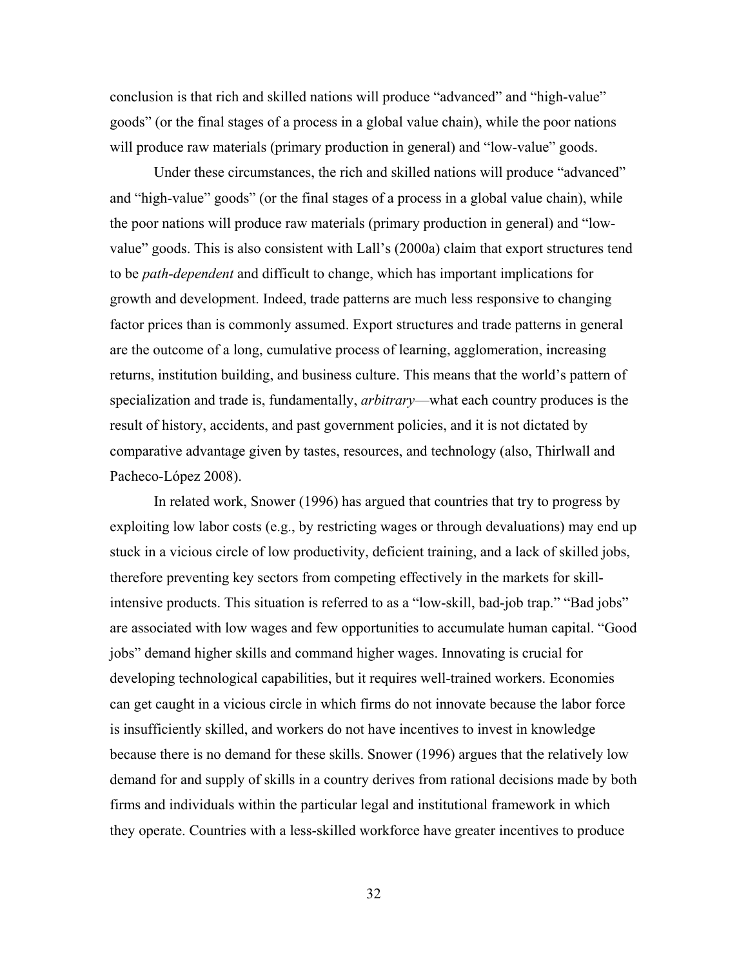conclusion is that rich and skilled nations will produce "advanced" and "high-value" goods" (or the final stages of a process in a global value chain), while the poor nations will produce raw materials (primary production in general) and "low-value" goods.

Under these circumstances, the rich and skilled nations will produce "advanced" and "high-value" goods" (or the final stages of a process in a global value chain), while the poor nations will produce raw materials (primary production in general) and "lowvalue" goods. This is also consistent with Lall's (2000a) claim that export structures tend to be *path-dependent* and difficult to change, which has important implications for growth and development. Indeed, trade patterns are much less responsive to changing factor prices than is commonly assumed. Export structures and trade patterns in general are the outcome of a long, cumulative process of learning, agglomeration, increasing returns, institution building, and business culture. This means that the world's pattern of specialization and trade is, fundamentally, *arbitrary*—what each country produces is the result of history, accidents, and past government policies, and it is not dictated by comparative advantage given by tastes, resources, and technology (also, Thirlwall and Pacheco-López 2008).

In related work, Snower (1996) has argued that countries that try to progress by exploiting low labor costs (e.g., by restricting wages or through devaluations) may end up stuck in a vicious circle of low productivity, deficient training, and a lack of skilled jobs, therefore preventing key sectors from competing effectively in the markets for skillintensive products. This situation is referred to as a "low-skill, bad-job trap." "Bad jobs" are associated with low wages and few opportunities to accumulate human capital. "Good jobs" demand higher skills and command higher wages. Innovating is crucial for developing technological capabilities, but it requires well-trained workers. Economies can get caught in a vicious circle in which firms do not innovate because the labor force is insufficiently skilled, and workers do not have incentives to invest in knowledge because there is no demand for these skills. Snower (1996) argues that the relatively low demand for and supply of skills in a country derives from rational decisions made by both firms and individuals within the particular legal and institutional framework in which they operate. Countries with a less-skilled workforce have greater incentives to produce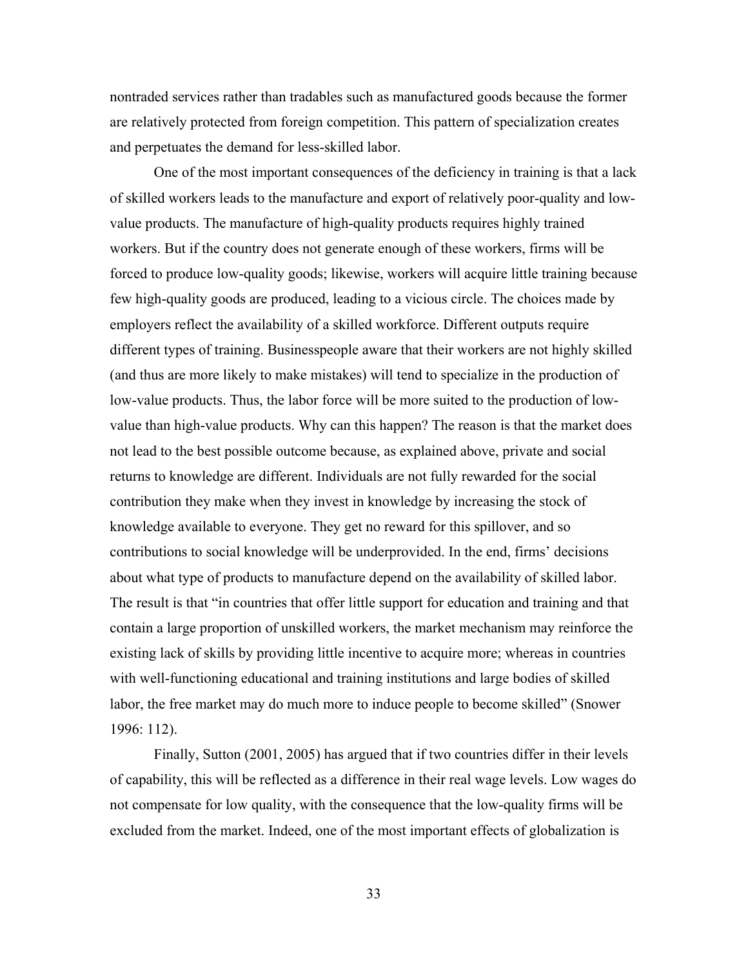nontraded services rather than tradables such as manufactured goods because the former are relatively protected from foreign competition. This pattern of specialization creates and perpetuates the demand for less-skilled labor.

One of the most important consequences of the deficiency in training is that a lack of skilled workers leads to the manufacture and export of relatively poor-quality and lowvalue products. The manufacture of high-quality products requires highly trained workers. But if the country does not generate enough of these workers, firms will be forced to produce low-quality goods; likewise, workers will acquire little training because few high-quality goods are produced, leading to a vicious circle. The choices made by employers reflect the availability of a skilled workforce. Different outputs require different types of training. Businesspeople aware that their workers are not highly skilled (and thus are more likely to make mistakes) will tend to specialize in the production of low-value products. Thus, the labor force will be more suited to the production of lowvalue than high-value products. Why can this happen? The reason is that the market does not lead to the best possible outcome because, as explained above, private and social returns to knowledge are different. Individuals are not fully rewarded for the social contribution they make when they invest in knowledge by increasing the stock of knowledge available to everyone. They get no reward for this spillover, and so contributions to social knowledge will be underprovided. In the end, firms' decisions about what type of products to manufacture depend on the availability of skilled labor. The result is that "in countries that offer little support for education and training and that contain a large proportion of unskilled workers, the market mechanism may reinforce the existing lack of skills by providing little incentive to acquire more; whereas in countries with well-functioning educational and training institutions and large bodies of skilled labor, the free market may do much more to induce people to become skilled" (Snower 1996: 112).

Finally, Sutton (2001, 2005) has argued that if two countries differ in their levels of capability, this will be reflected as a difference in their real wage levels. Low wages do not compensate for low quality, with the consequence that the low-quality firms will be excluded from the market. Indeed, one of the most important effects of globalization is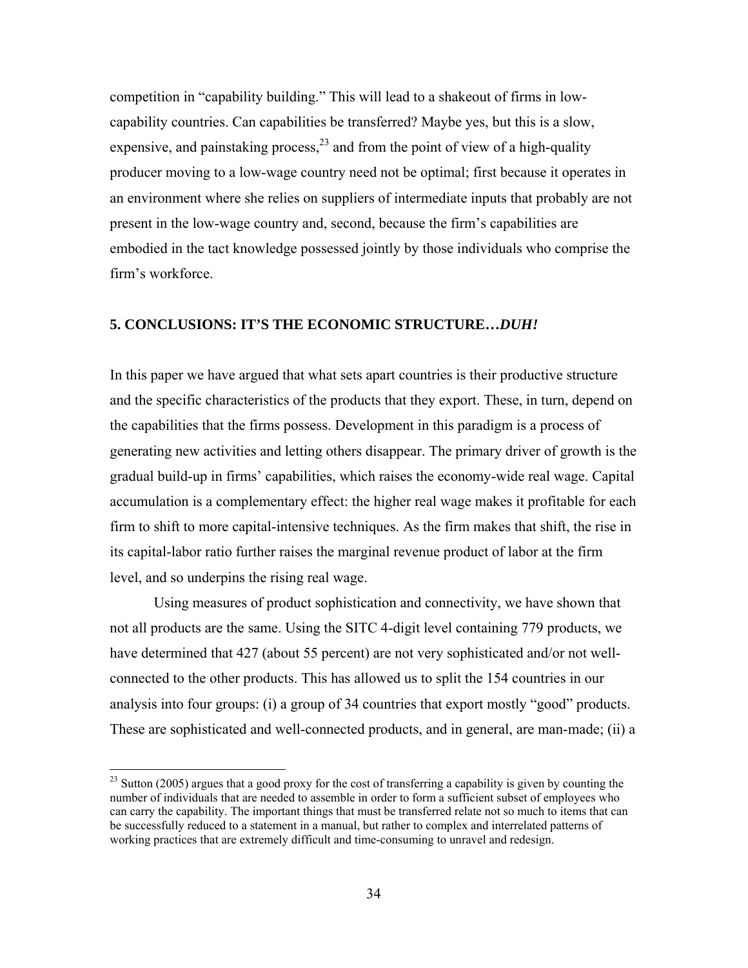competition in "capability building." This will lead to a shakeout of firms in lowcapability countries. Can capabilities be transferred? Maybe yes, but this is a slow, expensive, and painstaking process,  $^{23}$  and from the point of view of a high-quality producer moving to a low-wage country need not be optimal; first because it operates in an environment where she relies on suppliers of intermediate inputs that probably are not present in the low-wage country and, second, because the firm's capabilities are embodied in the tact knowledge possessed jointly by those individuals who comprise the firm's workforce.

## **5. CONCLUSIONS: IT'S THE ECONOMIC STRUCTURE…***DUH!*

In this paper we have argued that what sets apart countries is their productive structure and the specific characteristics of the products that they export. These, in turn, depend on the capabilities that the firms possess. Development in this paradigm is a process of generating new activities and letting others disappear. The primary driver of growth is the gradual build-up in firms' capabilities, which raises the economy-wide real wage. Capital accumulation is a complementary effect: the higher real wage makes it profitable for each firm to shift to more capital-intensive techniques. As the firm makes that shift, the rise in its capital-labor ratio further raises the marginal revenue product of labor at the firm level, and so underpins the rising real wage.

Using measures of product sophistication and connectivity, we have shown that not all products are the same. Using the SITC 4-digit level containing 779 products, we have determined that 427 (about 55 percent) are not very sophisticated and/or not wellconnected to the other products. This has allowed us to split the 154 countries in our analysis into four groups: (i) a group of 34 countries that export mostly "good" products. These are sophisticated and well-connected products, and in general, are man-made; (ii) a

 $\overline{a}$ 

 $^{23}$  Sutton (2005) argues that a good proxy for the cost of transferring a capability is given by counting the number of individuals that are needed to assemble in order to form a sufficient subset of employees who can carry the capability. The important things that must be transferred relate not so much to items that can be successfully reduced to a statement in a manual, but rather to complex and interrelated patterns of working practices that are extremely difficult and time-consuming to unravel and redesign.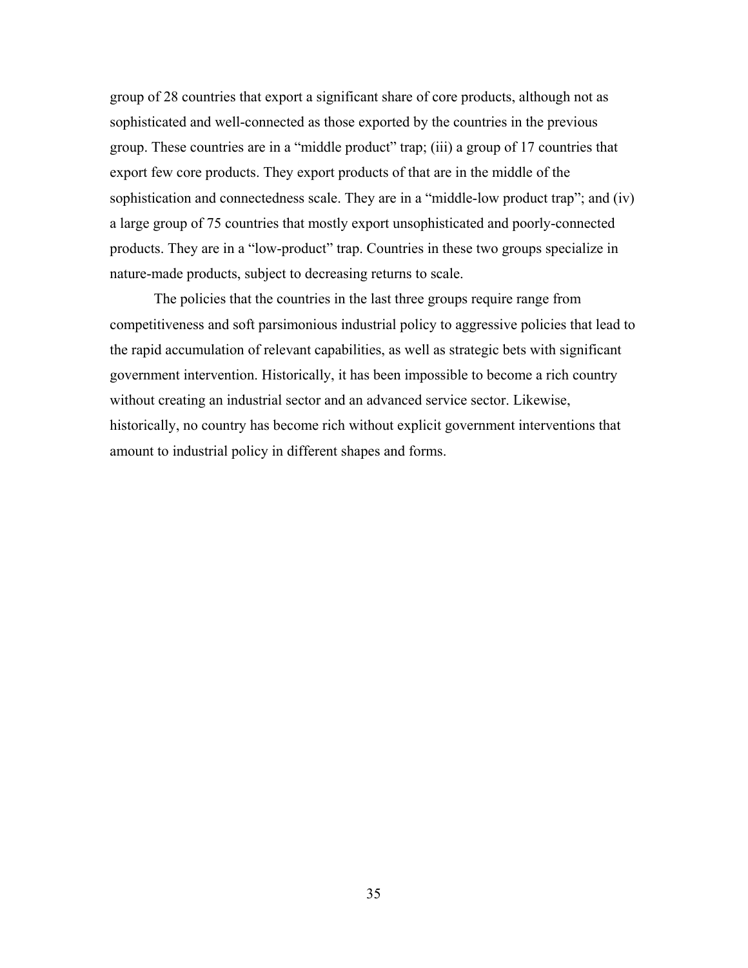group of 28 countries that export a significant share of core products, although not as sophisticated and well-connected as those exported by the countries in the previous group. These countries are in a "middle product" trap; (iii) a group of 17 countries that export few core products. They export products of that are in the middle of the sophistication and connectedness scale. They are in a "middle-low product trap"; and (iv) a large group of 75 countries that mostly export unsophisticated and poorly-connected products. They are in a "low-product" trap. Countries in these two groups specialize in nature-made products, subject to decreasing returns to scale.

The policies that the countries in the last three groups require range from competitiveness and soft parsimonious industrial policy to aggressive policies that lead to the rapid accumulation of relevant capabilities, as well as strategic bets with significant government intervention. Historically, it has been impossible to become a rich country without creating an industrial sector and an advanced service sector. Likewise, historically, no country has become rich without explicit government interventions that amount to industrial policy in different shapes and forms.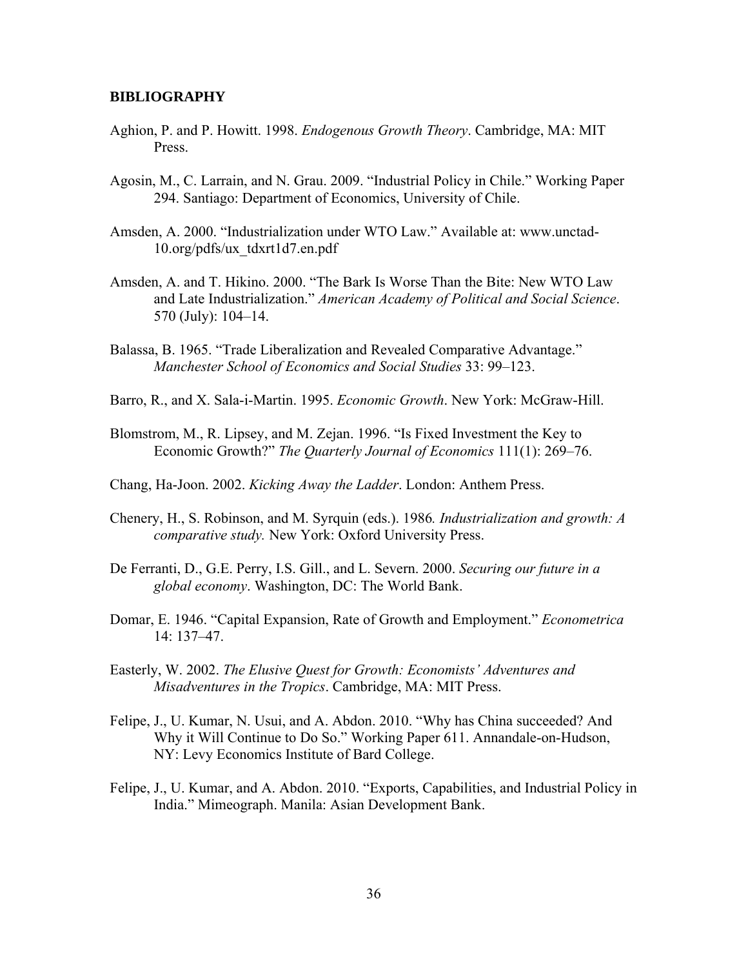### **BIBLIOGRAPHY**

- Aghion, P. and P. Howitt. 1998. *Endogenous Growth Theory*. Cambridge, MA: MIT Press.
- Agosin, M., C. Larrain, and N. Grau. 2009. "Industrial Policy in Chile." Working Paper 294. Santiago: Department of Economics, University of Chile.
- Amsden, A. 2000. "Industrialization under WTO Law." Available at: www.unctad-10.org/pdfs/ux\_tdxrt1d7.en.pdf
- Amsden, A. and T. Hikino. 2000. "The Bark Is Worse Than the Bite: New WTO Law and Late Industrialization." *American Academy of Political and Social Science*. 570 (July): 104–14.
- Balassa, B. 1965. "Trade Liberalization and Revealed Comparative Advantage." *Manchester School of Economics and Social Studies* 33: 99–123.
- Barro, R., and X. Sala-i-Martin. 1995. *Economic Growth*. New York: McGraw-Hill.
- Blomstrom, M., R. Lipsey, and M. Zejan. 1996. "Is Fixed Investment the Key to Economic Growth?" *The Quarterly Journal of Economics* 111(1): 269–76.
- Chang, Ha-Joon. 2002. *Kicking Away the Ladder*. London: Anthem Press.
- Chenery, H., S. Robinson, and M. Syrquin (eds.). 1986*. Industrialization and growth: A comparative study.* New York: Oxford University Press.
- De Ferranti, D., G.E. Perry, I.S. Gill., and L. Severn. 2000. *Securing our future in a global economy*. Washington, DC: The World Bank.
- Domar, E. 1946. "Capital Expansion, Rate of Growth and Employment." *Econometrica* 14: 137–47.
- Easterly, W. 2002. *The Elusive Quest for Growth: Economists' Adventures and Misadventures in the Tropics*. Cambridge, MA: MIT Press.
- Felipe, J., U. Kumar, N. Usui, and A. Abdon. 2010. "Why has China succeeded? And Why it Will Continue to Do So." Working Paper 611. Annandale-on-Hudson, NY: Levy Economics Institute of Bard College.
- Felipe, J., U. Kumar, and A. Abdon. 2010. "Exports, Capabilities, and Industrial Policy in India." Mimeograph. Manila: Asian Development Bank.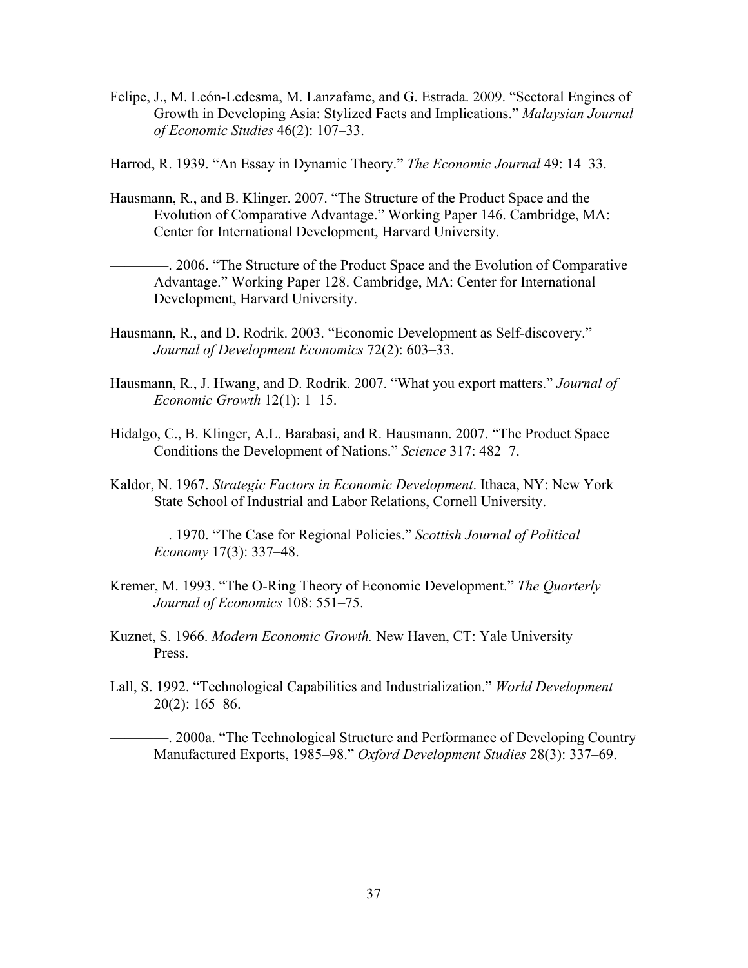Felipe, J., M. León-Ledesma, M. Lanzafame, and G. Estrada. 2009. "Sectoral Engines of Growth in Developing Asia: Stylized Facts and Implications." *Malaysian Journal of Economic Studies* 46(2): 107–33.

Harrod, R. 1939. "An Essay in Dynamic Theory." *The Economic Journal* 49: 14–33.

- Hausmann, R., and B. Klinger. 2007. "The Structure of the Product Space and the Evolution of Comparative Advantage." Working Paper 146. Cambridge, MA: Center for International Development, Harvard University.
- ————. 2006. "The Structure of the Product Space and the Evolution of Comparative Advantage." Working Paper 128. Cambridge, MA: Center for International Development, Harvard University.
- Hausmann, R., and D. Rodrik. 2003. "Economic Development as Self-discovery." *Journal of Development Economics* 72(2): 603–33.
- Hausmann, R., J. Hwang, and D. Rodrik. 2007. "What you export matters." *Journal of Economic Growth* 12(1): 1–15.
- Hidalgo, C., B. Klinger, A.L. Barabasi, and R. Hausmann. 2007. "The Product Space Conditions the Development of Nations." *Science* 317: 482–7.
- Kaldor, N. 1967. *Strategic Factors in Economic Development*. Ithaca, NY: New York State School of Industrial and Labor Relations, Cornell University.

————. 1970. "The Case for Regional Policies." *Scottish Journal of Political Economy* 17(3): 337–48.

- Kremer, M. 1993. "The O-Ring Theory of Economic Development." *The Quarterly Journal of Economics* 108: 551–75.
- Kuznet, S. 1966. *Modern Economic Growth.* New Haven, CT: Yale University Press.
- Lall, S. 1992. "Technological Capabilities and Industrialization." *World Development* 20(2): 165–86.

————. 2000a. "The Technological Structure and Performance of Developing Country Manufactured Exports, 1985–98." *Oxford Development Studies* 28(3): 337–69.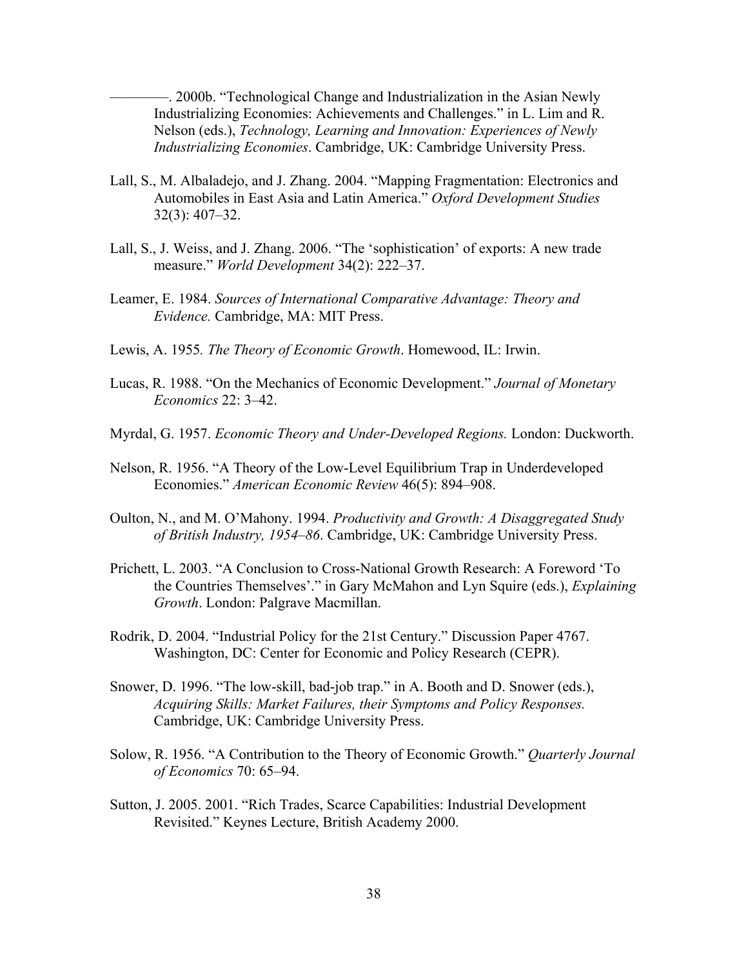-, 2000b. "Technological Change and Industrialization in the Asian Newly Industrializing Economies: Achievements and Challenges." in L. Lim and R. Nelson (eds.), *Technology, Learning and Innovation: Experiences of Newly Industrializing Economies*. Cambridge, UK: Cambridge University Press.

- Lall, S., M. Albaladejo, and J. Zhang. 2004. "Mapping Fragmentation: Electronics and Automobiles in East Asia and Latin America." *Oxford Development Studies* 32(3): 407–32.
- Lall, S., J. Weiss, and J. Zhang. 2006. "The 'sophistication' of exports: A new trade measure." *World Development* 34(2): 222–37.
- Leamer, E. 1984. *Sources of International Comparative Advantage: Theory and Evidence.* Cambridge, MA: MIT Press.
- Lewis, A. 1955*. The Theory of Economic Growth*. Homewood, IL: Irwin.
- Lucas, R. 1988. "On the Mechanics of Economic Development." *Journal of Monetary Economics* 22: 3–42.
- Myrdal, G. 1957. *Economic Theory and Under-Developed Regions.* London: Duckworth.
- Nelson, R. 1956. "A Theory of the Low-Level Equilibrium Trap in Underdeveloped Economies." *American Economic Review* 46(5): 894–908.
- Oulton, N., and M. O'Mahony. 1994. *Productivity and Growth: A Disaggregated Study of British Industry, 1954–86*. Cambridge, UK: Cambridge University Press.
- Prichett, L. 2003. "A Conclusion to Cross-National Growth Research: A Foreword 'To the Countries Themselves'." in Gary McMahon and Lyn Squire (eds.), *Explaining Growth*. London: Palgrave Macmillan.
- Rodrik, D. 2004. "Industrial Policy for the 21st Century." Discussion Paper 4767. Washington, DC: Center for Economic and Policy Research (CEPR).
- Snower, D. 1996. "The low-skill, bad-job trap." in A. Booth and D. Snower (eds.), *Acquiring Skills: Market Failures, their Symptoms and Policy Responses.* Cambridge, UK: Cambridge University Press.
- Solow, R. 1956. "A Contribution to the Theory of Economic Growth." *Quarterly Journal of Economics* 70: 65–94.
- Sutton, J. 2005. 2001. "Rich Trades, Scarce Capabilities: Industrial Development Revisited." Keynes Lecture, British Academy 2000.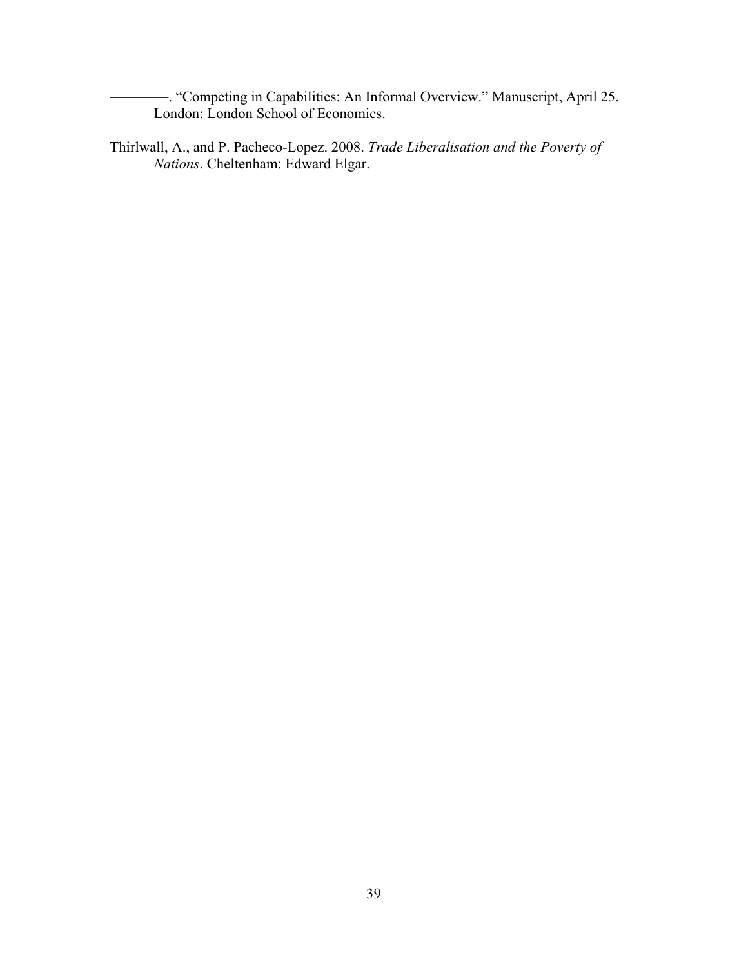————. "Competing in Capabilities: An Informal Overview." Manuscript, April 25. London: London School of Economics.

Thirlwall, A., and P. Pacheco-Lopez. 2008. *Trade Liberalisation and the Poverty of Nations*. Cheltenham: Edward Elgar.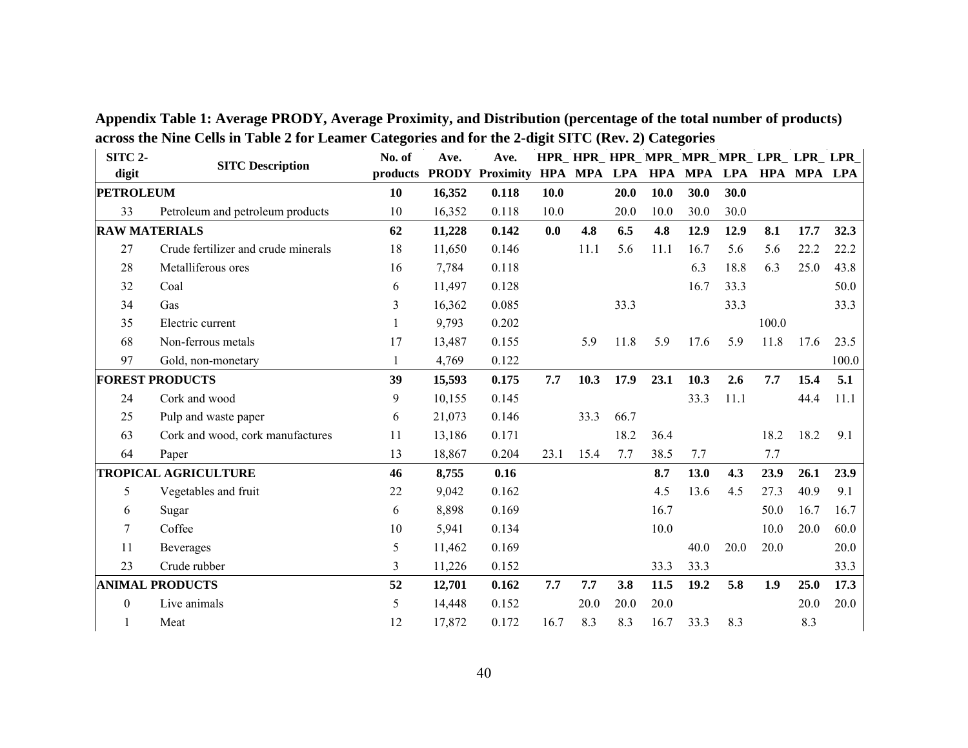| SITC <sub>2</sub> -  | <b>SITC Description</b>             | No. of       | Ave.   | Ave.                   |      | HPR_HPR_HPR_MPR_MPR_MPR_LPR_LPR_LPR_ |      |      |      |      |       |      |       |
|----------------------|-------------------------------------|--------------|--------|------------------------|------|--------------------------------------|------|------|------|------|-------|------|-------|
| digit                |                                     | products     |        | <b>PRODY Proximity</b> |      | HPA MPA LPA HPA MPA LPA HPA MPA LPA  |      |      |      |      |       |      |       |
| <b>PETROLEUM</b>     |                                     | 10           | 16,352 | 0.118                  | 10.0 |                                      | 20.0 | 10.0 | 30.0 | 30.0 |       |      |       |
| 33                   | Petroleum and petroleum products    | 10           | 16,352 | 0.118                  | 10.0 |                                      | 20.0 | 10.0 | 30.0 | 30.0 |       |      |       |
| <b>RAW MATERIALS</b> |                                     | 62           | 11,228 | 0.142                  | 0.0  | 4.8                                  | 6.5  | 4.8  | 12.9 | 12.9 | 8.1   | 17.7 | 32.3  |
| 27                   | Crude fertilizer and crude minerals | 18           | 11,650 | 0.146                  |      | 11.1                                 | 5.6  | 11.1 | 16.7 | 5.6  | 5.6   | 22.2 | 22.2  |
| 28                   | Metalliferous ores                  | 16           | 7,784  | 0.118                  |      |                                      |      |      | 6.3  | 18.8 | 6.3   | 25.0 | 43.8  |
| 32                   | Coal                                | 6            | 11,497 | 0.128                  |      |                                      |      |      | 16.7 | 33.3 |       |      | 50.0  |
| 34                   | Gas                                 | 3            | 16,362 | 0.085                  |      |                                      | 33.3 |      |      | 33.3 |       |      | 33.3  |
| 35                   | Electric current                    |              | 9,793  | 0.202                  |      |                                      |      |      |      |      | 100.0 |      |       |
| 68                   | Non-ferrous metals                  | 17           | 13,487 | 0.155                  |      | 5.9                                  | 11.8 | 5.9  | 17.6 | 5.9  | 11.8  | 17.6 | 23.5  |
| 97                   | Gold, non-monetary                  | $\mathbf{1}$ | 4,769  | 0.122                  |      |                                      |      |      |      |      |       |      | 100.0 |
|                      | <b>FOREST PRODUCTS</b>              | 39           | 15,593 | 0.175                  | 7.7  | 10.3                                 | 17.9 | 23.1 | 10.3 | 2.6  | 7.7   | 15.4 | 5.1   |
| 24                   | Cork and wood                       | 9            | 10,155 | 0.145                  |      |                                      |      |      | 33.3 | 11.1 |       | 44.4 | 11.1  |
| 25                   | Pulp and waste paper                | 6            | 21,073 | 0.146                  |      | 33.3                                 | 66.7 |      |      |      |       |      |       |
| 63                   | Cork and wood, cork manufactures    | 11           | 13,186 | 0.171                  |      |                                      | 18.2 | 36.4 |      |      | 18.2  | 18.2 | 9.1   |
| 64                   | Paper                               | 13           | 18,867 | 0.204                  | 23.1 | 15.4                                 | 7.7  | 38.5 | 7.7  |      | 7.7   |      |       |
|                      | <b>TROPICAL AGRICULTURE</b>         | 46           | 8,755  | 0.16                   |      |                                      |      | 8.7  | 13.0 | 4.3  | 23.9  | 26.1 | 23.9  |
| 5                    | Vegetables and fruit                | 22           | 9,042  | 0.162                  |      |                                      |      | 4.5  | 13.6 | 4.5  | 27.3  | 40.9 | 9.1   |
| 6                    | Sugar                               | 6            | 8,898  | 0.169                  |      |                                      |      | 16.7 |      |      | 50.0  | 16.7 | 16.7  |
| 7                    | Coffee                              | 10           | 5,941  | 0.134                  |      |                                      |      | 10.0 |      |      | 10.0  | 20.0 | 60.0  |
| 11                   | Beverages                           | 5            | 11,462 | 0.169                  |      |                                      |      |      | 40.0 | 20.0 | 20.0  |      | 20.0  |
| 23                   | Crude rubber                        | 3            | 11,226 | 0.152                  |      |                                      |      | 33.3 | 33.3 |      |       |      | 33.3  |
|                      | <b>ANIMAL PRODUCTS</b>              | 52           | 12,701 | 0.162                  | 7.7  | 7.7                                  | 3.8  | 11.5 | 19.2 | 5.8  | 1.9   | 25.0 | 17.3  |
| $\mathbf{0}$         | Live animals                        | 5            | 14,448 | 0.152                  |      | 20.0                                 | 20.0 | 20.0 |      |      |       | 20.0 | 20.0  |
|                      | Meat                                | 12           | 17,872 | 0.172                  | 16.7 | 8.3                                  | 8.3  | 16.7 | 33.3 | 8.3  |       | 8.3  |       |

**Appendix Table 1: Average PRODY, Average Proximity, and Distribution (percentage of the total number of products) across the Nine Cells in Table 2 for Leamer Categories and for the 2-digit SITC (Rev. 2) Categories**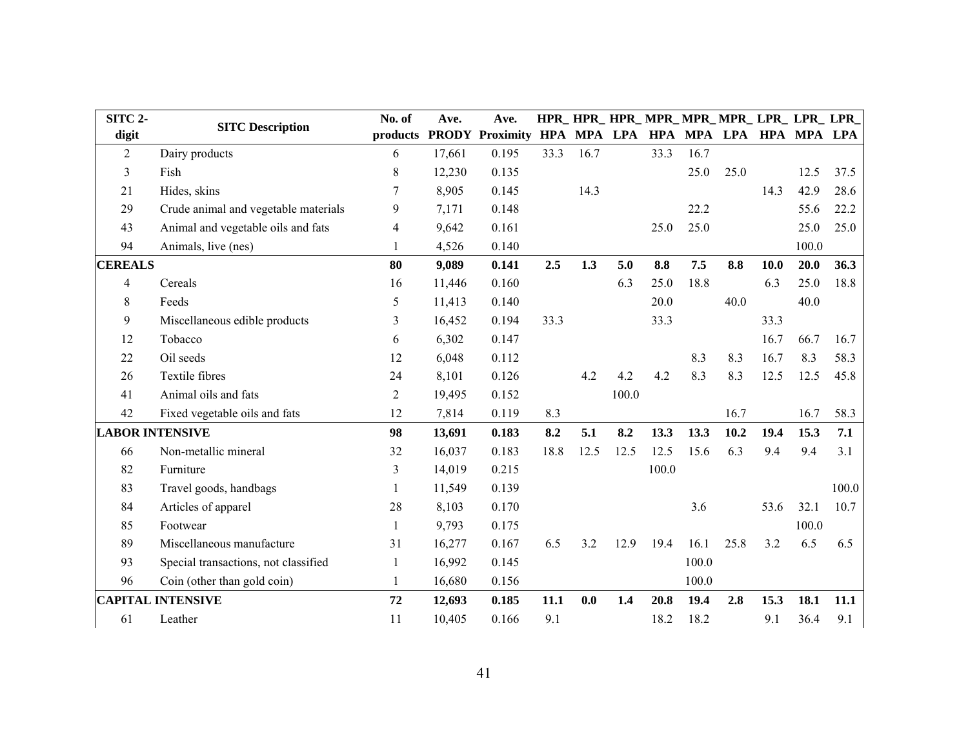| SITC <sub>2</sub> -    | <b>SITC Description</b>              | No. of         | Ave.   | Ave.                   |      |      |       |       |       |      |      |                                     | HPR_HPR_HPR_MPR_MPR_MPR_LPR_LPR_LPR_ |
|------------------------|--------------------------------------|----------------|--------|------------------------|------|------|-------|-------|-------|------|------|-------------------------------------|--------------------------------------|
| digit                  |                                      | products       |        | <b>PRODY Proximity</b> |      |      |       |       |       |      |      | HPA MPA LPA HPA MPA LPA HPA MPA LPA |                                      |
| $\overline{2}$         | Dairy products                       | 6              | 17,661 | 0.195                  | 33.3 | 16.7 |       | 33.3  | 16.7  |      |      |                                     |                                      |
| 3                      | Fish                                 | 8              | 12,230 | 0.135                  |      |      |       |       | 25.0  | 25.0 |      | 12.5                                | 37.5                                 |
| 21                     | Hides, skins                         | 7              | 8,905  | 0.145                  |      | 14.3 |       |       |       |      | 14.3 | 42.9                                | 28.6                                 |
| 29                     | Crude animal and vegetable materials | 9              | 7,171  | 0.148                  |      |      |       |       | 22.2  |      |      | 55.6                                | 22.2                                 |
| 43                     | Animal and vegetable oils and fats   | $\overline{4}$ | 9,642  | 0.161                  |      |      |       | 25.0  | 25.0  |      |      | 25.0                                | 25.0                                 |
| 94                     | Animals, live (nes)                  | $\mathbf{1}$   | 4,526  | 0.140                  |      |      |       |       |       |      |      | 100.0                               |                                      |
| <b>CEREALS</b>         |                                      | 80             | 9,089  | 0.141                  | 2.5  | 1.3  | 5.0   | 8.8   | 7.5   | 8.8  | 10.0 | 20.0                                | 36.3                                 |
| $\overline{4}$         | Cereals                              | 16             | 11,446 | 0.160                  |      |      | 6.3   | 25.0  | 18.8  |      | 6.3  | 25.0                                | 18.8                                 |
| $\,8\,$                | Feeds                                | 5              | 11,413 | 0.140                  |      |      |       | 20.0  |       | 40.0 |      | 40.0                                |                                      |
| 9                      | Miscellaneous edible products        | 3              | 16,452 | 0.194                  | 33.3 |      |       | 33.3  |       |      | 33.3 |                                     |                                      |
| 12                     | Tobacco                              | 6              | 6,302  | 0.147                  |      |      |       |       |       |      | 16.7 | 66.7                                | 16.7                                 |
| 22                     | Oil seeds                            | 12             | 6,048  | 0.112                  |      |      |       |       | 8.3   | 8.3  | 16.7 | 8.3                                 | 58.3                                 |
| 26                     | Textile fibres                       | 24             | 8,101  | 0.126                  |      | 4.2  | 4.2   | 4.2   | 8.3   | 8.3  | 12.5 | 12.5                                | 45.8                                 |
| 41                     | Animal oils and fats                 | $\overline{2}$ | 19,495 | 0.152                  |      |      | 100.0 |       |       |      |      |                                     |                                      |
| 42                     | Fixed vegetable oils and fats        | 12             | 7,814  | 0.119                  | 8.3  |      |       |       |       | 16.7 |      | 16.7                                | 58.3                                 |
| <b>LABOR INTENSIVE</b> |                                      | 98             | 13,691 | 0.183                  | 8.2  | 5.1  | 8.2   | 13.3  | 13.3  | 10.2 | 19.4 | 15.3                                | 7.1                                  |
| 66                     | Non-metallic mineral                 | 32             | 16,037 | 0.183                  | 18.8 | 12.5 | 12.5  | 12.5  | 15.6  | 6.3  | 9.4  | 9.4                                 | 3.1                                  |
| 82                     | Furniture                            | 3              | 14,019 | 0.215                  |      |      |       | 100.0 |       |      |      |                                     |                                      |
| 83                     | Travel goods, handbags               | $\mathbf{1}$   | 11,549 | 0.139                  |      |      |       |       |       |      |      |                                     | 100.0                                |
| 84                     | Articles of apparel                  | 28             | 8,103  | 0.170                  |      |      |       |       | 3.6   |      | 53.6 | 32.1                                | 10.7                                 |
| 85                     | Footwear                             | 1              | 9,793  | 0.175                  |      |      |       |       |       |      |      | 100.0                               |                                      |
| 89                     | Miscellaneous manufacture            | 31             | 16,277 | 0.167                  | 6.5  | 3.2  | 12.9  | 19.4  | 16.1  | 25.8 | 3.2  | 6.5                                 | 6.5                                  |
| 93                     | Special transactions, not classified | $\mathbf{1}$   | 16,992 | 0.145                  |      |      |       |       | 100.0 |      |      |                                     |                                      |
| 96                     | Coin (other than gold coin)          | 1              | 16,680 | 0.156                  |      |      |       |       | 100.0 |      |      |                                     |                                      |
|                        | <b>CAPITAL INTENSIVE</b>             | 72             | 12,693 | 0.185                  | 11.1 | 0.0  | 1.4   | 20.8  | 19.4  | 2.8  | 15.3 | 18.1                                | 11.1                                 |
| 61                     | Leather                              | 11             | 10,405 | 0.166                  | 9.1  |      |       | 18.2  | 18.2  |      | 9.1  | 36.4                                | 9.1                                  |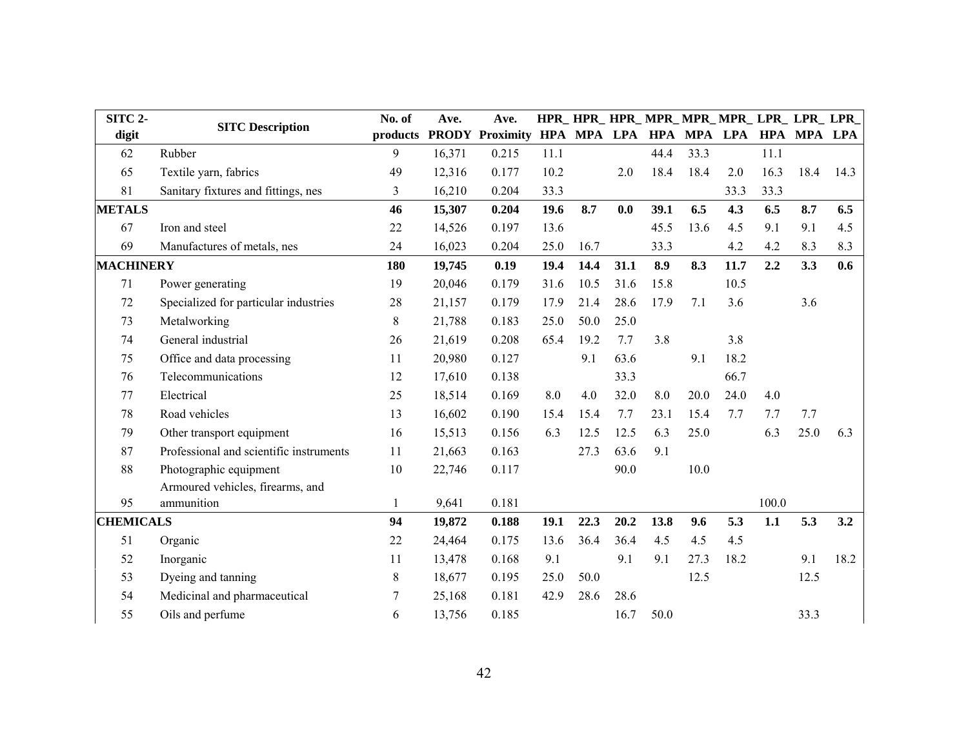| SITC <sub>2</sub> - | <b>SITC Description</b>                 | No. of       | Ave.   | Ave.                   |      |      |      |      |      |      |       |      | HPR_HPR_HPR_MPR_MPR_MPR_LPR_LPR_LPR_ |
|---------------------|-----------------------------------------|--------------|--------|------------------------|------|------|------|------|------|------|-------|------|--------------------------------------|
| digit               |                                         | products     |        | <b>PRODY Proximity</b> |      |      |      |      |      |      |       |      | HPA MPA LPA HPA MPA LPA HPA MPA LPA  |
| 62                  | Rubber                                  | 9            | 16,371 | 0.215                  | 11.1 |      |      | 44.4 | 33.3 |      | 11.1  |      |                                      |
| 65                  | Textile yarn, fabrics                   | 49           | 12,316 | 0.177                  | 10.2 |      | 2.0  | 18.4 | 18.4 | 2.0  | 16.3  | 18.4 | 14.3                                 |
| 81                  | Sanitary fixtures and fittings, nes     | 3            | 16,210 | 0.204                  | 33.3 |      |      |      |      | 33.3 | 33.3  |      |                                      |
| <b>METALS</b>       |                                         | 46           | 15,307 | 0.204                  | 19.6 | 8.7  | 0.0  | 39.1 | 6.5  | 4.3  | 6.5   | 8.7  | 6.5                                  |
| 67                  | Iron and steel                          | 22           | 14,526 | 0.197                  | 13.6 |      |      | 45.5 | 13.6 | 4.5  | 9.1   | 9.1  | 4.5                                  |
| 69                  | Manufactures of metals, nes             | 24           | 16,023 | 0.204                  | 25.0 | 16.7 |      | 33.3 |      | 4.2  | 4.2   | 8.3  | 8.3                                  |
| <b>MACHINERY</b>    |                                         | 180          | 19,745 | 0.19                   | 19.4 | 14.4 | 31.1 | 8.9  | 8.3  | 11.7 | 2.2   | 3.3  | 0.6                                  |
| 71                  | Power generating                        | 19           | 20,046 | 0.179                  | 31.6 | 10.5 | 31.6 | 15.8 |      | 10.5 |       |      |                                      |
| 72                  | Specialized for particular industries   | 28           | 21,157 | 0.179                  | 17.9 | 21.4 | 28.6 | 17.9 | 7.1  | 3.6  |       | 3.6  |                                      |
| 73                  | Metalworking                            | 8            | 21,788 | 0.183                  | 25.0 | 50.0 | 25.0 |      |      |      |       |      |                                      |
| 74                  | General industrial                      | 26           | 21,619 | 0.208                  | 65.4 | 19.2 | 7.7  | 3.8  |      | 3.8  |       |      |                                      |
| 75                  | Office and data processing              | 11           | 20,980 | 0.127                  |      | 9.1  | 63.6 |      | 9.1  | 18.2 |       |      |                                      |
| 76                  | Telecommunications                      | 12           | 17,610 | 0.138                  |      |      | 33.3 |      |      | 66.7 |       |      |                                      |
| 77                  | Electrical                              | 25           | 18,514 | 0.169                  | 8.0  | 4.0  | 32.0 | 8.0  | 20.0 | 24.0 | 4.0   |      |                                      |
| 78                  | Road vehicles                           | 13           | 16,602 | 0.190                  | 15.4 | 15.4 | 7.7  | 23.1 | 15.4 | 7.7  | 7.7   | 7.7  |                                      |
| 79                  | Other transport equipment               | 16           | 15,513 | 0.156                  | 6.3  | 12.5 | 12.5 | 6.3  | 25.0 |      | 6.3   | 25.0 | 6.3                                  |
| 87                  | Professional and scientific instruments | 11           | 21,663 | 0.163                  |      | 27.3 | 63.6 | 9.1  |      |      |       |      |                                      |
| 88                  | Photographic equipment                  | 10           | 22,746 | 0.117                  |      |      | 90.0 |      | 10.0 |      |       |      |                                      |
|                     | Armoured vehicles, firearms, and        |              |        |                        |      |      |      |      |      |      |       |      |                                      |
| 95                  | ammunition                              | $\mathbf{1}$ | 9,641  | 0.181                  |      |      |      |      |      |      | 100.0 |      |                                      |
| <b>CHEMICALS</b>    |                                         | 94           | 19,872 | 0.188                  | 19.1 | 22.3 | 20.2 | 13.8 | 9.6  | 5.3  | 1.1   | 5.3  | 3.2                                  |
| 51                  | Organic                                 | 22           | 24,464 | 0.175                  | 13.6 | 36.4 | 36.4 | 4.5  | 4.5  | 4.5  |       |      |                                      |
| 52                  | Inorganic                               | 11           | 13,478 | 0.168                  | 9.1  |      | 9.1  | 9.1  | 27.3 | 18.2 |       | 9.1  | 18.2                                 |
| 53                  | Dyeing and tanning                      | 8            | 18,677 | 0.195                  | 25.0 | 50.0 |      |      | 12.5 |      |       | 12.5 |                                      |
| 54                  | Medicinal and pharmaceutical            | 7            | 25,168 | 0.181                  | 42.9 | 28.6 | 28.6 |      |      |      |       |      |                                      |
| 55                  | Oils and perfume                        | 6            | 13,756 | 0.185                  |      |      | 16.7 | 50.0 |      |      |       | 33.3 |                                      |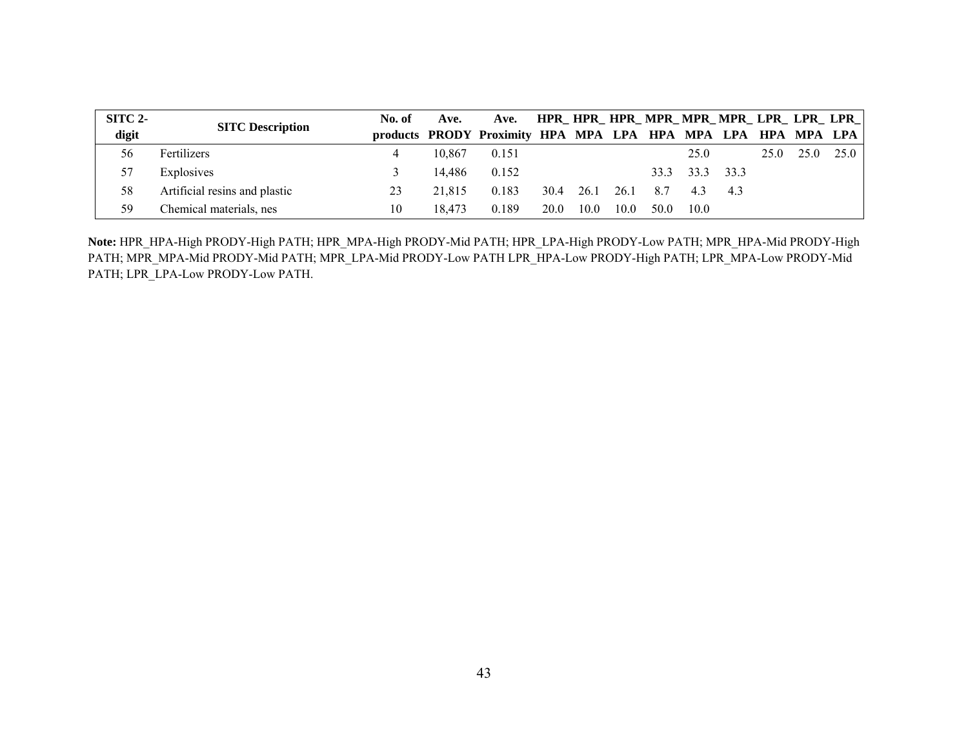| SITC 2- | <b>SITC Description</b>       | No. of | Ave.   | Ave. HPR_HPR_HPR_MPR_MPR_MPR_LPR_LPR_LPR_LPR_                |      |      |      |      |      |           |      |           |
|---------|-------------------------------|--------|--------|--------------------------------------------------------------|------|------|------|------|------|-----------|------|-----------|
| digit   |                               |        |        | products PRODY Proximity HPA MPA LPA HPA MPA LPA HPA MPA LPA |      |      |      |      |      |           |      |           |
| 56      | Fertilizers                   |        | 10.867 | 0.151                                                        |      |      |      |      | 25.0 |           | 25.0 | 25.0 25.0 |
| 57      | Explosives                    |        | 14.486 | 0.152                                                        |      |      |      | 33.3 |      | 33.3 33.3 |      |           |
| 58      | Artificial resins and plastic | 23     | 21.815 | 0.183                                                        | 30.4 | 26.1 | 26.1 | 8.7  |      | 4.3 4.3   |      |           |
| 59      | Chemical materials, nes       | 10     | 18.473 | 0.189                                                        | 20.0 | 10.0 | 10.0 | 50.0 | 10.0 |           |      |           |

**Note:** HPR\_HPA-High PRODY-High PATH; HPR\_MPA-High PRODY-Mid PATH; HPR\_LPA-High PRODY-Low PATH; MPR\_HPA-Mid PRODY-High PATH; MPR\_MPA-Mid PRODY-Mid PATH; MPR\_LPA-Mid PRODY-Low PATH LPR\_HPA-Low PRODY-High PATH; LPR\_MPA-Low PRODY-Mid PATH; LPR\_LPA-Low PRODY-Low PATH.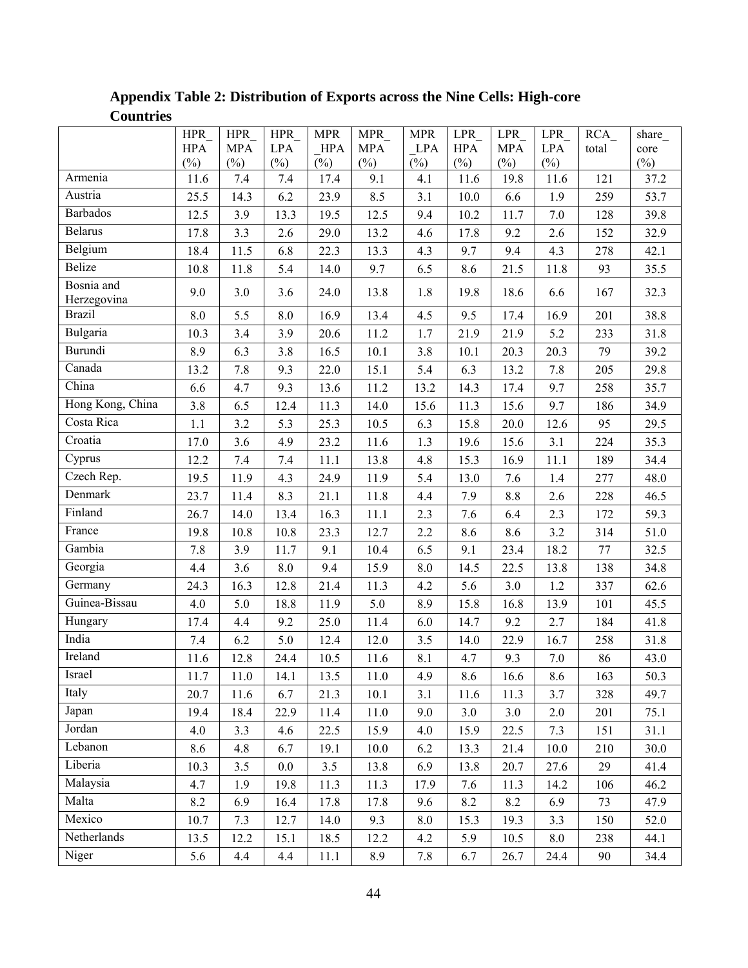|                           | HPR        | <b>HPR</b> | HPR        | <b>MPR</b> | <b>MPR</b> | <b>MPR</b> | LPR        | <b>LPR</b> | LPR                | <b>RCA</b> | share_ |
|---------------------------|------------|------------|------------|------------|------------|------------|------------|------------|--------------------|------------|--------|
|                           | <b>HPA</b> | <b>MPA</b> | <b>LPA</b> | <b>HPA</b> | <b>MPA</b> | <b>LPA</b> | <b>HPA</b> | <b>MPA</b> | <b>LPA</b>         | total      | core   |
|                           | $(\%)$     | $(\%)$     | $(\%)$     | $(\%)$     | $(\%)$     | $(\%)$     | $(\%)$     | $(\%)$     | $(\%)$             |            | $(\%)$ |
| Armenia                   | 11.6       | 7.4        | 7.4        | 17.4       | 9.1        | 4.1        | 11.6       | 19.8       | 11.6               | 121        | 37.2   |
| Austria                   | 25.5       | 14.3       | 6.2        | 23.9       | 8.5        | 3.1        | 10.0       | 6.6        | 1.9                | 259        | 53.7   |
| <b>Barbados</b>           | 12.5       | 3.9        | 13.3       | 19.5       | 12.5       | 9.4        | 10.2       | 11.7       | $7.0\,$            | 128        | 39.8   |
| <b>Belarus</b>            | 17.8       | 3.3        | 2.6        | 29.0       | 13.2       | 4.6        | 17.8       | 9.2        | 2.6                | 152        | 32.9   |
| Belgium                   | 18.4       | 11.5       | 6.8        | 22.3       | 13.3       | 4.3        | 9.7        | 9.4        | 4.3                | 278        | 42.1   |
| Belize                    | 10.8       | 11.8       | 5.4        | 14.0       | 9.7        | 6.5        | 8.6        | 21.5       | 11.8               | 93         | 35.5   |
| Bosnia and<br>Herzegovina | 9.0        | 3.0        | 3.6        | 24.0       | 13.8       | 1.8        | 19.8       | 18.6       | 6.6                | 167        | 32.3   |
| <b>Brazil</b>             | 8.0        | 5.5        | 8.0        | 16.9       | 13.4       | 4.5        | 9.5        | 17.4       | 16.9               | 201        | 38.8   |
| Bulgaria                  | 10.3       | 3.4        | 3.9        | 20.6       | 11.2       | 1.7        | 21.9       | 21.9       | 5.2                | 233        | 31.8   |
| Burundi                   | 8.9        | 6.3        | 3.8        | 16.5       | 10.1       | 3.8        | 10.1       | 20.3       | 20.3               | 79         | 39.2   |
| Canada                    | 13.2       | 7.8        | 9.3        | 22.0       | 15.1       | 5.4        | 6.3        | 13.2       | 7.8                | 205        | 29.8   |
| China                     | 6.6        | 4.7        | 9.3        | 13.6       | 11.2       | 13.2       | 14.3       | 17.4       | 9.7                | 258        | 35.7   |
| Hong Kong, China          | 3.8        | 6.5        | 12.4       | 11.3       | 14.0       | 15.6       | 11.3       | 15.6       | 9.7                | 186        | 34.9   |
| Costa Rica                | 1.1        | 3.2        | 5.3        | 25.3       | 10.5       | 6.3        | 15.8       | 20.0       | 12.6               | 95         | 29.5   |
| Croatia                   | 17.0       | 3.6        | 4.9        | 23.2       | 11.6       | 1.3        | 19.6       | 15.6       | 3.1                | 224        | 35.3   |
| Cyprus                    | 12.2       | 7.4        | 7.4        | 11.1       | 13.8       | 4.8        | 15.3       | 16.9       | 11.1               | 189        | 34.4   |
| Czech Rep.                | 19.5       | 11.9       | 4.3        | 24.9       | 11.9       | 5.4        | 13.0       | 7.6        | 1.4                | 277        | 48.0   |
| Denmark                   | 23.7       | 11.4       | 8.3        | 21.1       | 11.8       | 4.4        | 7.9        | $8.8\,$    | 2.6                | 228        | 46.5   |
| Finland                   | 26.7       | 14.0       | 13.4       | 16.3       | 11.1       | 2.3        | 7.6        | 6.4        | 2.3                | 172        | 59.3   |
| France                    | 19.8       | 10.8       | 10.8       | 23.3       | 12.7       | $2.2\,$    | 8.6        | 8.6        | 3.2                | 314        | 51.0   |
| Gambia                    | 7.8        | 3.9        | 11.7       | 9.1        | 10.4       | 6.5        | 9.1        | 23.4       | 18.2               | 77         | 32.5   |
| Georgia                   | 4.4        | 3.6        | 8.0        | 9.4        | 15.9       | $8.0\,$    | 14.5       | 22.5       | 13.8               | 138        | 34.8   |
| Germany                   | 24.3       | 16.3       | 12.8       | 21.4       | 11.3       | 4.2        | 5.6        | 3.0        | 1.2                | 337        | 62.6   |
| Guinea-Bissau             | 4.0        | 5.0        | 18.8       | 11.9       | 5.0        | 8.9        | 15.8       | 16.8       | 13.9               | 101        | 45.5   |
| Hungary                   | 17.4       | 4.4        | 9.2        | 25.0       | 11.4       | 6.0        | 14.7       | 9.2        | 2.7                | 184        | 41.8   |
| India                     | 7.4        | 6.2        | 5.0        | 12.4       | 12.0       | 3.5        | 14.0       | 22.9       | 16.7               | 258        | 31.8   |
| Ireland                   | 11.6       | 12.8       | 24.4       | 10.5       | 11.6       | 8.1        | 4.7        | 9.3        | 7.0                | 86         | 43.0   |
| Israel                    | 11.7       | 11.0       | 14.1       | 13.5       | 11.0       | 4.9        | 8.6        | 16.6       | 8.6                | 163        | 50.3   |
| Italy                     | 20.7       | 11.6       | 6.7        | 21.3       | 10.1       | 3.1        | 11.6       | 11.3       | 3.7                | 328        | 49.7   |
| Japan                     | 19.4       | 18.4       | 22.9       | 11.4       | 11.0       | 9.0        | 3.0        | 3.0        | 2.0                | 201        | 75.1   |
| Jordan                    | 4.0        | 3.3        | 4.6        | 22.5       | 15.9       | 4.0        | 15.9       | 22.5       | 7.3                | 151        | 31.1   |
| Lebanon                   | 8.6        | 4.8        | 6.7        | 19.1       | 10.0       | 6.2        | 13.3       | 21.4       | 10.0               | 210        | 30.0   |
| Liberia                   | 10.3       | 3.5        | $0.0\,$    | 3.5        | 13.8       | 6.9        | 13.8       | 20.7       | 27.6               | 29         | 41.4   |
| Malaysia                  | 4.7        | 1.9        | 19.8       | 11.3       | 11.3       | 17.9       | 7.6        | 11.3       | 14.2               | 106        | 46.2   |
| Malta                     | 8.2        | 6.9        | 16.4       | 17.8       | 17.8       | 9.6        | 8.2        | 8.2        | 6.9                | 73         | 47.9   |
| Mexico                    | 10.7       | 7.3        | 12.7       | 14.0       | 9.3        | 8.0        | 15.3       | 19.3       | 3.3                | 150        | 52.0   |
| Netherlands               | 13.5       | 12.2       | 15.1       | 18.5       | 12.2       | 4.2        | 5.9        | 10.5       | $\boldsymbol{8.0}$ | 238        | 44.1   |
| Niger                     | 5.6        | 4.4        | 4.4        | 11.1       | 8.9        | 7.8        | 6.7        | 26.7       | 24.4               | $90\,$     | 34.4   |

**Appendix Table 2: Distribution of Exports across the Nine Cells: High-core Countries**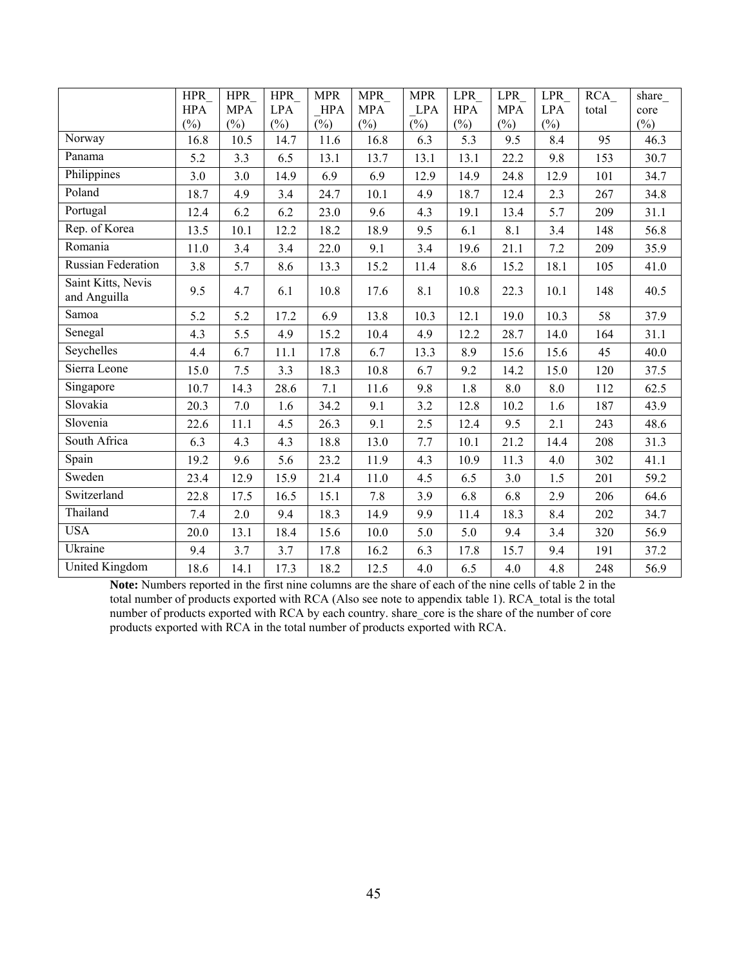|                                    | HPR        | <b>HPR</b> | <b>HPR</b> | <b>MPR</b> | <b>MPR</b> | <b>MPR</b> | <b>LPR</b> | <b>LPR</b> | LPR        | <b>RCA</b> | share  |
|------------------------------------|------------|------------|------------|------------|------------|------------|------------|------------|------------|------------|--------|
|                                    | <b>HPA</b> | <b>MPA</b> | <b>LPA</b> | <b>HPA</b> | <b>MPA</b> | <b>LPA</b> | <b>HPA</b> | <b>MPA</b> | <b>LPA</b> | total      | core   |
|                                    | $(\%)$     | $(\%)$     | $(\%)$     | $(\%)$     | $(\%)$     | $(\%)$     | $(\%)$     | $(\%)$     | $(\%)$     |            | $(\%)$ |
| Norway                             | 16.8       | 10.5       | 14.7       | 11.6       | 16.8       | 6.3        | 5.3        | 9.5        | 8.4        | 95         | 46.3   |
| Panama                             | 5.2        | 3.3        | 6.5        | 13.1       | 13.7       | 13.1       | 13.1       | 22.2       | 9.8        | 153        | 30.7   |
| Philippines                        | 3.0        | 3.0        | 14.9       | 6.9        | 6.9        | 12.9       | 14.9       | 24.8       | 12.9       | 101        | 34.7   |
| Poland                             | 18.7       | 4.9        | 3.4        | 24.7       | 10.1       | 4.9        | 18.7       | 12.4       | 2.3        | 267        | 34.8   |
| Portugal                           | 12.4       | 6.2        | 6.2        | 23.0       | 9.6        | 4.3        | 19.1       | 13.4       | 5.7        | 209        | 31.1   |
| Rep. of Korea                      | 13.5       | 10.1       | 12.2       | 18.2       | 18.9       | 9.5        | 6.1        | 8.1        | 3.4        | 148        | 56.8   |
| Romania                            | 11.0       | 3.4        | 3.4        | 22.0       | 9.1        | 3.4        | 19.6       | 21.1       | 7.2        | 209        | 35.9   |
| <b>Russian Federation</b>          | 3.8        | 5.7        | 8.6        | 13.3       | 15.2       | 11.4       | 8.6        | 15.2       | 18.1       | 105        | 41.0   |
| Saint Kitts, Nevis<br>and Anguilla | 9.5        | 4.7        | 6.1        | 10.8       | 17.6       | 8.1        | 10.8       | 22.3       | 10.1       | 148        | 40.5   |
| Samoa                              | 5.2        | 5.2        | 17.2       | 6.9        | 13.8       | 10.3       | 12.1       | 19.0       | 10.3       | 58         | 37.9   |
| Senegal                            | 4.3        | 5.5        | 4.9        | 15.2       | 10.4       | 4.9        | 12.2       | 28.7       | 14.0       | 164        | 31.1   |
| Seychelles                         | 4.4        | 6.7        | 11.1       | 17.8       | 6.7        | 13.3       | 8.9        | 15.6       | 15.6       | 45         | 40.0   |
| Sierra Leone                       | 15.0       | 7.5        | 3.3        | 18.3       | 10.8       | 6.7        | 9.2        | 14.2       | 15.0       | 120        | 37.5   |
| Singapore                          | 10.7       | 14.3       | 28.6       | 7.1        | 11.6       | 9.8        | 1.8        | 8.0        | 8.0        | 112        | 62.5   |
| Slovakia                           | 20.3       | $7.0\,$    | 1.6        | 34.2       | 9.1        | 3.2        | 12.8       | 10.2       | 1.6        | 187        | 43.9   |
| Slovenia                           | 22.6       | 11.1       | 4.5        | 26.3       | 9.1        | 2.5        | 12.4       | 9.5        | 2.1        | 243        | 48.6   |
| South Africa                       | 6.3        | 4.3        | 4.3        | 18.8       | 13.0       | 7.7        | 10.1       | 21.2       | 14.4       | 208        | 31.3   |
| Spain                              | 19.2       | 9.6        | 5.6        | 23.2       | 11.9       | 4.3        | 10.9       | 11.3       | 4.0        | 302        | 41.1   |
| Sweden                             | 23.4       | 12.9       | 15.9       | 21.4       | 11.0       | 4.5        | 6.5        | 3.0        | 1.5        | 201        | 59.2   |
| Switzerland                        | 22.8       | 17.5       | 16.5       | 15.1       | 7.8        | 3.9        | 6.8        | 6.8        | 2.9        | 206        | 64.6   |
| Thailand                           | 7.4        | 2.0        | 9.4        | 18.3       | 14.9       | 9.9        | 11.4       | 18.3       | 8.4        | 202        | 34.7   |
| <b>USA</b>                         | 20.0       | 13.1       | 18.4       | 15.6       | 10.0       | 5.0        | 5.0        | 9.4        | 3.4        | 320        | 56.9   |
| Ukraine                            | 9.4        | 3.7        | 3.7        | 17.8       | 16.2       | 6.3        | 17.8       | 15.7       | 9.4        | 191        | 37.2   |
| United Kingdom                     | 18.6       | 14.1       | 17.3       | 18.2       | 12.5       | 4.0        | 6.5        | 4.0        | 4.8        | 248        | 56.9   |

**Note:** Numbers reported in the first nine columns are the share of each of the nine cells of table 2 in the total number of products exported with RCA (Also see note to appendix table 1). RCA\_total is the total number of products exported with RCA by each country. share\_core is the share of the number of core products exported with RCA in the total number of products exported with RCA.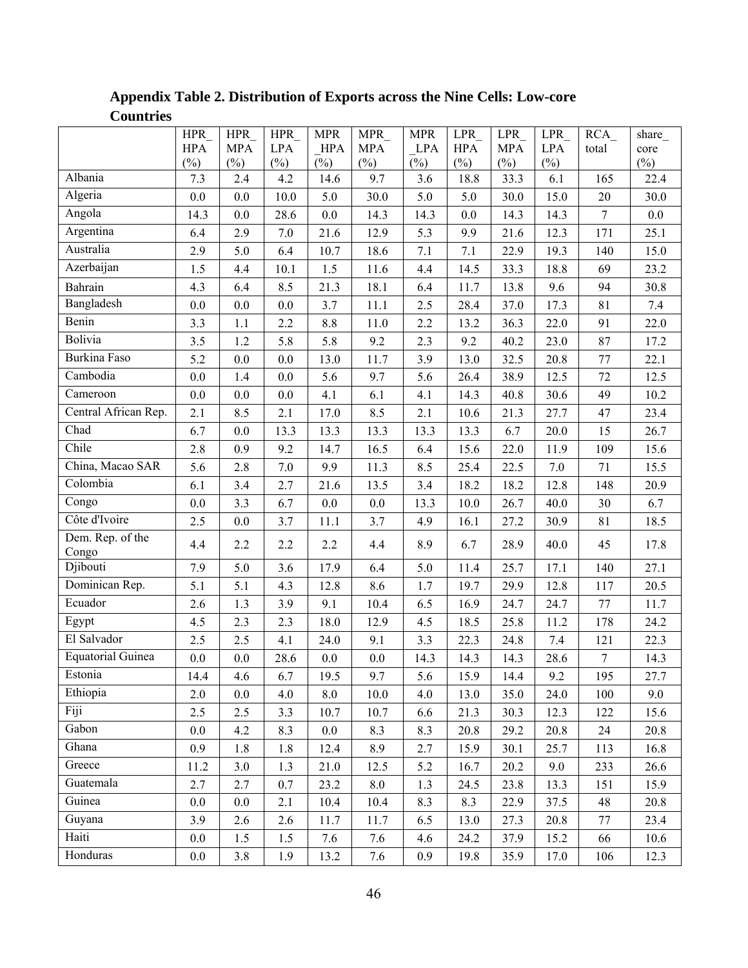|                           | HPR                  | <b>HPR</b>           | <b>HPR</b>           | <b>MPR</b>           | <b>MPR</b>           | <b>MPR</b>           | LPR                  | <b>LPR</b>           | <b>LPR</b>           | <b>RCA</b>     | share          |
|---------------------------|----------------------|----------------------|----------------------|----------------------|----------------------|----------------------|----------------------|----------------------|----------------------|----------------|----------------|
|                           | <b>HPA</b><br>$(\%)$ | <b>MPA</b><br>$(\%)$ | <b>LPA</b><br>$(\%)$ | <b>HPA</b><br>$(\%)$ | <b>MPA</b><br>$(\%)$ | <b>LPA</b><br>$(\%)$ | <b>HPA</b><br>$(\%)$ | <b>MPA</b><br>$(\%)$ | <b>LPA</b><br>$(\%)$ | total          | core<br>$(\%)$ |
| Albania                   | 7.3                  | 2.4                  | 4.2                  | 14.6                 | 9.7                  | 3.6                  | 18.8                 | 33.3                 | 6.1                  | 165            | 22.4           |
| Algeria                   | 0.0                  | $0.0\,$              | 10.0                 | 5.0                  | 30.0                 | 5.0                  | 5.0                  | 30.0                 | 15.0                 | $20\,$         | 30.0           |
| Angola                    | 14.3                 | 0.0                  | 28.6                 | $0.0\,$              | 14.3                 | 14.3                 | 0.0                  | 14.3                 | 14.3                 | $\overline{7}$ | 0.0            |
| Argentina                 | 6.4                  | 2.9                  | 7.0                  | 21.6                 | 12.9                 | 5.3                  | 9.9                  | 21.6                 | 12.3                 | 171            | 25.1           |
| Australia                 | 2.9                  | 5.0                  | 6.4                  | 10.7                 | 18.6                 | 7.1                  | 7.1                  | 22.9                 | 19.3                 | 140            | 15.0           |
| Azerbaijan                | 1.5                  | 4.4                  | 10.1                 | 1.5                  | 11.6                 | 4.4                  | 14.5                 | 33.3                 | 18.8                 | 69             | 23.2           |
| Bahrain                   | 4.3                  | 6.4                  | 8.5                  | 21.3                 | 18.1                 | 6.4                  | 11.7                 | 13.8                 | 9.6                  | 94             | 30.8           |
| Bangladesh                | $0.0\,$              | 0.0                  | 0.0                  | 3.7                  | 11.1                 | 2.5                  | 28.4                 | 37.0                 | 17.3                 | 81             | 7.4            |
| Benin                     | 3.3                  | 1.1                  | 2.2                  | $8.8\,$              | 11.0                 | 2.2                  | 13.2                 | 36.3                 | 22.0                 | 91             | 22.0           |
| Bolivia                   | 3.5                  | $1.2$                | 5.8                  | 5.8                  | 9.2                  | 2.3                  | 9.2                  | 40.2                 | 23.0                 | 87             | 17.2           |
| Burkina Faso              | 5.2                  | 0.0                  | $0.0\,$              | 13.0                 | 11.7                 | 3.9                  | 13.0                 | 32.5                 | 20.8                 | 77             | 22.1           |
| Cambodia                  | 0.0                  | 1.4                  | 0.0                  | 5.6                  | 9.7                  | 5.6                  | 26.4                 | 38.9                 | 12.5                 | 72             | 12.5           |
| Cameroon                  | $0.0\,$              | 0.0                  | 0.0                  | 4.1                  | 6.1                  | 4.1                  | 14.3                 | 40.8                 | 30.6                 | 49             | 10.2           |
| Central African Rep.      | 2.1                  | 8.5                  | 2.1                  | 17.0                 | 8.5                  | 2.1                  | 10.6                 | 21.3                 | 27.7                 | 47             | 23.4           |
| Chad                      | 6.7                  | 0.0                  | 13.3                 | 13.3                 | 13.3                 | 13.3                 | 13.3                 | 6.7                  | 20.0                 | 15             | 26.7           |
| Chile                     | 2.8                  | 0.9                  | 9.2                  | 14.7                 | 16.5                 | 6.4                  | 15.6                 | 22.0                 | 11.9                 | 109            | 15.6           |
| China, Macao SAR          | 5.6                  | 2.8                  | 7.0                  | 9.9                  | 11.3                 | 8.5                  | 25.4                 | 22.5                 | 7.0                  | 71             | 15.5           |
| Colombia                  | 6.1                  | 3.4                  | 2.7                  | 21.6                 | 13.5                 | 3.4                  | 18.2                 | 18.2                 | 12.8                 | 148            | 20.9           |
| Congo                     | $0.0\,$              | 3.3                  | 6.7                  | $0.0\,$              | 0.0                  | 13.3                 | 10.0                 | 26.7                 | 40.0                 | 30             | 6.7            |
| Côte d'Ivoire             | 2.5                  | $0.0\,$              | 3.7                  | 11.1                 | 3.7                  | 4.9                  | 16.1                 | 27.2                 | 30.9                 | 81             | 18.5           |
| Dem. Rep. of the<br>Congo | 4.4                  | 2.2                  | 2.2                  | 2.2                  | 4.4                  | 8.9                  | 6.7                  | 28.9                 | 40.0                 | 45             | 17.8           |
| Djibouti                  | 7.9                  | 5.0                  | 3.6                  | 17.9                 | 6.4                  | 5.0                  | 11.4                 | 25.7                 | 17.1                 | 140            | 27.1           |
| Dominican Rep.            | 5.1                  | 5.1                  | 4.3                  | 12.8                 | 8.6                  | 1.7                  | 19.7                 | 29.9                 | 12.8                 | 117            | 20.5           |
| Ecuador                   | 2.6                  | 1.3                  | 3.9                  | 9.1                  | 10.4                 | 6.5                  | 16.9                 | 24.7                 | 24.7                 | 77             | 11.7           |
| Egypt                     | 4.5                  | 2.3                  | 2.3                  | 18.0                 | 12.9                 | 4.5                  | 18.5                 | 25.8                 | 11.2                 | 178            | 24.2           |
| El Salvador               | 2.5                  | 2.5                  | 4.1                  | 24.0                 | 9.1                  | 3.3                  | 22.3                 | 24.8                 | 7.4                  | 121            | 22.3           |
| <b>Equatorial Guinea</b>  | $0.0\,$              | 0.0                  | 28.6                 | 0.0                  | 0.0                  | 14.3                 | 14.3                 | 14.3                 | 28.6                 | $\overline{7}$ | 14.3           |
| Estonia                   | 14.4                 | 4.6                  | 6.7                  | 19.5                 | 9.7                  | 5.6                  | 15.9                 | 14.4                 | 9.2                  | 195            | 27.7           |
| Ethiopia                  | 2.0                  | 0.0                  | 4.0                  | 8.0                  | 10.0                 | 4.0                  | 13.0                 | 35.0                 | 24.0                 | 100            | 9.0            |
| Fiji                      | 2.5                  | 2.5                  | 3.3                  | 10.7                 | 10.7                 | 6.6                  | 21.3                 | 30.3                 | 12.3                 | 122            | 15.6           |
| Gabon                     | 0.0                  | 4.2                  | 8.3                  | 0.0                  | 8.3                  | 8.3                  | 20.8                 | 29.2                 | 20.8                 | 24             | 20.8           |
| Ghana                     | 0.9                  | 1.8                  | 1.8                  | 12.4                 | 8.9                  | 2.7                  | 15.9                 | 30.1                 | 25.7                 | 113            | 16.8           |
| Greece                    | 11.2                 | $3.0$                | 1.3                  | 21.0                 | 12.5                 | 5.2                  | 16.7                 | 20.2                 | 9.0                  | 233            | 26.6           |
| Guatemala                 | 2.7                  | 2.7                  | 0.7                  | 23.2                 | 8.0                  | 1.3                  | 24.5                 | 23.8                 | 13.3                 | 151            | 15.9           |
| Guinea                    | 0.0                  | 0.0                  | 2.1                  | 10.4                 | 10.4                 | 8.3                  | 8.3                  | 22.9                 | 37.5                 | 48             | 20.8           |
| Guyana                    | 3.9                  | 2.6                  | 2.6                  | 11.7                 | 11.7                 | 6.5                  | 13.0                 | 27.3                 | 20.8                 | 77             | 23.4           |
| Haiti                     | $0.0\,$              | 1.5                  | 1.5                  | 7.6                  | 7.6                  | 4.6                  | 24.2                 | 37.9                 | 15.2                 | 66             | 10.6           |
| Honduras                  | $0.0\,$              | 3.8                  | 1.9                  | 13.2                 | 7.6                  | 0.9                  | 19.8                 | 35.9                 | 17.0                 | 106            | 12.3           |

**Appendix Table 2. Distribution of Exports across the Nine Cells: Low-core Countries**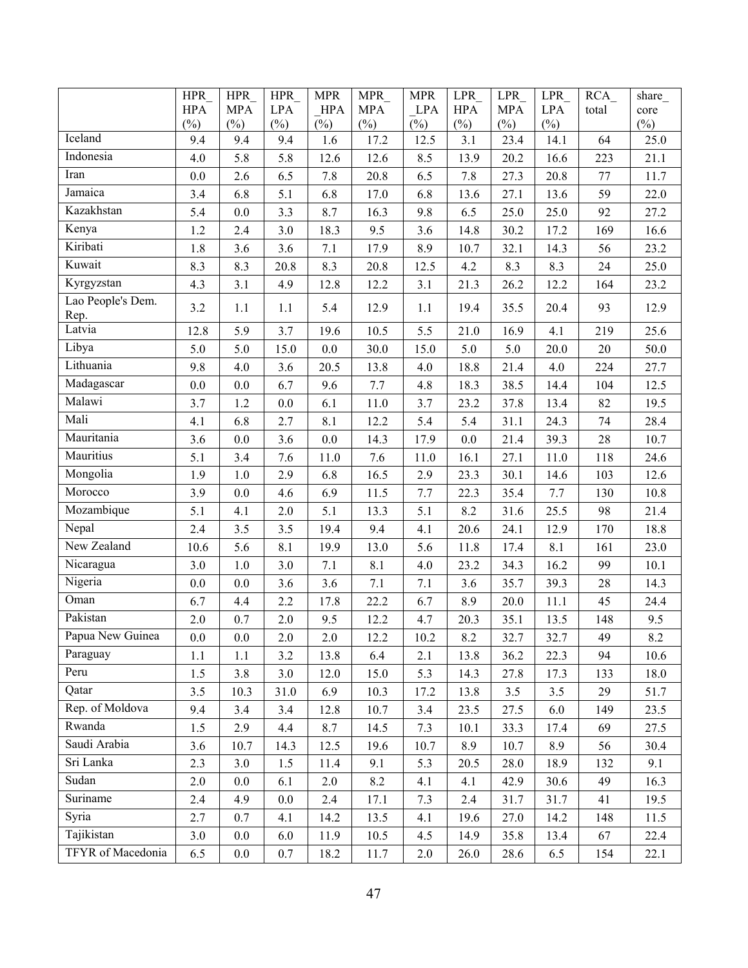|                           | <b>HPR</b> | <b>HPR</b> | <b>HPR</b> | <b>MPR</b> | <b>MPR</b> | <b>MPR</b> | LPR        | <b>LPR</b> | LPR        | $\overline{RCA}$ | share_ |
|---------------------------|------------|------------|------------|------------|------------|------------|------------|------------|------------|------------------|--------|
|                           | <b>HPA</b> | <b>MPA</b> | <b>LPA</b> | <b>HPA</b> | <b>MPA</b> | <b>LPA</b> | <b>HPA</b> | <b>MPA</b> | <b>LPA</b> | total            | core   |
| Iceland                   | $(\%)$     | $(\%)$     | $(\%)$     | $(\%)$     | $(\%)$     | $(\%)$     | $(\%)$     | $(\%)$     | $(\%)$     |                  | $(\%)$ |
|                           | 9.4        | 9.4        | 9.4        | 1.6        | 17.2       | 12.5       | 3.1        | 23.4       | 14.1       | 64               | 25.0   |
| Indonesia                 | 4.0        | 5.8        | 5.8        | 12.6       | 12.6       | 8.5        | 13.9       | 20.2       | 16.6       | 223              | 21.1   |
| Iran                      | 0.0        | 2.6        | 6.5        | 7.8        | 20.8       | 6.5        | 7.8        | 27.3       | 20.8       | 77               | 11.7   |
| Jamaica                   | 3.4        | 6.8        | 5.1        | 6.8        | 17.0       | 6.8        | 13.6       | 27.1       | 13.6       | 59               | 22.0   |
| Kazakhstan                | 5.4        | 0.0        | 3.3        | 8.7        | 16.3       | 9.8        | 6.5        | 25.0       | 25.0       | 92               | 27.2   |
| Kenya                     | 1.2        | 2.4        | 3.0        | 18.3       | 9.5        | 3.6        | 14.8       | 30.2       | 17.2       | 169              | 16.6   |
| Kiribati                  | 1.8        | 3.6        | 3.6        | 7.1        | 17.9       | 8.9        | 10.7       | 32.1       | 14.3       | 56               | 23.2   |
| Kuwait                    | 8.3        | 8.3        | 20.8       | 8.3        | 20.8       | 12.5       | 4.2        | 8.3        | 8.3        | 24               | 25.0   |
| Kyrgyzstan                | 4.3        | 3.1        | 4.9        | 12.8       | 12.2       | 3.1        | 21.3       | 26.2       | 12.2       | 164              | 23.2   |
| Lao People's Dem.<br>Rep. | 3.2        | 1.1        | 1.1        | 5.4        | 12.9       | 1.1        | 19.4       | 35.5       | 20.4       | 93               | 12.9   |
| Latvia                    | 12.8       | 5.9        | 3.7        | 19.6       | 10.5       | 5.5        | 21.0       | 16.9       | 4.1        | 219              | 25.6   |
| Libya                     | 5.0        | 5.0        | 15.0       | $0.0\,$    | 30.0       | 15.0       | 5.0        | 5.0        | 20.0       | 20               | 50.0   |
| Lithuania                 | 9.8        | 4.0        | 3.6        | 20.5       | 13.8       | 4.0        | 18.8       | 21.4       | 4.0        | 224              | 27.7   |
| Madagascar                | 0.0        | 0.0        | 6.7        | 9.6        | 7.7        | 4.8        | 18.3       | 38.5       | 14.4       | 104              | 12.5   |
| Malawi                    | 3.7        | 1.2        | 0.0        | 6.1        | 11.0       | 3.7        | 23.2       | 37.8       | 13.4       | 82               | 19.5   |
| Mali                      | 4.1        | 6.8        | 2.7        | 8.1        | 12.2       | 5.4        | 5.4        | 31.1       | 24.3       | 74               | 28.4   |
| Mauritania                | 3.6        | 0.0        | 3.6        | 0.0        | 14.3       | 17.9       | 0.0        | 21.4       | 39.3       | $28\,$           | 10.7   |
| Mauritius                 | 5.1        | 3.4        | 7.6        | 11.0       | 7.6        | 11.0       | 16.1       | 27.1       | 11.0       | 118              | 24.6   |
| Mongolia                  | 1.9        | $1.0\,$    | 2.9        | 6.8        | 16.5       | 2.9        | 23.3       | 30.1       | 14.6       | 103              | 12.6   |
| Morocco                   | 3.9        | 0.0        | 4.6        | 6.9        | 11.5       | 7.7        | 22.3       | 35.4       | 7.7        | 130              | 10.8   |
| Mozambique                | 5.1        | 4.1        | 2.0        | 5.1        | 13.3       | 5.1        | 8.2        | 31.6       | 25.5       | 98               | 21.4   |
| Nepal                     | 2.4        | 3.5        | 3.5        | 19.4       | 9.4        | 4.1        | 20.6       | 24.1       | 12.9       | 170              | 18.8   |
| New Zealand               | 10.6       | 5.6        | 8.1        | 19.9       | 13.0       | 5.6        | 11.8       | 17.4       | 8.1        | 161              | 23.0   |
| Nicaragua                 | 3.0        | $1.0\,$    | 3.0        | 7.1        | 8.1        | 4.0        | 23.2       | 34.3       | 16.2       | 99               | 10.1   |
| Nigeria                   | 0.0        | 0.0        | 3.6        | 3.6        | 7.1        | 7.1        | 3.6        | 35.7       | 39.3       | $28\,$           | 14.3   |
| Oman                      | 6.7        | 4.4        | 2.2        | 17.8       | 22.2       | 6.7        | 8.9        | 20.0       | 11.1       | 45               | 24.4   |
| Pakistan                  | 2.0        | 0.7        | $2.0$      | 9.5        | 12.2       | 4.7        | 20.3       | 35.1       | 13.5       | 148              | 9.5    |
| Papua New Guinea          | $0.0\,$    | $0.0\,$    | 2.0        | 2.0        | 12.2       | $10.2\,$   | 8.2        | 32.7       | 32.7       | 49               | 8.2    |
| Paraguay                  | 1.1        | 1.1        | 3.2        | 13.8       | 6.4        | 2.1        | 13.8       | 36.2       | 22.3       | 94               | 10.6   |
| Peru                      | $1.5$      | 3.8        | $3.0\,$    | 12.0       | 15.0       | 5.3        | 14.3       | 27.8       | 17.3       | 133              | 18.0   |
| Qatar                     | 3.5        | 10.3       | 31.0       | 6.9        | 10.3       | 17.2       | 13.8       | 3.5        | 3.5        | 29               | 51.7   |
| Rep. of Moldova           | 9.4        | 3.4        | 3.4        | 12.8       | 10.7       | 3.4        | 23.5       | 27.5       | 6.0        | 149              | 23.5   |
| Rwanda                    | 1.5        | 2.9        | 4.4        | 8.7        | 14.5       | 7.3        | 10.1       | 33.3       | 17.4       | 69               | 27.5   |
| Saudi Arabia              | 3.6        | 10.7       | 14.3       | 12.5       | 19.6       | 10.7       | 8.9        | 10.7       | 8.9        | 56               | 30.4   |
| Sri Lanka                 | 2.3        | 3.0        | 1.5        | 11.4       | 9.1        | 5.3        | 20.5       | 28.0       | 18.9       | 132              | 9.1    |
| Sudan                     | 2.0        | 0.0        | 6.1        | 2.0        | 8.2        | 4.1        | 4.1        | 42.9       | 30.6       | 49               | 16.3   |
| Suriname                  | 2.4        | 4.9        | 0.0        | 2.4        | 17.1       | 7.3        | 2.4        | 31.7       | 31.7       | 41               | 19.5   |
| Syria                     | 2.7        | 0.7        | 4.1        | 14.2       | 13.5       | 4.1        | 19.6       | 27.0       | 14.2       | 148              | 11.5   |
| Tajikistan                | 3.0        | 0.0        | 6.0        | 11.9       | 10.5       | 4.5        | 14.9       | 35.8       | 13.4       | 67               | 22.4   |
| TFYR of Macedonia         | 6.5        | $0.0\,$    | $0.7\,$    | 18.2       | 11.7       | 2.0        | 26.0       | 28.6       | 6.5        | 154              | 22.1   |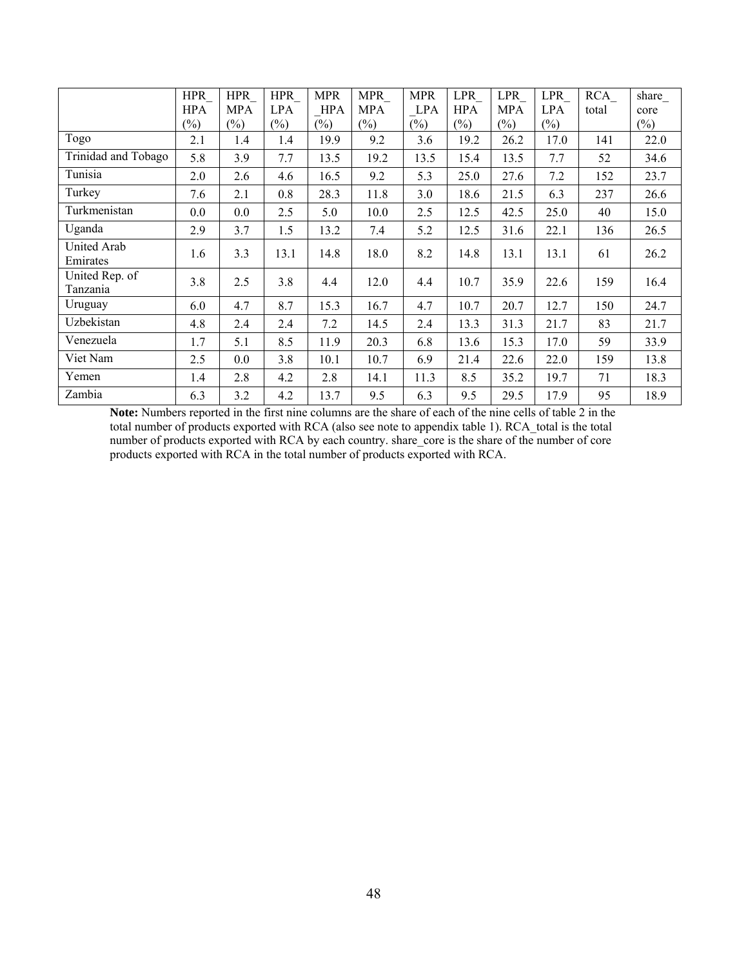|                                | <b>HPR</b><br><b>HPA</b><br>$(\%)$ | <b>HPR</b><br><b>MPA</b><br>$(\%)$ | <b>HPR</b><br><b>LPA</b><br>$(\%)$ | <b>MPR</b><br><b>HPA</b><br>$(\%)$ | <b>MPR</b><br><b>MPA</b><br>$(\%)$ | <b>MPR</b><br><b>LPA</b><br>$(\%)$ | <b>LPR</b><br><b>HPA</b><br>$(\%)$ | <b>LPR</b><br><b>MPA</b><br>$(\%)$ | <b>LPR</b><br><b>LPA</b><br>$(\%)$ | <b>RCA</b><br>total | share<br>core<br>$(\%)$ |
|--------------------------------|------------------------------------|------------------------------------|------------------------------------|------------------------------------|------------------------------------|------------------------------------|------------------------------------|------------------------------------|------------------------------------|---------------------|-------------------------|
| Togo                           | 2.1                                | 1.4                                | 1.4                                | 19.9                               | 9.2                                | 3.6                                | 19.2                               | 26.2                               | 17.0                               | 141                 | 22.0                    |
| Trinidad and Tobago            | 5.8                                | 3.9                                | 7.7                                | 13.5                               | 19.2                               | 13.5                               | 15.4                               | 13.5                               | 7.7                                | 52                  | 34.6                    |
| Tunisia                        | 2.0                                | 2.6                                | 4.6                                | 16.5                               | 9.2                                | 5.3                                | 25.0                               | 27.6                               | 7.2                                | 152                 | 23.7                    |
| Turkey                         | 7.6                                | 2.1                                | 0.8                                | 28.3                               | 11.8                               | 3.0                                | 18.6                               | 21.5                               | 6.3                                | 237                 | 26.6                    |
| Turkmenistan                   | 0.0                                | 0.0                                | 2.5                                | 5.0                                | 10.0                               | 2.5                                | 12.5                               | 42.5                               | 25.0                               | 40                  | 15.0                    |
| Uganda                         | 2.9                                | 3.7                                | 1.5                                | 13.2                               | 7.4                                | 5.2                                | 12.5                               | 31.6                               | 22.1                               | 136                 | 26.5                    |
| <b>United Arab</b><br>Emirates | 1.6                                | 3.3                                | 13.1                               | 14.8                               | 18.0                               | 8.2                                | 14.8                               | 13.1                               | 13.1                               | 61                  | 26.2                    |
| United Rep. of<br>Tanzania     | 3.8                                | 2.5                                | 3.8                                | 4.4                                | 12.0                               | 4.4                                | 10.7                               | 35.9                               | 22.6                               | 159                 | 16.4                    |
| Uruguay                        | 6.0                                | 4.7                                | 8.7                                | 15.3                               | 16.7                               | 4.7                                | 10.7                               | 20.7                               | 12.7                               | 150                 | 24.7                    |
| Uzbekistan                     | 4.8                                | 2.4                                | 2.4                                | 7.2                                | 14.5                               | 2.4                                | 13.3                               | 31.3                               | 21.7                               | 83                  | 21.7                    |
| Venezuela                      | 1.7                                | 5.1                                | 8.5                                | 11.9                               | 20.3                               | 6.8                                | 13.6                               | 15.3                               | 17.0                               | 59                  | 33.9                    |
| Viet Nam                       | 2.5                                | 0.0                                | 3.8                                | 10.1                               | 10.7                               | 6.9                                | 21.4                               | 22.6                               | 22.0                               | 159                 | 13.8                    |
| Yemen                          | 1.4                                | 2.8                                | 4.2                                | 2.8                                | 14.1                               | 11.3                               | 8.5                                | 35.2                               | 19.7                               | 71                  | 18.3                    |
| Zambia                         | 6.3                                | 3.2                                | 4.2                                | 13.7                               | 9.5                                | 6.3                                | 9.5                                | 29.5                               | 17.9                               | 95                  | 18.9                    |

**Note:** Numbers reported in the first nine columns are the share of each of the nine cells of table 2 in the total number of products exported with RCA (also see note to appendix table 1). RCA\_total is the total number of products exported with RCA by each country. share\_core is the share of the number of core products exported with RCA in the total number of products exported with RCA.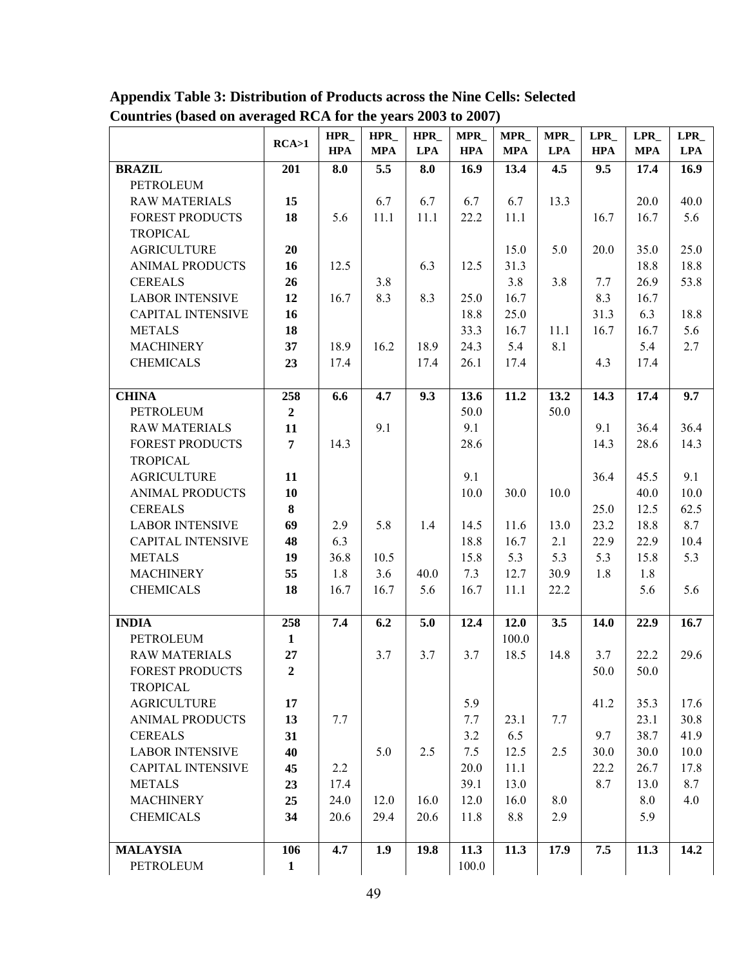|                          |                | <b>HPR</b> | HPR_       | HPR_       | <b>MPR</b> | MPR_       | MPR_       | LPR        | LPR        | LPR        |
|--------------------------|----------------|------------|------------|------------|------------|------------|------------|------------|------------|------------|
|                          | RCA>1          | <b>HPA</b> | <b>MPA</b> | <b>LPA</b> | <b>HPA</b> | <b>MPA</b> | <b>LPA</b> | <b>HPA</b> | <b>MPA</b> | <b>LPA</b> |
| <b>BRAZIL</b>            | 201            | 8.0        | 5.5        | 8.0        | 16.9       | 13.4       | 4.5        | 9.5        | 17.4       | 16.9       |
| <b>PETROLEUM</b>         |                |            |            |            |            |            |            |            |            |            |
| <b>RAW MATERIALS</b>     | 15             |            | 6.7        | 6.7        | 6.7        | 6.7        | 13.3       |            | 20.0       | 40.0       |
| <b>FOREST PRODUCTS</b>   | 18             | 5.6        | 11.1       | 11.1       | 22.2       | 11.1       |            | 16.7       | 16.7       | 5.6        |
| <b>TROPICAL</b>          |                |            |            |            |            |            |            |            |            |            |
| <b>AGRICULTURE</b>       | 20             |            |            |            |            | 15.0       | 5.0        | 20.0       | 35.0       | 25.0       |
| <b>ANIMAL PRODUCTS</b>   | 16             | 12.5       |            | 6.3        | 12.5       | 31.3       |            |            | 18.8       | 18.8       |
| <b>CEREALS</b>           | 26             |            | 3.8        |            |            | 3.8        | 3.8        | 7.7        | 26.9       | 53.8       |
| <b>LABOR INTENSIVE</b>   | 12             | 16.7       | 8.3        | 8.3        | 25.0       | 16.7       |            | 8.3        | 16.7       |            |
| <b>CAPITAL INTENSIVE</b> | 16             |            |            |            | 18.8       | 25.0       |            | 31.3       | 6.3        | 18.8       |
| <b>METALS</b>            | 18             |            |            |            | 33.3       | 16.7       | 11.1       | 16.7       | 16.7       | 5.6        |
| <b>MACHINERY</b>         | 37             | 18.9       | 16.2       | 18.9       | 24.3       | 5.4        | 8.1        |            | 5.4        | 2.7        |
| <b>CHEMICALS</b>         | 23             | 17.4       |            | 17.4       | 26.1       | 17.4       |            | 4.3        | 17.4       |            |
|                          |                |            |            |            |            |            |            |            |            |            |
| <b>CHINA</b>             | 258            | 6.6        | 4.7        | 9.3        | 13.6       | 11.2       | 13.2       | 14.3       | 17.4       | 9.7        |
| <b>PETROLEUM</b>         | $\overline{2}$ |            |            |            | 50.0       |            | 50.0       |            |            |            |
| <b>RAW MATERIALS</b>     | 11             |            | 9.1        |            | 9.1        |            |            | 9.1        | 36.4       | 36.4       |
| <b>FOREST PRODUCTS</b>   | $\overline{7}$ | 14.3       |            |            | 28.6       |            |            | 14.3       | 28.6       | 14.3       |
| <b>TROPICAL</b>          |                |            |            |            |            |            |            |            |            |            |
| <b>AGRICULTURE</b>       | 11             |            |            |            | 9.1        |            |            | 36.4       | 45.5       | 9.1        |
| <b>ANIMAL PRODUCTS</b>   | 10             |            |            |            | 10.0       | 30.0       | 10.0       |            | 40.0       | 10.0       |
| <b>CEREALS</b>           | 8              |            |            |            |            |            |            | 25.0       | 12.5       | 62.5       |
| <b>LABOR INTENSIVE</b>   | 69             | 2.9        | 5.8        | 1.4        | 14.5       | 11.6       | 13.0       | 23.2       | 18.8       | 8.7        |
| <b>CAPITAL INTENSIVE</b> | 48             | 6.3        |            |            | 18.8       | 16.7       | 2.1        | 22.9       | 22.9       | 10.4       |
| <b>METALS</b>            | 19             | 36.8       | 10.5       |            | 15.8       | 5.3        | 5.3        | 5.3        | 15.8       | 5.3        |
| <b>MACHINERY</b>         | 55             | 1.8        | 3.6        | 40.0       | 7.3        | 12.7       | 30.9       | 1.8        | 1.8        |            |
| <b>CHEMICALS</b>         | 18             | 16.7       | 16.7       | 5.6        | 16.7       | 11.1       | 22.2       |            | 5.6        | 5.6        |
|                          |                |            |            |            |            |            |            |            |            |            |
| <b>INDIA</b>             | 258            | 7.4        | 6.2        | 5.0        | 12.4       | 12.0       | 3.5        | 14.0       | 22.9       | 16.7       |
| <b>PETROLEUM</b>         | $\mathbf{1}$   |            |            |            |            | 100.0      |            |            |            |            |
| <b>RAW MATERIALS</b>     | 27             |            | 3.7        | 3.7        | 3.7        | 18.5       | 14.8       | 3.7        | 22.2       | 29.6       |
| <b>FOREST PRODUCTS</b>   | $\overline{2}$ |            |            |            |            |            |            | 50.0       | 50.0       |            |
| <b>TROPICAL</b>          |                |            |            |            |            |            |            |            |            |            |
| <b>AGRICULTURE</b>       | 17             |            |            |            | 5.9        |            |            | 41.2       | 35.3       | 17.6       |
| <b>ANIMAL PRODUCTS</b>   | 13             | 7.7        |            |            | 7.7        | 23.1       | 7.7        |            | 23.1       | 30.8       |
| <b>CEREALS</b>           | 31             |            |            |            | 3.2        | 6.5        |            | 9.7        | 38.7       | 41.9       |
| <b>LABOR INTENSIVE</b>   | 40             |            | 5.0        | 2.5        | 7.5        | 12.5       | 2.5        | 30.0       | 30.0       | 10.0       |
| <b>CAPITAL INTENSIVE</b> | 45             | 2.2        |            |            | 20.0       | 11.1       |            | 22.2       | 26.7       | 17.8       |
| <b>METALS</b>            | 23             | 17.4       |            |            | 39.1       | 13.0       |            | 8.7        | 13.0       | 8.7        |
| <b>MACHINERY</b>         | 25             | 24.0       | 12.0       | 16.0       | 12.0       | 16.0       | 8.0        |            | 8.0        | 4.0        |
| <b>CHEMICALS</b>         | 34             | 20.6       | 29.4       | 20.6       | 11.8       | 8.8        | 2.9        |            | 5.9        |            |
|                          |                |            |            |            |            |            |            |            |            |            |
| <b>MALAYSIA</b>          | 106            | 4.7        | 1.9        | 19.8       | 11.3       | 11.3       | 17.9       | 7.5        | 11.3       | 14.2       |
| PETROLEUM                | $\mathbf{1}$   |            |            |            | 100.0      |            |            |            |            |            |

**Appendix Table 3: Distribution of Products across the Nine Cells: Selected Countries (based on averaged RCA for the years 2003 to 2007)**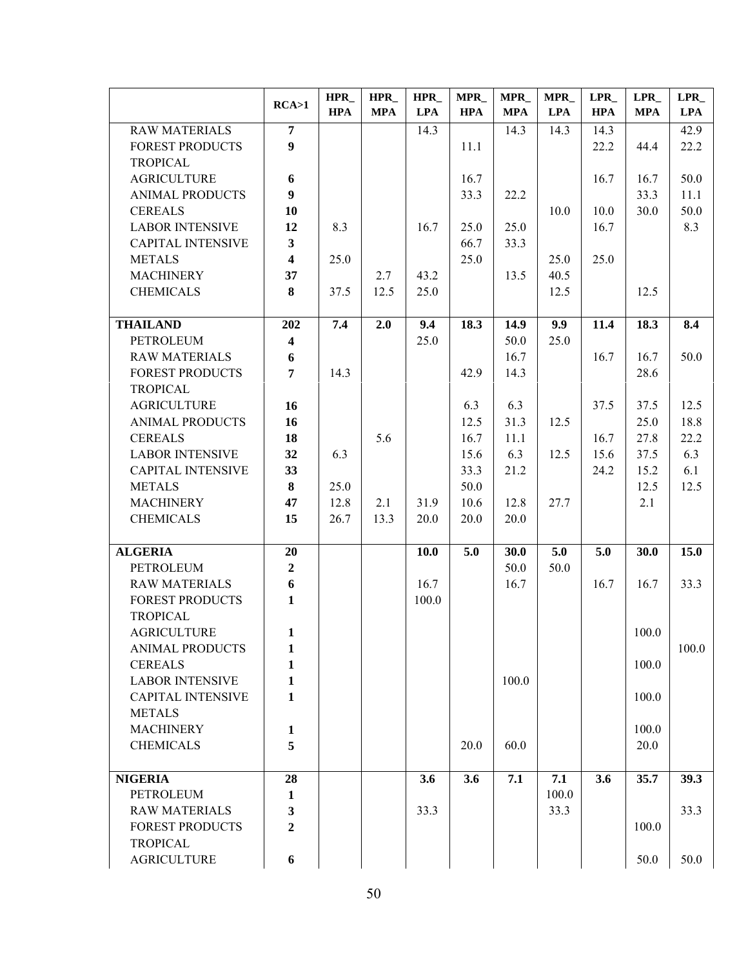|                                   | RCA>1                          | $HPR_$<br><b>HPA</b> | HPR_<br><b>MPA</b> | HPR_<br><b>LPA</b> | MPR_<br><b>HPA</b> | MPR_<br><b>MPA</b> | MPR_<br><b>LPA</b> | LPR_<br><b>HPA</b> | LPR<br><b>MPA</b> | LPR<br><b>LPA</b> |
|-----------------------------------|--------------------------------|----------------------|--------------------|--------------------|--------------------|--------------------|--------------------|--------------------|-------------------|-------------------|
| <b>RAW MATERIALS</b>              | $\overline{7}$                 |                      |                    | 14.3               |                    | 14.3               | 14.3               | 14.3               |                   | 42.9              |
| <b>FOREST PRODUCTS</b>            | $\boldsymbol{9}$               |                      |                    |                    | 11.1               |                    |                    | 22.2               | 44.4              | 22.2              |
| <b>TROPICAL</b>                   |                                |                      |                    |                    |                    |                    |                    |                    |                   |                   |
| <b>AGRICULTURE</b>                | 6                              |                      |                    |                    | 16.7               |                    |                    | 16.7               | 16.7              | 50.0              |
| <b>ANIMAL PRODUCTS</b>            | 9                              |                      |                    |                    | 33.3               | 22.2               |                    |                    | 33.3              | 11.1              |
| <b>CEREALS</b>                    | 10                             |                      |                    |                    |                    |                    | 10.0               | 10.0               | 30.0              | 50.0              |
| <b>LABOR INTENSIVE</b>            | 12                             | 8.3                  |                    | 16.7               | 25.0               | 25.0               |                    | 16.7               |                   | 8.3               |
| <b>CAPITAL INTENSIVE</b>          | $\mathbf{3}$                   |                      |                    |                    | 66.7               | 33.3               |                    |                    |                   |                   |
| <b>METALS</b>                     | $\overline{\mathbf{4}}$        | 25.0                 |                    |                    | 25.0               |                    | 25.0               | 25.0               |                   |                   |
| <b>MACHINERY</b>                  | 37                             |                      | 2.7                | 43.2               |                    | 13.5               | 40.5               |                    |                   |                   |
| <b>CHEMICALS</b>                  | 8                              | 37.5                 | 12.5               | 25.0               |                    |                    | 12.5               |                    | 12.5              |                   |
|                                   |                                |                      |                    |                    |                    |                    |                    |                    |                   |                   |
| <b>THAILAND</b>                   | 202                            | 7.4                  | 2.0                | 9.4                | 18.3               | 14.9               | 9.9                | 11.4               | 18.3              | 8.4               |
| PETROLEUM                         | $\overline{\mathbf{4}}$        |                      |                    | 25.0               |                    | 50.0               | 25.0               |                    |                   |                   |
| <b>RAW MATERIALS</b>              | 6                              |                      |                    |                    |                    | 16.7               |                    | 16.7               | 16.7              | 50.0              |
| <b>FOREST PRODUCTS</b>            | 7                              | 14.3                 |                    |                    | 42.9               | 14.3               |                    |                    | 28.6              |                   |
| <b>TROPICAL</b>                   |                                |                      |                    |                    |                    |                    |                    |                    |                   |                   |
| <b>AGRICULTURE</b>                | 16                             |                      |                    |                    | 6.3                | 6.3                |                    | 37.5               | 37.5              | 12.5              |
| <b>ANIMAL PRODUCTS</b>            | 16                             |                      |                    |                    | 12.5               | 31.3               | 12.5               |                    | 25.0              | 18.8              |
| <b>CEREALS</b>                    | 18                             |                      | 5.6                |                    | 16.7               | 11.1               |                    | 16.7               | 27.8              | 22.2              |
| <b>LABOR INTENSIVE</b>            | 32                             | 6.3                  |                    |                    | 15.6               | 6.3                | 12.5               | 15.6               | 37.5              | 6.3               |
| <b>CAPITAL INTENSIVE</b>          | 33                             |                      |                    |                    | 33.3               | 21.2               |                    | 24.2               | 15.2              | 6.1               |
| <b>METALS</b>                     | 8                              | 25.0                 |                    |                    | 50.0               |                    |                    |                    | 12.5              | 12.5              |
| <b>MACHINERY</b>                  | 47                             | 12.8                 | 2.1                | 31.9               | 10.6               | 12.8               | 27.7               |                    | 2.1               |                   |
| <b>CHEMICALS</b>                  | 15                             | 26.7                 | 13.3               | 20.0               | 20.0               | 20.0               |                    |                    |                   |                   |
|                                   |                                |                      |                    |                    |                    |                    |                    |                    |                   |                   |
| <b>ALGERIA</b>                    | 20                             |                      |                    | 10.0               | 5.0                | 30.0               | 5.0                | 5.0                | 30.0              | 15.0              |
| PETROLEUM                         | $\boldsymbol{2}$               |                      |                    |                    |                    | 50.0               | 50.0               |                    |                   |                   |
| <b>RAW MATERIALS</b>              | 6                              |                      |                    | 16.7               |                    | 16.7               |                    | 16.7               | 16.7              | 33.3              |
| <b>FOREST PRODUCTS</b>            | $\mathbf{1}$                   |                      |                    | 100.0              |                    |                    |                    |                    |                   |                   |
| <b>TROPICAL</b>                   |                                |                      |                    |                    |                    |                    |                    |                    |                   |                   |
| <b>AGRICULTURE</b>                | 1                              |                      |                    |                    |                    |                    |                    |                    | 100.0             |                   |
| <b>ANIMAL PRODUCTS</b>            | 1                              |                      |                    |                    |                    |                    |                    |                    |                   | 100.0             |
| <b>CEREALS</b>                    | 1                              |                      |                    |                    |                    |                    |                    |                    | 100.0             |                   |
| <b>LABOR INTENSIVE</b>            | 1                              |                      |                    |                    |                    | 100.0              |                    |                    |                   |                   |
| <b>CAPITAL INTENSIVE</b>          | 1                              |                      |                    |                    |                    |                    |                    |                    | 100.0             |                   |
| <b>METALS</b>                     |                                |                      |                    |                    |                    |                    |                    |                    |                   |                   |
| <b>MACHINERY</b>                  | $\mathbf{1}$                   |                      |                    |                    |                    |                    |                    |                    | 100.0             |                   |
| <b>CHEMICALS</b>                  | 5                              |                      |                    |                    | 20.0               | 60.0               |                    |                    | 20.0              |                   |
|                                   |                                |                      |                    |                    |                    |                    |                    |                    |                   |                   |
| <b>NIGERIA</b>                    | 28                             |                      |                    | 3.6                | 3.6                | 7.1                | 7.1<br>100.0       | 3.6                | 35.7              | 39.3              |
| PETROLEUM<br><b>RAW MATERIALS</b> | $\mathbf{1}$                   |                      |                    | 33.3               |                    |                    | 33.3               |                    |                   | 33.3              |
| <b>FOREST PRODUCTS</b>            | $\mathbf{3}$<br>$\overline{2}$ |                      |                    |                    |                    |                    |                    |                    | 100.0             |                   |
| <b>TROPICAL</b>                   |                                |                      |                    |                    |                    |                    |                    |                    |                   |                   |
| <b>AGRICULTURE</b>                | 6                              |                      |                    |                    |                    |                    |                    |                    | 50.0              | 50.0              |
|                                   |                                |                      |                    |                    |                    |                    |                    |                    |                   |                   |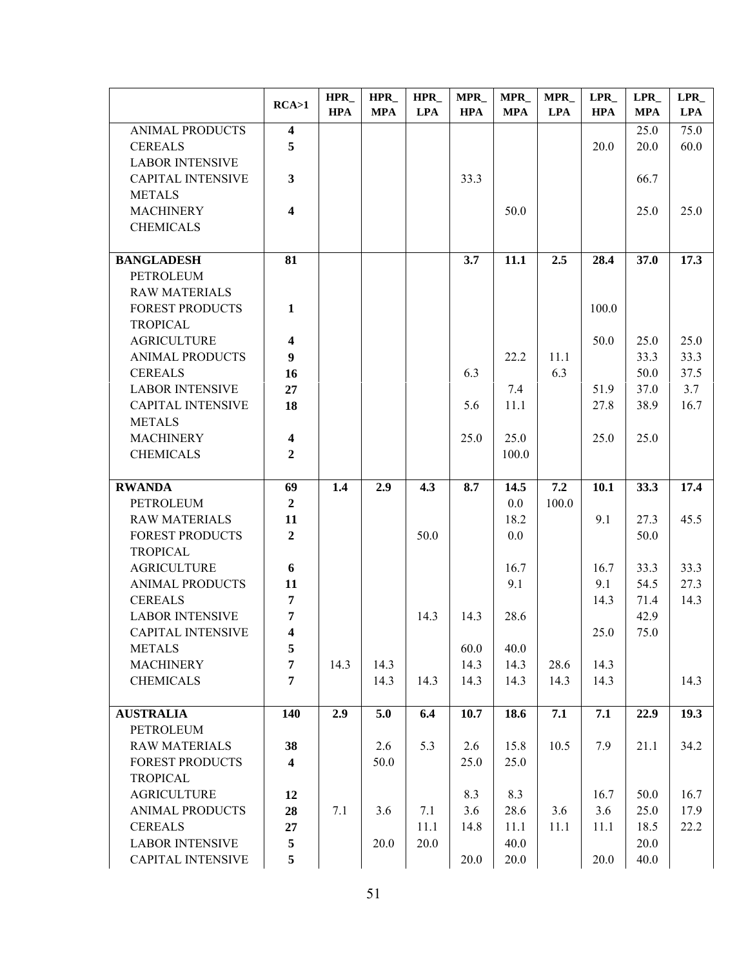|                                              | RCA>1                   | $HPR_$<br><b>HPA</b> | $HPR_$<br><b>MPA</b> | $HPR_$<br><b>LPA</b> | MPR_<br><b>HPA</b> | MPR_<br><b>MPA</b> | MPR_<br><b>LPA</b> | LPR<br><b>HPA</b> | LPR<br><b>MPA</b> | LPR<br><b>LPA</b> |
|----------------------------------------------|-------------------------|----------------------|----------------------|----------------------|--------------------|--------------------|--------------------|-------------------|-------------------|-------------------|
| <b>ANIMAL PRODUCTS</b>                       | $\overline{\mathbf{4}}$ |                      |                      |                      |                    |                    |                    |                   | 25.0              | 75.0              |
| <b>CEREALS</b>                               | 5                       |                      |                      |                      |                    |                    |                    | 20.0              | 20.0              | 60.0              |
| <b>LABOR INTENSIVE</b>                       |                         |                      |                      |                      |                    |                    |                    |                   |                   |                   |
| <b>CAPITAL INTENSIVE</b>                     | 3                       |                      |                      |                      | 33.3               |                    |                    |                   | 66.7              |                   |
| <b>METALS</b>                                |                         |                      |                      |                      |                    |                    |                    |                   |                   |                   |
| <b>MACHINERY</b>                             | $\overline{\mathbf{4}}$ |                      |                      |                      |                    | 50.0               |                    |                   | 25.0              | 25.0              |
| <b>CHEMICALS</b>                             |                         |                      |                      |                      |                    |                    |                    |                   |                   |                   |
|                                              |                         |                      |                      |                      |                    |                    |                    |                   |                   |                   |
| <b>BANGLADESH</b>                            | 81                      |                      |                      |                      | 3.7                | 11.1               | 2.5                | 28.4              | 37.0              | 17.3              |
| <b>PETROLEUM</b>                             |                         |                      |                      |                      |                    |                    |                    |                   |                   |                   |
| <b>RAW MATERIALS</b>                         |                         |                      |                      |                      |                    |                    |                    |                   |                   |                   |
| <b>FOREST PRODUCTS</b>                       | 1                       |                      |                      |                      |                    |                    |                    | 100.0             |                   |                   |
| <b>TROPICAL</b>                              |                         |                      |                      |                      |                    |                    |                    |                   |                   |                   |
| <b>AGRICULTURE</b>                           | $\boldsymbol{4}$        |                      |                      |                      |                    |                    |                    | 50.0              | 25.0              | 25.0              |
| <b>ANIMAL PRODUCTS</b>                       | 9                       |                      |                      |                      |                    | 22.2               | 11.1               |                   | 33.3              | 33.3              |
| <b>CEREALS</b>                               | 16                      |                      |                      |                      | 6.3                |                    | 6.3                |                   | 50.0              | 37.5              |
| <b>LABOR INTENSIVE</b>                       | 27                      |                      |                      |                      |                    | 7.4                |                    | 51.9              | 37.0              | 3.7               |
| <b>CAPITAL INTENSIVE</b>                     | 18                      |                      |                      |                      | 5.6                | 11.1               |                    | 27.8              | 38.9              | 16.7              |
| <b>METALS</b>                                |                         |                      |                      |                      |                    |                    |                    |                   |                   |                   |
| <b>MACHINERY</b>                             | $\overline{\mathbf{4}}$ |                      |                      |                      | 25.0               | 25.0               |                    | 25.0              | 25.0              |                   |
| <b>CHEMICALS</b>                             | $\overline{2}$          |                      |                      |                      |                    | 100.0              |                    |                   |                   |                   |
|                                              |                         |                      |                      |                      |                    |                    |                    |                   |                   |                   |
| <b>RWANDA</b>                                | 69                      | 1.4                  | 2.9                  | 4.3                  | 8.7                | 14.5               | 7.2                | 10.1              | 33.3              | 17.4              |
| <b>PETROLEUM</b>                             | $\overline{2}$          |                      |                      |                      |                    | $0.0\,$            | 100.0              |                   |                   |                   |
| <b>RAW MATERIALS</b>                         | 11                      |                      |                      |                      |                    | 18.2               |                    | 9.1               | 27.3              | 45.5              |
| <b>FOREST PRODUCTS</b>                       | $\overline{2}$          |                      |                      | 50.0                 |                    | 0.0                |                    |                   | 50.0              |                   |
| <b>TROPICAL</b>                              |                         |                      |                      |                      |                    |                    |                    |                   |                   |                   |
| <b>AGRICULTURE</b><br><b>ANIMAL PRODUCTS</b> | 6                       |                      |                      |                      |                    | 16.7<br>9.1        |                    | 16.7<br>9.1       | 33.3<br>54.5      | 33.3<br>27.3      |
| <b>CEREALS</b>                               | 11<br>7                 |                      |                      |                      |                    |                    |                    | 14.3              | 71.4              | 14.3              |
| <b>LABOR INTENSIVE</b>                       | 7                       |                      |                      | 14.3                 | 14.3               | 28.6               |                    |                   | 42.9              |                   |
| <b>CAPITAL INTENSIVE</b>                     | 4                       |                      |                      |                      |                    |                    |                    | 25.0              | 75.0              |                   |
| <b>METALS</b>                                | 5                       |                      |                      |                      | 60.0               | 40.0               |                    |                   |                   |                   |
| <b>MACHINERY</b>                             | $\overline{7}$          | 14.3                 | 14.3                 |                      | 14.3               | 14.3               | 28.6               | 14.3              |                   |                   |
| <b>CHEMICALS</b>                             | $\overline{7}$          |                      | 14.3                 | 14.3                 | 14.3               | 14.3               | 14.3               | 14.3              |                   | 14.3              |
|                                              |                         |                      |                      |                      |                    |                    |                    |                   |                   |                   |
| <b>AUSTRALIA</b>                             | 140                     | 2.9                  | 5.0                  | 6.4                  | 10.7               | 18.6               | 7.1                | 7.1               | 22.9              | 19.3              |
| PETROLEUM                                    |                         |                      |                      |                      |                    |                    |                    |                   |                   |                   |
| <b>RAW MATERIALS</b>                         | 38                      |                      | 2.6                  | 5.3                  | 2.6                | 15.8               | 10.5               | 7.9               | 21.1              | 34.2              |
| <b>FOREST PRODUCTS</b>                       | $\overline{\mathbf{4}}$ |                      | 50.0                 |                      | 25.0               | 25.0               |                    |                   |                   |                   |
| <b>TROPICAL</b>                              |                         |                      |                      |                      |                    |                    |                    |                   |                   |                   |
| <b>AGRICULTURE</b>                           | 12                      |                      |                      |                      | 8.3                | 8.3                |                    | 16.7              | 50.0              | 16.7              |
| <b>ANIMAL PRODUCTS</b>                       | 28                      | 7.1                  | 3.6                  | 7.1                  | 3.6                | 28.6               | 3.6                | 3.6               | 25.0              | 17.9              |
| <b>CEREALS</b>                               | 27                      |                      |                      | 11.1                 | 14.8               | 11.1               | 11.1               | 11.1              | 18.5              | 22.2              |
| <b>LABOR INTENSIVE</b>                       | 5                       |                      | 20.0                 | 20.0                 |                    | 40.0               |                    |                   | 20.0              |                   |
| <b>CAPITAL INTENSIVE</b>                     | 5                       |                      |                      |                      | 20.0               | 20.0               |                    | 20.0              | 40.0              |                   |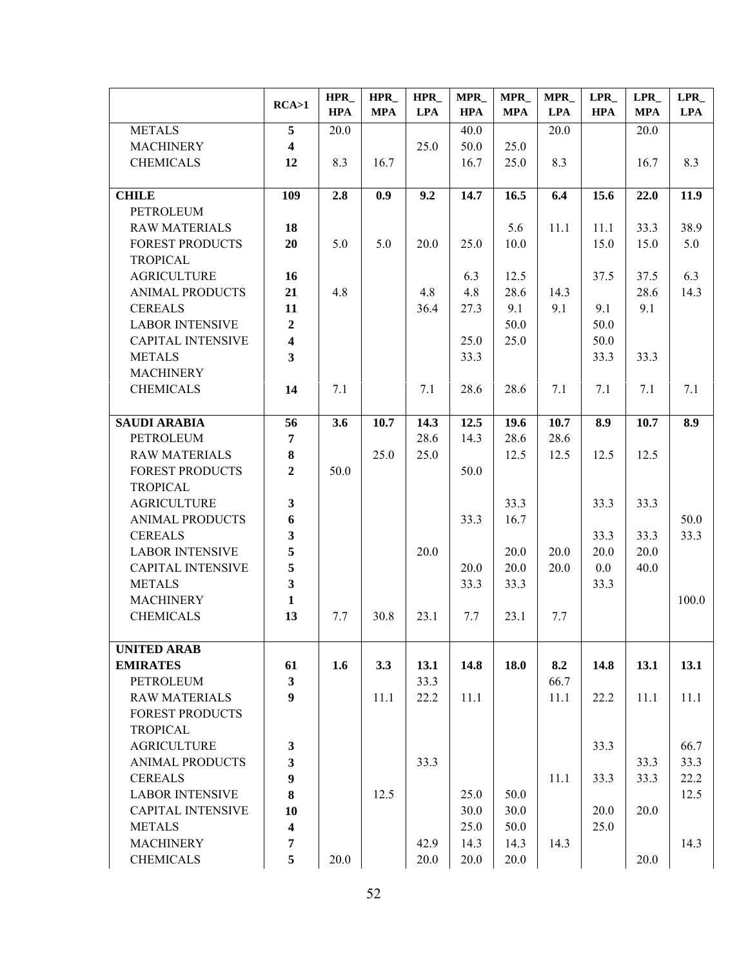|                                          | RCA>1                   | $HPR_$<br><b>HPA</b> | HPR_<br><b>MPA</b> | HPR_<br><b>LPA</b> | <b>MPR</b><br><b>HPA</b> | MPR_<br><b>MPA</b> | MPR_<br><b>LPA</b> | LPR_<br><b>HPA</b> | <b>LPR</b><br><b>MPA</b> | LPR<br><b>LPA</b> |
|------------------------------------------|-------------------------|----------------------|--------------------|--------------------|--------------------------|--------------------|--------------------|--------------------|--------------------------|-------------------|
| <b>METALS</b>                            | $\overline{5}$          | 20.0                 |                    |                    | 40.0                     |                    | 20.0               |                    | 20.0                     |                   |
| <b>MACHINERY</b>                         | $\overline{\mathbf{4}}$ |                      |                    | 25.0               | 50.0                     | 25.0               |                    |                    |                          |                   |
| <b>CHEMICALS</b>                         | 12                      | 8.3                  | 16.7               |                    | 16.7                     | 25.0               | 8.3                |                    | 16.7                     | 8.3               |
|                                          |                         |                      |                    |                    |                          |                    |                    |                    |                          |                   |
| <b>CHILE</b>                             | 109                     | 2.8                  | 0.9                | 9.2                | 14.7                     | 16.5               | 6.4                | 15.6               | 22.0                     | 11.9              |
| <b>PETROLEUM</b>                         |                         |                      |                    |                    |                          |                    |                    |                    |                          |                   |
| <b>RAW MATERIALS</b>                     | 18                      |                      |                    |                    |                          | 5.6                | 11.1               | 11.1               | 33.3                     | 38.9              |
| <b>FOREST PRODUCTS</b>                   | 20                      | 5.0                  | 5.0                | 20.0               | 25.0                     | 10.0               |                    | 15.0               | 15.0                     | 5.0               |
| <b>TROPICAL</b>                          |                         |                      |                    |                    |                          |                    |                    |                    |                          |                   |
| <b>AGRICULTURE</b>                       | 16                      |                      |                    |                    | 6.3                      | 12.5               |                    | 37.5               | 37.5                     | 6.3               |
| <b>ANIMAL PRODUCTS</b>                   | 21                      | 4.8                  |                    | 4.8                | 4.8                      | 28.6               | 14.3               |                    | 28.6                     | 14.3              |
| <b>CEREALS</b>                           | 11                      |                      |                    | 36.4               | 27.3                     | 9.1                | 9.1                | 9.1                | 9.1                      |                   |
| <b>LABOR INTENSIVE</b>                   | $\overline{2}$          |                      |                    |                    |                          | 50.0               |                    | 50.0               |                          |                   |
| <b>CAPITAL INTENSIVE</b>                 | $\overline{\mathbf{4}}$ |                      |                    |                    | 25.0                     | 25.0               |                    | 50.0               |                          |                   |
| <b>METALS</b>                            | $\overline{\mathbf{3}}$ |                      |                    |                    | 33.3                     |                    |                    | 33.3               | 33.3                     |                   |
| <b>MACHINERY</b>                         |                         |                      |                    |                    |                          |                    |                    |                    |                          |                   |
| <b>CHEMICALS</b>                         | 14                      | 7.1                  |                    | 7.1                | 28.6                     | 28.6               | 7.1                | 7.1                | 7.1                      | 7.1               |
|                                          |                         |                      |                    |                    |                          |                    |                    |                    |                          |                   |
| <b>SAUDI ARABIA</b>                      | 56                      | 3.6                  | 10.7               | 14.3               | 12.5                     | 19.6               | 10.7               | 8.9                | 10.7                     | 8.9               |
| PETROLEUM                                | 7                       |                      |                    | 28.6               | 14.3                     | 28.6               | 28.6               |                    |                          |                   |
| <b>RAW MATERIALS</b>                     | 8                       |                      | 25.0               | 25.0               |                          | 12.5               | 12.5               | 12.5               | 12.5                     |                   |
| <b>FOREST PRODUCTS</b>                   | $\overline{2}$          | 50.0                 |                    |                    | 50.0                     |                    |                    |                    |                          |                   |
| <b>TROPICAL</b>                          |                         |                      |                    |                    |                          |                    |                    |                    |                          |                   |
| <b>AGRICULTURE</b>                       | $\mathbf{3}$            |                      |                    |                    |                          | 33.3               |                    | 33.3               | 33.3                     |                   |
| <b>ANIMAL PRODUCTS</b><br><b>CEREALS</b> | 6                       |                      |                    |                    | 33.3                     | 16.7               |                    | 33.3               | 33.3                     | 50.0<br>33.3      |
| <b>LABOR INTENSIVE</b>                   | 3<br>5                  |                      |                    | 20.0               |                          | 20.0               | 20.0               | 20.0               | 20.0                     |                   |
| <b>CAPITAL INTENSIVE</b>                 | 5                       |                      |                    |                    | 20.0                     | 20.0               | 20.0               | 0.0                | 40.0                     |                   |
| <b>METALS</b>                            | $\mathbf{3}$            |                      |                    |                    | 33.3                     | 33.3               |                    | 33.3               |                          |                   |
| <b>MACHINERY</b>                         | $\mathbf{1}$            |                      |                    |                    |                          |                    |                    |                    |                          | 100.0             |
| <b>CHEMICALS</b>                         | 13                      | 7.7                  | 30.8               | 23.1               | 7.7                      | 23.1               | 7.7                |                    |                          |                   |
|                                          |                         |                      |                    |                    |                          |                    |                    |                    |                          |                   |
| <b>UNITED ARAB</b>                       |                         |                      |                    |                    |                          |                    |                    |                    |                          |                   |
| <b>EMIRATES</b>                          | 61                      | 1.6                  | 3.3                | 13.1               | 14.8                     | 18.0               | 8.2                | 14.8               | 13.1                     | 13.1              |
| PETROLEUM                                | $\overline{\mathbf{3}}$ |                      |                    | 33.3               |                          |                    | 66.7               |                    |                          |                   |
| <b>RAW MATERIALS</b>                     | $\boldsymbol{9}$        |                      | 11.1               | 22.2               | 11.1                     |                    | 11.1               | 22.2               | 11.1                     | 11.1              |
| <b>FOREST PRODUCTS</b>                   |                         |                      |                    |                    |                          |                    |                    |                    |                          |                   |
| <b>TROPICAL</b>                          |                         |                      |                    |                    |                          |                    |                    |                    |                          |                   |
| <b>AGRICULTURE</b>                       | $\mathbf{3}$            |                      |                    |                    |                          |                    |                    | 33.3               |                          | 66.7              |
| <b>ANIMAL PRODUCTS</b>                   | $\overline{\mathbf{3}}$ |                      |                    | 33.3               |                          |                    |                    |                    | 33.3                     | 33.3              |
| <b>CEREALS</b>                           | $\boldsymbol{9}$        |                      |                    |                    |                          |                    | 11.1               | 33.3               | 33.3                     | 22.2              |
| <b>LABOR INTENSIVE</b>                   | 8                       |                      | 12.5               |                    | 25.0                     | 50.0               |                    |                    |                          | 12.5              |
| <b>CAPITAL INTENSIVE</b>                 | 10                      |                      |                    |                    | 30.0                     | 30.0               |                    | 20.0               | 20.0                     |                   |
| <b>METALS</b>                            | $\overline{\mathbf{4}}$ |                      |                    |                    | 25.0                     | 50.0               |                    | 25.0               |                          |                   |
| <b>MACHINERY</b>                         | $\overline{7}$          |                      |                    | 42.9               | 14.3                     | 14.3               | 14.3               |                    |                          | 14.3              |
| <b>CHEMICALS</b>                         | 5                       | 20.0                 |                    | 20.0               | 20.0                     | 20.0               |                    |                    | 20.0                     |                   |